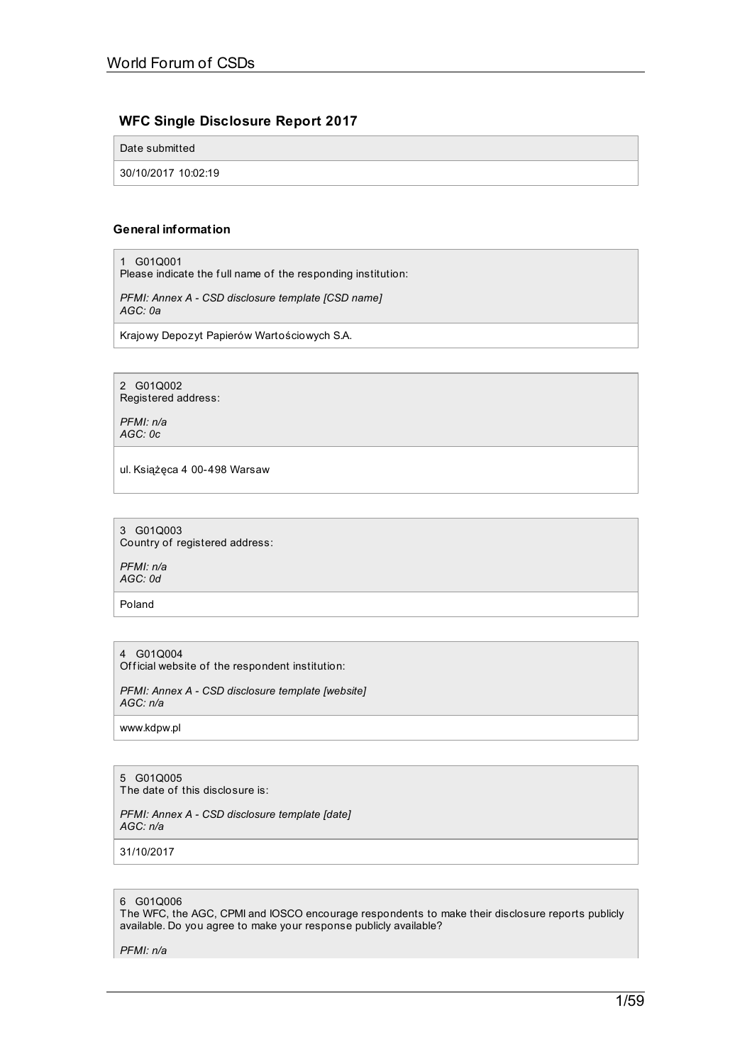# **WFC Single Disclosure Report 2017**

Date submitted

30/10/2017 10:02:19

## **General information**

1 G01Q001

Please indicate the f ull name of the responding institution:

*PFMI: Annex A - CSD disclosure template [CSD name] AGC: 0a*

Krajowy Depozyt Papierów Wartościowych S.A.

2 G01Q002 Registered address:

*PFMI: n/a AGC: 0c*

ul. Książęca 4 00-498 Warsaw

3 G01Q003 Country of registered address:

*PFMI: n/a AGC: 0d*

Poland

4 G01Q004 Official website of the respondent institution:

*PFMI: Annex A - CSD disclosure template [website] AGC: n/a*

www.kdpw.pl

# 5 G01Q005

The date of this disclosure is:

*PFMI: Annex A - CSD disclosure template [date] AGC: n/a*

31/10/2017

## 6 G01Q006

The WFC, the AGC, CPMI and IOSCO encourage respondents to make their disclosure reports publicly available. Do you agree to make your response publicly available?

*PFMI: n/a*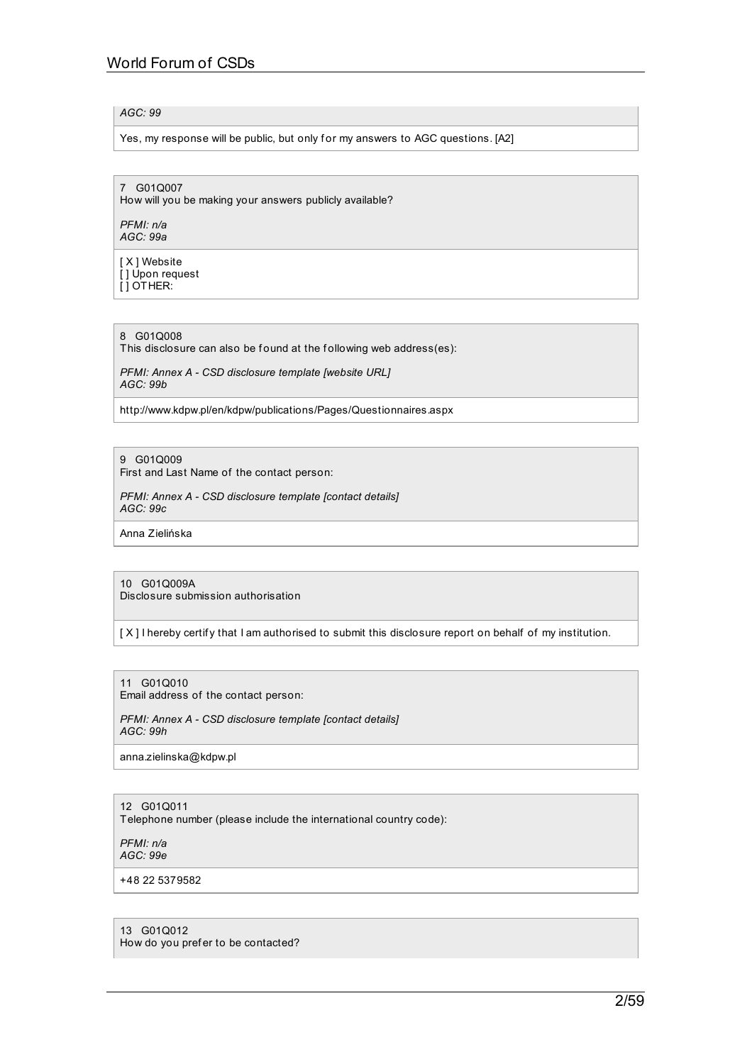## *AGC: 99*

Yes, my response will be public, but only for my answers to AGC questions. [A2]

7 G01Q007

How will you be making your answers publicly available?

*PFMI: n/a AGC: 99a*

[ X ] Website  $\overline{1}$  Upon request [ ] OTHER:

8 G01Q008

This disclosure can also be found at the following web address(es):

*PFMI: Annex A - CSD disclosure template [website URL] AGC: 99b*

http://www.kdpw.pl/en/kdpw/publications/Pages/Questionnaires.aspx

9 G01Q009

First and Last Name of the contact person:

*PFMI: Annex A - CSD disclosure template [contact details] AGC: 99c*

Anna Zielińska

10 G01Q009A Disclosure submission authorisation

[X] I hereby certify that I am authorised to submit this disclosure report on behalf of my institution.

11 G01Q010 Email address of the contact person:

*PFMI: Annex A - CSD disclosure template [contact details] AGC: 99h*

anna.zielinska@kdpw.pl

## 12 G01Q011

Telephone number (please include the international country code):

*PFMI: n/a AGC: 99e*

+48 22 5379582

13 G01Q012 How do you pref er to be contacted?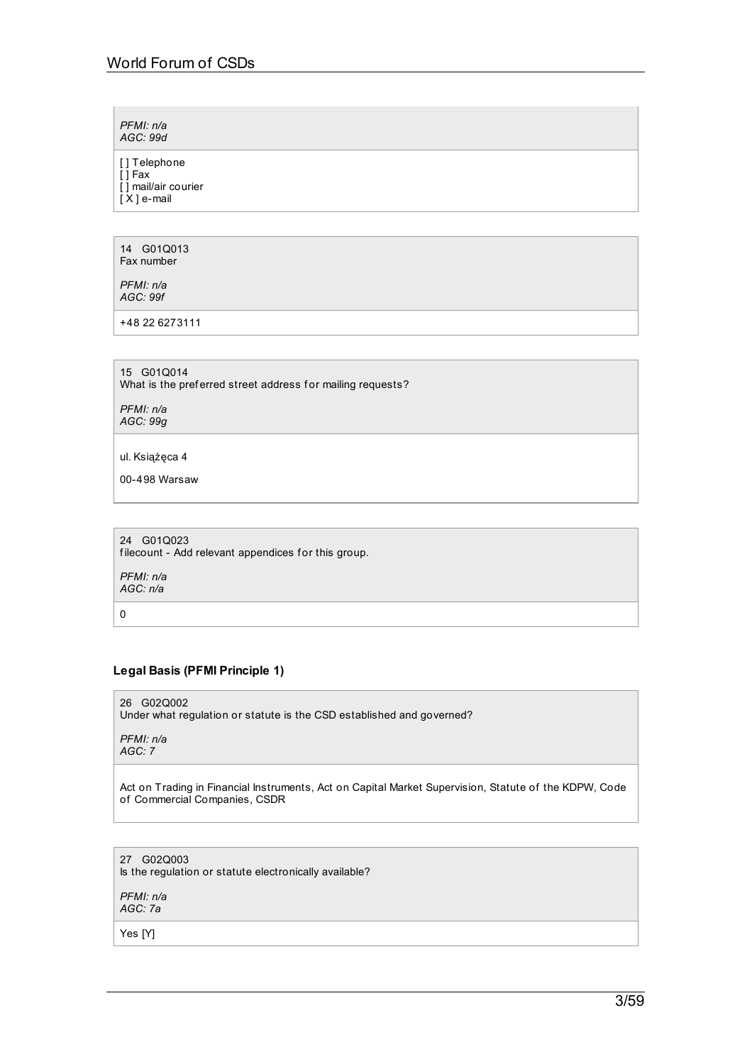*PFMI: n/a AGC: 99d*

[ ] Telephone

[ ] Fax [ ] mail/air courier

 $[X]$  e-mail

14 G01Q013 Fax number

*PFMI: n/a AGC: 99f*

+48 22 6273111

15 G01Q014

What is the preferred street address for mailing requests?

*PFMI: n/a AGC: 99g*

ul. Książęca 4

00-498 Warsaw

24 G01Q023 filecount - Add relevant appendices for this group. *PFMI: n/a AGC: n/a* 0

# **Legal Basis (PFMI Principle 1)**

26 G02Q002 Under what regulation or statute is the CSD established and governed?

*PFMI: n/a AGC: 7*

Act on Trading in Financial Instruments, Act on Capital Market Supervision, Statute of the KDPW, Code of Commercial Companies, CSDR

27 G02Q003 Is the regulation or statute electronically available?

*PFMI: n/a AGC: 7a*

Yes [Y]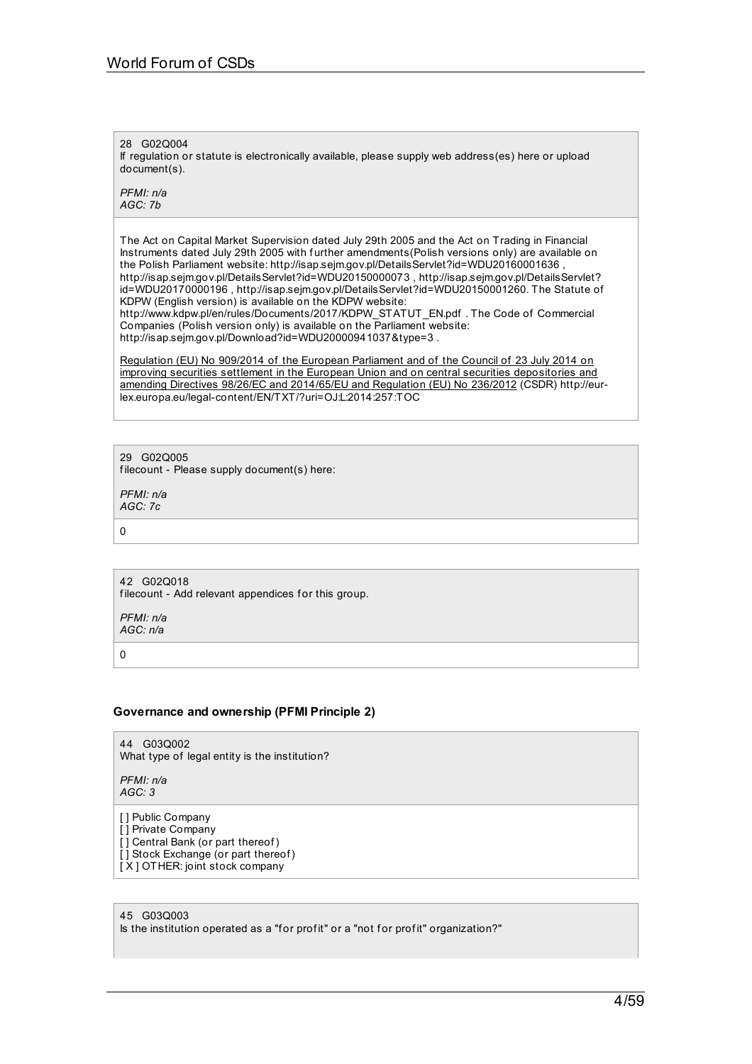28 G02Q004

If regulation or statute is electronically available, please supply web address(es) here or upload document(s).

*PFMI: n/a AGC: 7b*

The Act on Capital Market Supervision dated July 29th 2005 and the Act on Trading in Financial Instruments dated July 29th 2005 with further amendments(Polish versions only) are available on the Polish Parliament website: http://isap.sejm.gov.pl/DetailsServlet?id=WDU20160001636 , http://isap.sejm.gov.pl/DetailsServlet?id=WDU20150000073 , http://isap.sejm.gov.pl/DetailsServlet? id=WDU20170000196 , http://isap.sejm.gov.pl/DetailsServlet?id=WDU20150001260. The Statute of KDPW (English version) is available on the KDPW website: http://www.kdpw.pl/en/rules/Documents/2017/KDPW\_STATUT\_EN.pdf . The Code of Commercial

Companies (Polish version only) is available on the Parliament website: http://isap.sejm.gov.pl/Download?id=WDU20000941037&type=3 .

Regulation (EU) No 909/2014 of the European Parliament and of the Council of 23 July 2014 on improving securities settlement in the European Union and on central securities [depositories](http://eur-lex.europa.eu/legal-content/EN/AUTO/?uri=uriserv:OJ.L_.2014.257.01.0001.01.ENG&toc=OJ:L:2014:257:TOC) and amending Directives 98/26/EC and 2014/65/EU and Regulation (EU) No 236/2012 (CSDR) http://eurlex.europa.eu/legal-content/EN/TXT/?uri=OJ:L:2014:257:TOC

29 G02Q005

filecount - Please supply document(s) here:

*PFMI: n/a AGC: 7c*

0

42 G02Q018 filecount - Add relevant appendices for this group.

*PFMI: n/a AGC: n/a*

 $\Omega$ 

## **Governance and ownership (PFMI Principle 2)**

44 G03Q002 What type of legal entity is the institution?

*PFMI: n/a AGC: 3*

- [] Public Company
- [ ] Private Company
- $\overline{I}$  Central Bank (or part thereof) [] Stock Exchange (or part thereof)
- [ X ] OTHER: joint stock company

45 G03Q003 Is the institution operated as a "for profit" or a "not for profit" organization?"

4/59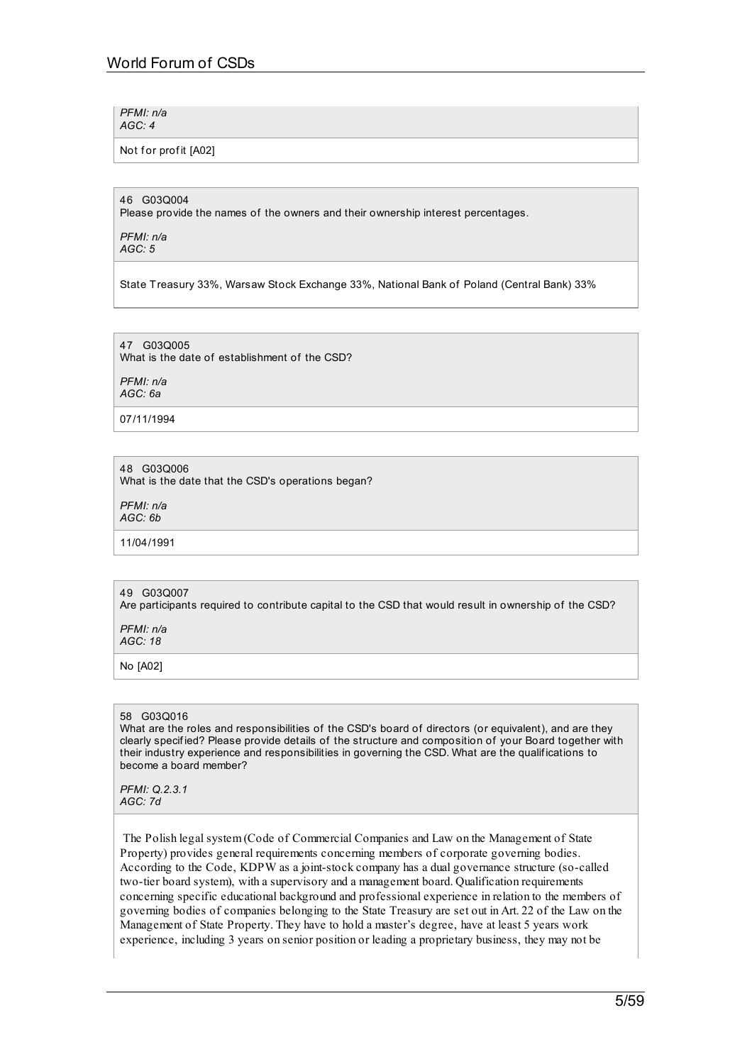*PFMI: n/a AGC: 4*

Not for profit [A02]

#### 46 G03Q004

Please provide the names of the owners and their ownership interest percentages.

*PFMI: n/a AGC: 5*

State Treasury 33%, Warsaw Stock Exchange 33%, National Bank of Poland (Central Bank) 33%

47 G03Q005 What is the date of establishment of the CSD?

*PFMI: n/a AGC: 6a*

07/11/1994

48 G03Q006 What is the date that the CSD's operations began?

*PFMI: n/a AGC: 6b*

11/04/1991

## 49 G03Q007

Are participants required to contribute capital to the CSD that would result in ownership of the CSD?

*PFMI: n/a AGC: 18*

No [A02]

## 58 G03Q016

What are the roles and responsibilities of the CSD's board of directors (or equivalent), and are they clearly specif ied? Please provide details of the structure and composition of your Board together with their industry experience and responsibilities in governing the CSD. What are the qualif ications to become a board member?

*PFMI: Q.2.3.1 AGC: 7d*

The Polish legal system (Code of Commercial Companies and Law on the Management of State Property) provides general requirements concerning members of corporate governing bodies. According to the Code, KDPW as a joint-stock company has a dual governance structure (so-called two-tier board system), with a supervisory and a management board. Qualification requirements concerning specific educational background and professional experience in relation to the members of governing bodies of companies belonging to the State Treasury are set out in Art. 22 of the Law on the Management of State Property. They have to hold a master's degree, have at least 5 years work experience, including 3 years on senior position or leading a proprietary business, they may not be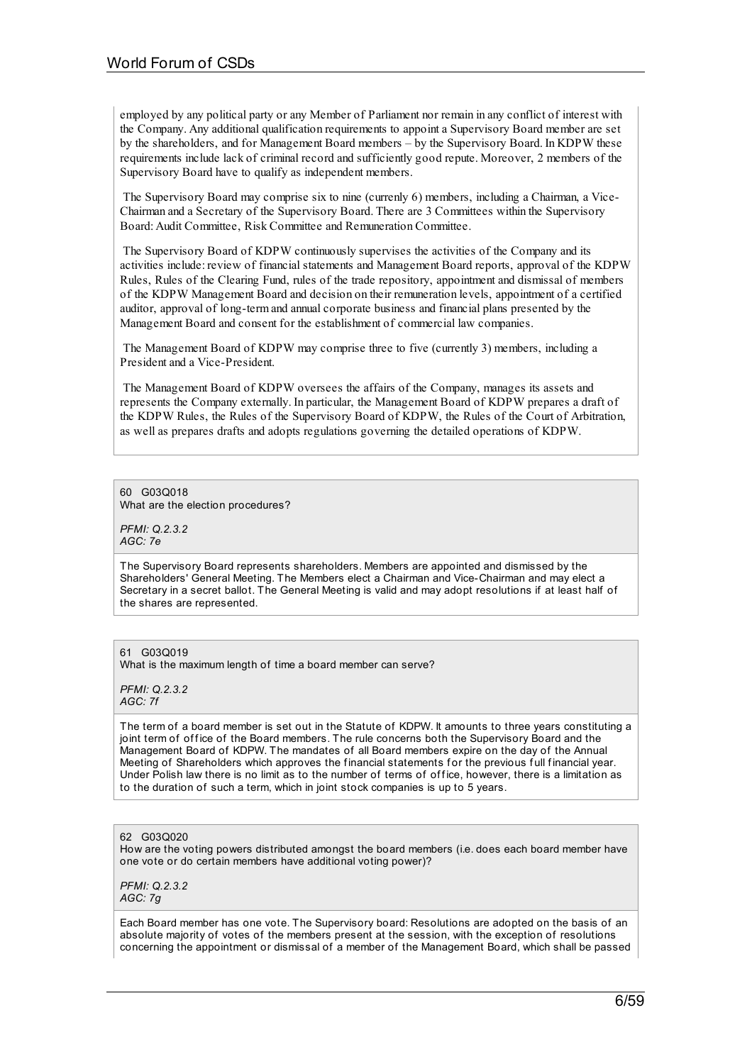employed by any political party or any Member of Parliament nor remain in any conflict of interest with the Company. Any additional qualification requirements to appoint a Supervisory Board member are set by the shareholders, and for Management Board members – by the Supervisory Board. In KDPW these requirements include lack of criminal record and sufficiently good repute. Moreover, 2 members of the Supervisory Board have to qualify as independent members.

The Supervisory Board may comprise six to nine (currenly 6) members, including a Chairman, a Vice-Chairman and a Secretary of the Supervisory Board. There are 3 Committees within the Supervisory Board: Audit Committee, Risk Committee and Remuneration Committee.

The Supervisory Board of KDPW continuously supervises the activities of the Company and its activities include: review of financial statements and Management Board reports, approval of the KDPW Rules, Rules of the Clearing Fund, rules of the trade repository, appointment and dismissal of members of the KDPW Management Board and decision on their remuneration levels, appointment of a certified auditor, approval of long-term and annual corporate business and financial plans presented by the Management Board and consent for the establishment of commercial law companies.

The Management Board of KDPW may comprise three to five (currently 3) members, including a President and a Vice-President.

The Management Board of KDPW oversees the affairs of the Company, manages its assets and represents the Company externally. In particular, the Management Board of KDPW prepares a draft of the KDPW Rules, the Rules of the Supervisory Board of KDPW, the Rules of the Court of Arbitration, as well as prepares drafts and adopts regulations governing the detailed operations of KDPW.

#### 60 G03Q018

What are the election procedures?

*PFMI: Q.2.3.2 AGC: 7e*

The Supervisory Board represents shareholders. Members are appointed and dismissed by the Shareholders' General Meeting. The Members elect a Chairman and Vice-Chairman and may elect a Secretary in a secret ballot. The General Meeting is valid and may adopt resolutions if at least half of the shares are represented.

#### 61 G03Q019

What is the maximum length of time a board member can serve?

*PFMI: Q.2.3.2 AGC: 7f*

The term of a board member is set out in the Statute of KDPW. It amounts to three years constituting a joint term of office of the Board members. The rule concerns both the Supervisory Board and the Management Board of KDPW. The mandates of all Board members expire on the day of the Annual Meeting of Shareholders which approves the financial statements for the previous full financial year. Under Polish law there is no limit as to the number of terms of office, however, there is a limitation as to the duration of such a term, which in joint stock companies is up to 5 years.

#### 62 G03Q020

How are the voting powers distributed amongst the board members (i.e. does each board member have one vote or do certain members have additional voting power)?

*PFMI: Q.2.3.2 AGC: 7g*

Each Board member has one vote. The Supervisory board: Resolutions are adopted on the basis of an absolute majority of votes of the members present at the session, with the exception of resolutions concerning the appointment or dismissal of a member of the Management Board, which shall be passed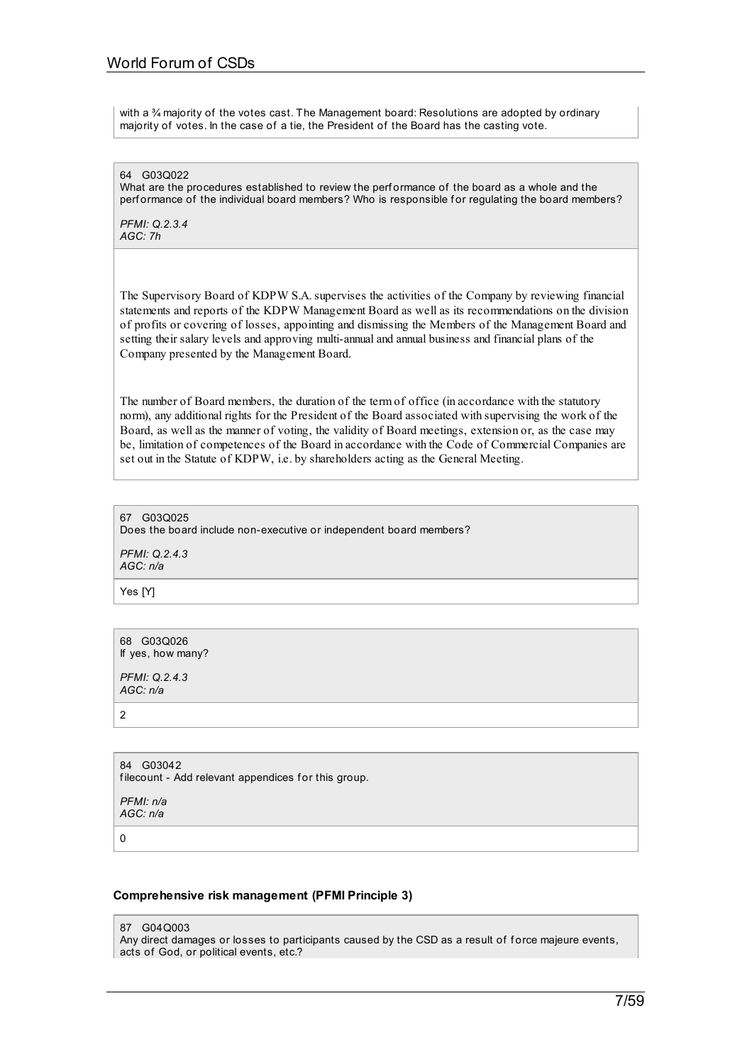with a  $\frac{3}{4}$  majority of the votes cast. The Management board: Resolutions are adopted by ordinary majority of votes. In the case of a tie, the President of the Board has the casting vote.

64 G03Q022 What are the procedures established to review the perf ormance of the board as a whole and the perf ormance of the individual board members? Who is responsible for regulating the board members?

*PFMI: Q.2.3.4 AGC: 7h*

The Supervisory Board of KDPW S.A.supervises the activities of the Company by reviewing financial statements and reports of the KDPW Management Board as well as its recommendations on the division of profits or covering of losses, appointing and dismissing the Members of the Management Board and setting their salary levels and approving multi-annual and annual business and financial plans of the Company presented by the Management Board.

The number of Board members, the duration of the term of office (in accordance with the statutory norm), any additional rights for the President of the Board associated with supervising the work of the Board, as well as the manner of voting, the validity of Board meetings, extension or, as the case may be, limitation of competences of the Board in accordance with the Code of Commercial Companies are set out in the Statute of KDPW, i.e. by shareholders acting as the General Meeting.

67 G03Q025 Does the board include non-executive or independent board members? *PFMI: Q.2.4.3 AGC: n/a*

Yes [Y]

68 G03Q026 If yes, how many?

*PFMI: Q.2.4.3 AGC: n/a*

 $\overline{\phantom{0}}$ 

84 G03042 filecount - Add relevant appendices for this group.

*PFMI: n/a AGC: n/a*

 $\Omega$ 

## **Comprehensive risk management (PFMI Principle 3)**

87 G04Q003

Any direct damages or losses to participants caused by the CSD as a result of force majeure events, acts of God, or political events, etc.?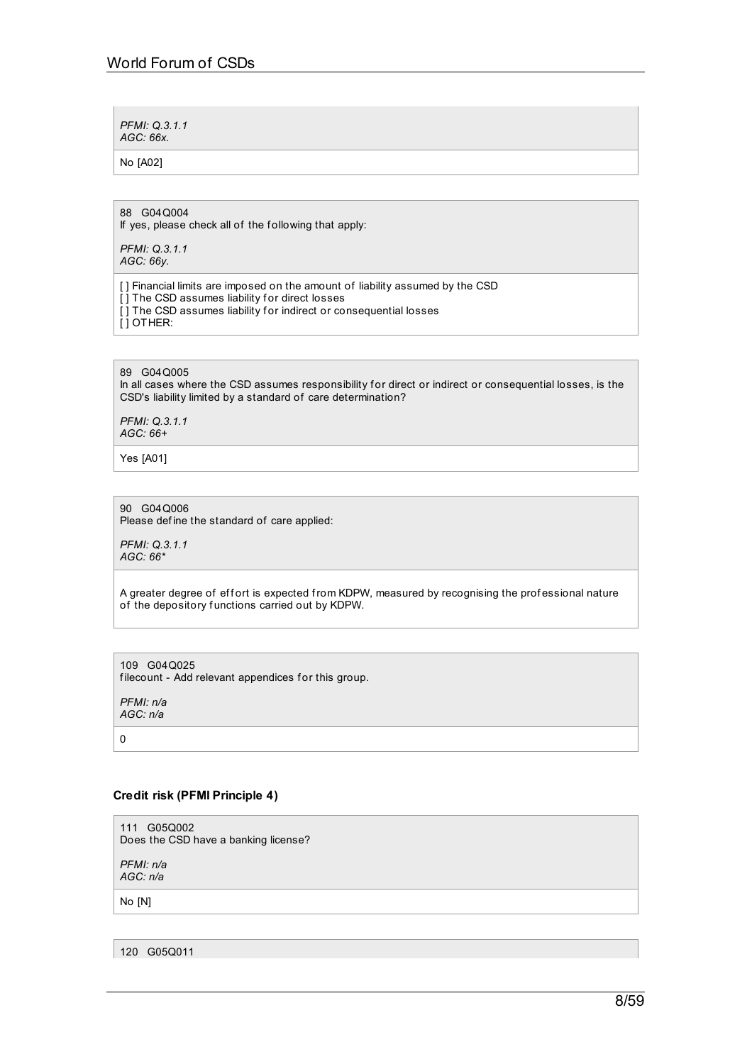*PFMI: Q.3.1.1 AGC: 66x.*

No [A02]

88 G04Q004

If yes, please check all of the following that apply:

*PFMI: Q.3.1.1 AGC: 66y.*

[] Financial limits are imposed on the amount of liability assumed by the CSD [ ] The CSD assumes liability for direct losses [] The CSD assumes liability for indirect or consequential losses [ ] OTHER:

89 G04Q005

In all cases where the CSD assumes responsibility for direct or indirect or consequential losses, is the CSD's liability limited by a standard of care determination?

*PFMI: Q.3.1.1 AGC: 66+*

Yes [A01]

90 G04Q006

Please def ine the standard of care applied:

*PFMI: Q.3.1.1 AGC: 66\**

A greater degree of effort is expected from KDPW, measured by recognising the professional nature of the depository functions carried out by KDPW.

109 G04Q025 filecount - Add relevant appendices for this group.

*PFMI: n/a AGC: n/a*

0

## **Credit risk (PFMI Principle 4)**

111 G05Q002 Does the CSD have a banking license?

*PFMI: n/a AGC: n/a*

No [N]

120 G05Q011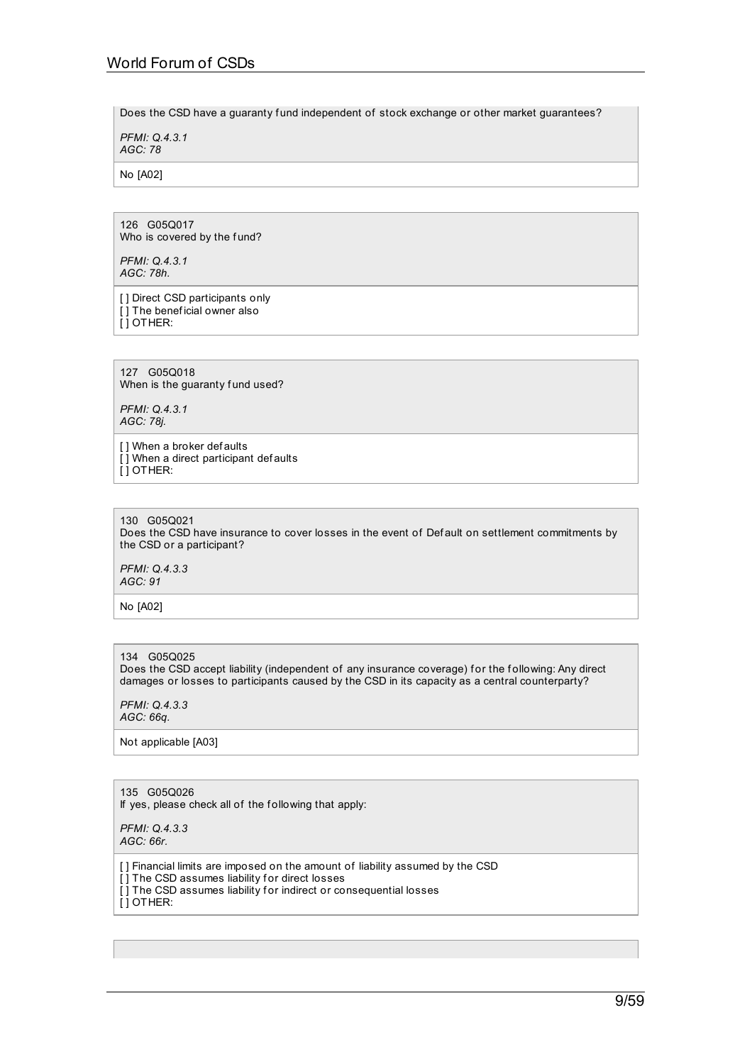Does the CSD have a guaranty fund independent of stock exchange or other market guarantees?

*PFMI: Q.4.3.1 AGC: 78*

No [A02]

126 G05Q017 Who is covered by the fund?

*PFMI: Q.4.3.1 AGC: 78h.*

[ ] Direct CSD participants only [] The beneficial owner also [ ] OTHER:

127 G05Q018 When is the guaranty fund used?

*PFMI: Q.4.3.1 AGC: 78j.*

[] When a broker def aults [] When a direct participant defaults [ ] OTHER:

130 G05Q021 Does the CSD have insurance to cover losses in the event of Def ault on settlement commitments by the CSD or a participant?

*PFMI: Q.4.3.3 AGC: 91*

No [A02]

134 G05Q025 Does the CSD accept liability (independent of any insurance coverage) for the following: Any direct damages or losses to participants caused by the CSD in its capacity as a central counterparty?

*PFMI: Q.4.3.3 AGC: 66q.*

Not applicable [A03]

135 G05Q026 If yes, please check all of the f ollowing that apply:

*PFMI: Q.4.3.3 AGC: 66r.*

[ ] Financial limits are imposed on the amount of liability assumed by the CSD [] The CSD assumes liability for direct losses [ $\overline{)}$ ] The CSD assumes liability for indirect or consequential losses [ ] OTHER: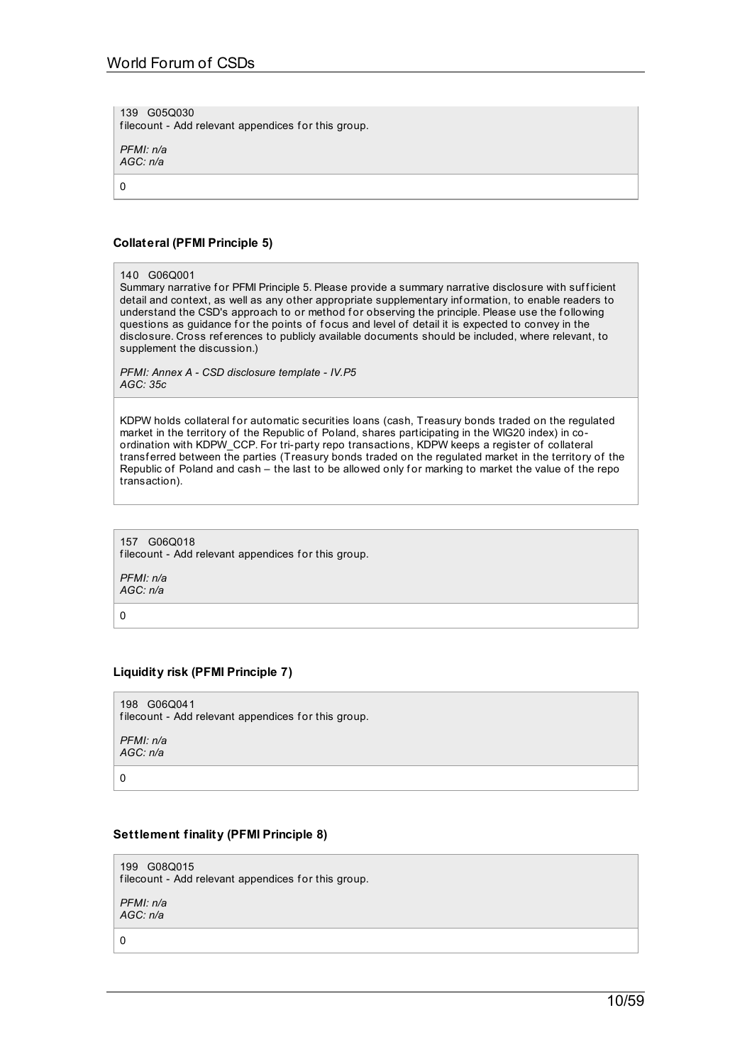139 G05Q030 filecount - Add relevant appendices for this group.

*PFMI: n/a AGC: n/a*

0

## **Collateral (PFMI Principle 5)**

140 G06Q001

Summary narrative for PFMI Principle 5. Please provide a summary narrative disclosure with sufficient detail and context, as well as any other appropriate supplementary inf ormation, to enable readers to understand the CSD's approach to or method for observing the principle. Please use the following questions as guidance for the points of focus and level of detail it is expected to convey in the disclosure. Cross ref erences to publicly available documents should be included, where relevant, to supplement the discussion.)

*PFMI: Annex A - CSD disclosure template - IV.P5 AGC: 35c*

KDPW holds collateral for automatic securities loans (cash, Treasury bonds traded on the regulated market in the territory of the Republic of Poland, shares participating in the WIG20 index) in coordination with KDPW\_CCP. For tri-party repo transactions, KDPW keeps a register of collateral transf erred between the parties (Treasury bonds traded on the regulated market in the territory of the Republic of Poland and cash – the last to be allowed only for marking to market the value of the repo transaction).

157 G06Q018 filecount - Add relevant appendices for this group.

*PFMI: n/a AGC: n/a*

0

## **Liquidity risk (PFMI Principle 7)**

198 G06Q041 filecount - Add relevant appendices for this group.

*PFMI: n/a AGC: n/a*

0

199 G08Q015

**Settlement finality (PFMI Principle 8)**

filecount - Add relevant appendices for this group.

*PFMI: n/a AGC: n/a*

0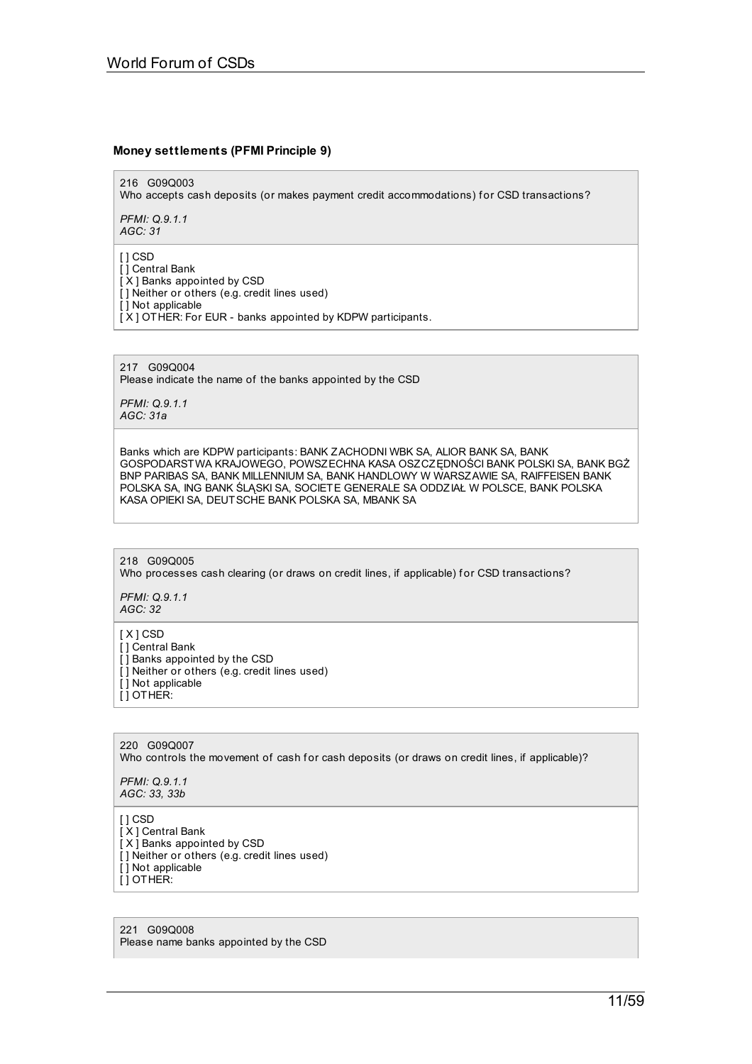## **Money settlements (PFMI Principle 9)**

216 G09Q003

Who accepts cash deposits (or makes payment credit accommodations) for CSD transactions?

*PFMI: Q.9.1.1 AGC: 31*

[ ] CSD

[ ] Central Bank

[ X ] Banks appointed by CSD [ ] Neither or others (e.g. credit lines used)

[ ] Not applicable

[ X ] OTHER: For EUR - banks appointed by KDPW participants.

217 G09Q004 Please indicate the name of the banks appointed by the CSD

*PFMI: Q.9.1.1 AGC: 31a*

Banks which are KDPW participants: BANK ZACHODNI WBK SA, ALIOR BANK SA, BANK GOSPODARSTWA KRAJOWEGO, POWSZECHNA KASA OSZCZĘDNOŚCI BANK POLSKI SA, BANK BGŻ BNP PARIBAS SA, BANK MILLENNIUM SA, BANK HANDLOWY W WARSZAWIE SA, RAIFFEISEN BANK POLSKA SA, ING BANK ŚLĄSKI SA, SOCIETE GENERALE SA ODDZIAŁ W POLSCE, BANK POLSKA KASA OPIEKI SA, DEUTSCHE BANK POLSKA SA, MBANK SA

218 G09Q005 Who processes cash clearing (or draws on credit lines, if applicable) for CSD transactions?

*PFMI: Q.9.1.1 AGC: 32*

[ X ] CSD

- [ ] Central Bank
- [] Banks appointed by the CSD
- [] Neither or others (e.g. credit lines used) [ ] Not applicable

[ ] OTHER:

220 G09Q007 Who controls the movement of cash for cash deposits (or draws on credit lines, if applicable)?

*PFMI: Q.9.1.1 AGC: 33, 33b*

[ ] CSD

[X] Central Bank [ X ] Banks appointed by CSD [ ] Neither or others (e.g. credit lines used) [ ] Not applicable [ ] OTHER:

221 G09Q008 Please name banks appointed by the CSD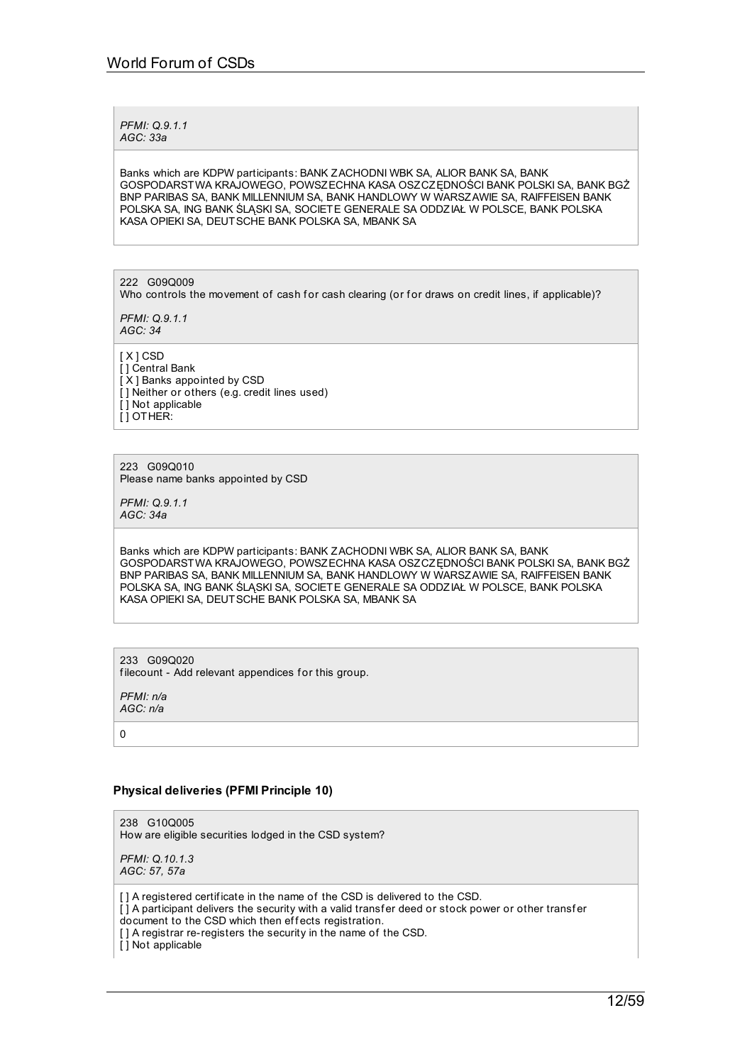*PFMI: Q.9.1.1 AGC: 33a*

Banks which are KDPW participants: BANK ZACHODNI WBK SA, ALIOR BANK SA, BANK GOSPODARSTWA KRAJOWEGO, POWSZECHNA KASA OSZCZĘDNOŚCI BANK POLSKI SA, BANK BGŻ BNP PARIBAS SA, BANK MILLENNIUM SA, BANK HANDLOWY W WARSZAWIE SA, RAIFFEISEN BANK POLSKA SA, ING BANK ŚLĄSKI SA, SOCIETE GENERALE SA ODDZIAŁ W POLSCE, BANK POLSKA KASA OPIEKI SA, DEUTSCHE BANK POLSKA SA, MBANK SA

222 G09Q009

Who controls the movement of cash for cash clearing (or for draws on credit lines, if applicable)?

*PFMI: Q.9.1.1 AGC: 34*

[ X ] CSD [ ] Central Bank [ X ] Banks appointed by CSD [ ] Neither or others (e.g. credit lines used) [ ] Not applicable [ ] OTHER:

223 G09Q010 Please name banks appointed by CSD

*PFMI: Q.9.1.1 AGC: 34a*

Banks which are KDPW participants: BANK ZACHODNI WBK SA, ALIOR BANK SA, BANK GOSPODARSTWA KRAJOWEGO, POWSZECHNA KASA OSZCZĘDNOŚCI BANK POLSKI SA, BANK BGŻ BNP PARIBAS SA, BANK MILLENNIUM SA, BANK HANDLOWY W WARSZAWIE SA, RAIFFEISEN BANK POLSKA SA, ING BANK ŚLĄSKI SA, SOCIETE GENERALE SA ODDZIAŁ W POLSCE, BANK POLSKA KASA OPIEKI SA, DEUTSCHE BANK POLSKA SA, MBANK SA

233 G09Q020 filecount - Add relevant appendices for this group.

*PFMI: n/a AGC: n/a*

0

## **Physical deliveries (PFMI Principle 10)**

238 G10Q005 How are eligible securities lodged in the CSD system?

*PFMI: Q.10.1.3 AGC: 57, 57a*

[] A registered certificate in the name of the CSD is delivered to the CSD.

- [] A participant delivers the security with a valid transfer deed or stock power or other transfer
- document to the CSD which then effects registration.

[] A registrar re-registers the security in the name of the CSD.

[ ] Not applicable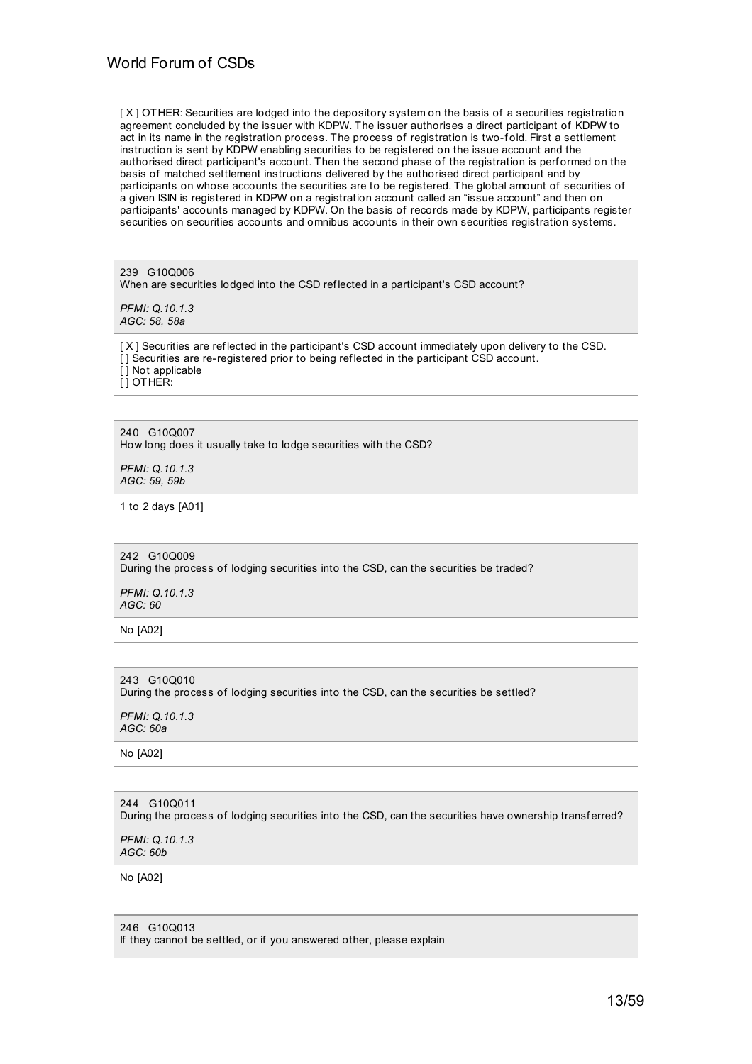[X] OTHER: Securities are lodged into the depository system on the basis of a securities registration agreement concluded by the issuer with KDPW. The issuer authorises a direct participant of KDPW to act in its name in the registration process. The process of registration is two-fold. First a settlement instruction is sent by KDPW enabling securities to be registered on the issue account and the authorised direct participant's account. Then the second phase of the registration is performed on the basis of matched settlement instructions delivered by the authorised direct participant and by participants on whose accounts the securities are to be registered. The global amount of securities of a given ISIN is registered in KDPW on a registration account called an "issue account" and then on participants' accounts managed by KDPW. On the basis of records made by KDPW, participants register securities on securities accounts and omnibus accounts in their own securities registration systems.

239 G10Q006 When are securities lodged into the CSD ref lected in a participant's CSD account?

*PFMI: Q.10.1.3 AGC: 58, 58a*

[ X ] Securities are ref lected in the participant's CSD account immediately upon delivery to the CSD. [ ] Securities are re-registered prior to being ref lected in the participant CSD account. [ ] Not applicable  $\overline{I}$  ] OTHER:

240 G10Q007 How long does it usually take to lodge securities with the CSD?

*PFMI: Q.10.1.3 AGC: 59, 59b*

1 to 2 days [A01]

## 242 G10Q009

During the process of lodging securities into the CSD, can the securities be traded?

*PFMI: Q.10.1.3 AGC: 60*

No [A02]

243 G10Q010

During the process of lodging securities into the CSD, can the securities be settled?

*PFMI: Q.10.1.3 AGC: 60a*

No [A02]

## 244 G10Q011 During the process of lodging securities into the CSD, can the securities have ownership transferred?

*PFMI: Q.10.1.3 AGC: 60b*

No [A02]

246 G10Q013

If they cannot be settled, or if you answered other, please explain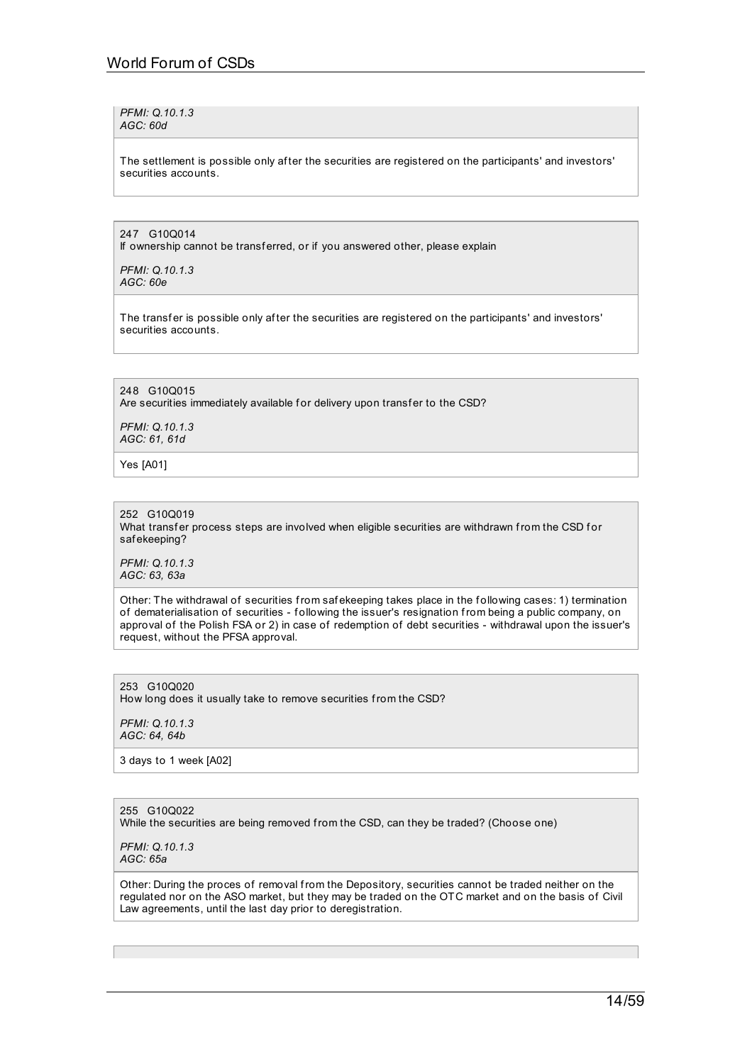*PFMI: Q.10.1.3 AGC: 60d*

The settlement is possible only after the securities are registered on the participants' and investors' securities accounts.

247 G10Q014

If ownership cannot be transferred, or if you answered other, please explain

*PFMI: Q.10.1.3 AGC: 60e*

The transfer is possible only after the securities are registered on the participants' and investors' securities accounts.

248 G10Q015 Are securities immediately available for delivery upon transfer to the CSD?

*PFMI: Q.10.1.3 AGC: 61, 61d*

Yes [A01]

252 G10Q019 What transfer process steps are involved when eligible securities are withdrawn from the CSD for saf ekeeping?

*PFMI: Q.10.1.3 AGC: 63, 63a*

Other: The withdrawal of securities from safekeeping takes place in the following cases: 1) termination of dematerialisation of securities - f ollowing the issuer's resignation from being a public company, on approval of the Polish FSA or 2) in case of redemption of debt securities - withdrawal upon the issuer's request, without the PFSA approval.

253 G10Q020 How long does it usually take to remove securities from the CSD?

*PFMI: Q.10.1.3 AGC: 64, 64b*

3 days to 1 week [A02]

255 G10Q022 While the securities are being removed from the CSD, can they be traded? (Choose one)

*PFMI: Q.10.1.3 AGC: 65a*

Other: During the proces of removal from the Depository, securities cannot be traded neither on the regulated nor on the ASO market, but they may be traded on the OTC market and on the basis of Civil Law agreements, until the last day prior to deregistration.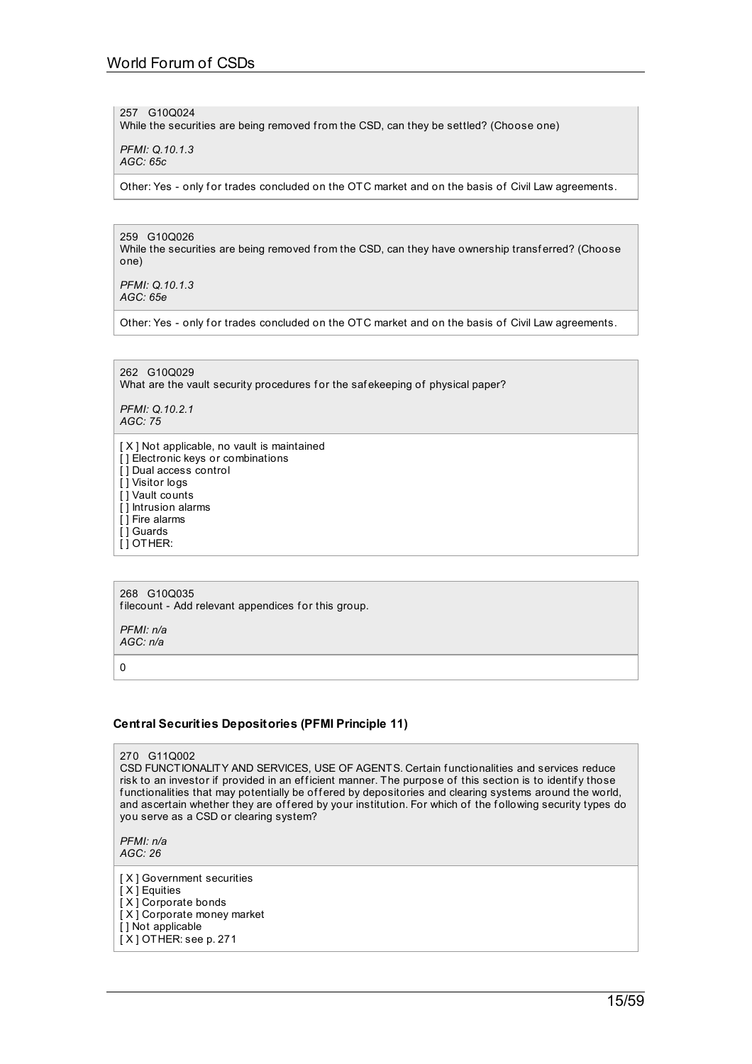257 G10Q024

While the securities are being removed from the CSD, can they be settled? (Choose one)

*PFMI: Q.10.1.3 AGC: 65c*

Other: Yes - only for trades concluded on the OTC market and on the basis of Civil Law agreements.

259 G10Q026 While the securities are being removed from the CSD, can they have ownership transferred? (Choose one)

*PFMI: Q.10.1.3 AGC: 65e*

Other: Yes - only for trades concluded on the OTC market and on the basis of Civil Law agreements.

262 G10Q029 What are the vault security procedures for the safekeeping of physical paper?

*PFMI: Q.10.2.1 AGC: 75*

[ X ] Not applicable, no vault is maintained [] Electronic keys or combinations [] Dual access control [ ] Visitor logs [ ] Vault counts [] Intrusion alarms [ ] Fire alarms [ ] Guards [ ] OTHER:

268 G10Q035 filecount - Add relevant appendices for this group.

*PFMI: n/a AGC: n/a*

 $\Omega$ 

## **Central Securities Depositories (PFMI Principle 11)**

270 G11Q002

CSD FUNCTIONALITY AND SERVICES, USE OF AGENTS. Certain f unctionalities and services reduce risk to an investor if provided in an efficient manner. The purpose of this section is to identify those functionalities that may potentially be offered by depositories and clearing systems around the world, and ascertain whether they are offered by your institution. For which of the following security types do you serve as a CSD or clearing system?

*PFMI: n/a AGC: 26*

[X] Government securities [ X ] Equities [ X ] Corporate bonds [ X ] Corporate money market [ ] Not applicable [ X ] OTHER: see p. 271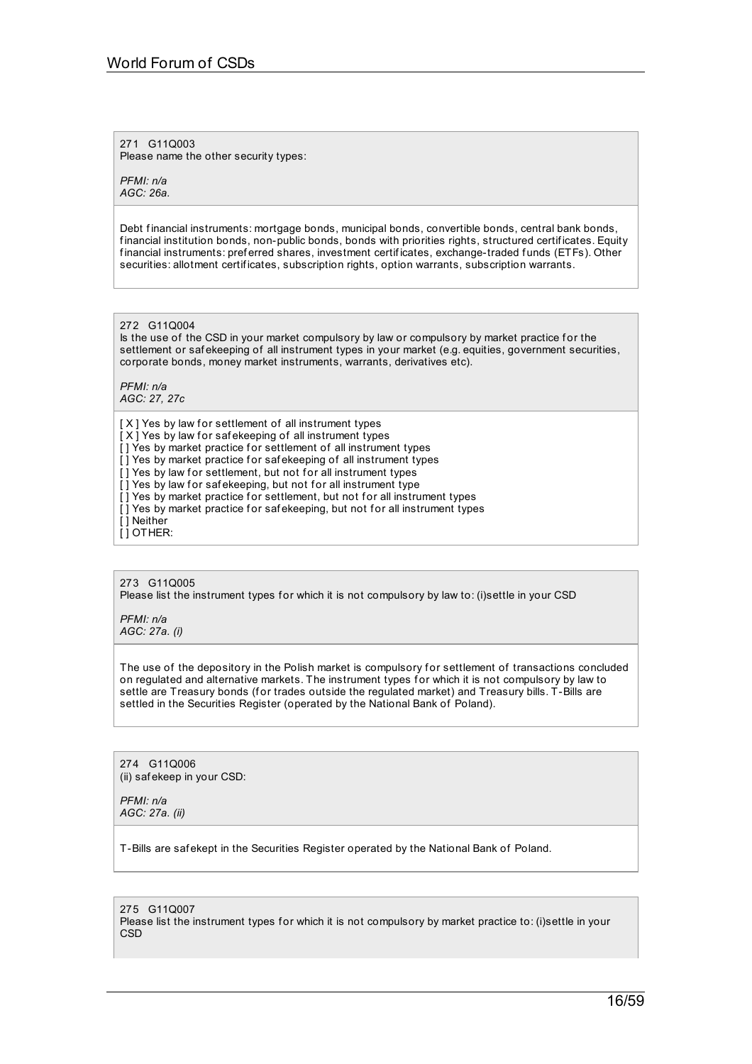271 G11Q003 Please name the other security types:

*PFMI: n/a AGC: 26a.*

Debt financial instruments: mortgage bonds, municipal bonds, convertible bonds, central bank bonds, f inancial institution bonds, non-public bonds, bonds with priorities rights, structured certif icates. Equity financial instruments: preferred shares, investment certificates, exchange-traded funds (ETFs). Other securities: allotment certif icates, subscription rights, option warrants, subscription warrants.

272 G11Q004

Is the use of the CSD in your market compulsory by law or compulsory by market practice for the settlement or safekeeping of all instrument types in your market (e.g. equities, government securities, corporate bonds, money market instruments, warrants, derivatives etc).

*PFMI: n/a AGC: 27, 27c*

[X] Yes by law for settlement of all instrument types  $[X]$  Yes by law for safekeeping of all instrument types [] Yes by market practice for settlement of all instrument types [] Yes by market practice for safekeeping of all instrument types  $\overline{I}$  i Yes by law for settlement, but not for all instrument types [] Yes by law for safekeeping, but not for all instrument type [] Yes by market practice for settlement, but not for all instrument types [] Yes by market practice for safekeeping, but not for all instrument types [ ] Neither  $\overline{I}$  DOTHER:

273 G11Q005 Please list the instrument types for which it is not compulsory by law to: (i)settle in your CSD

*PFMI: n/a AGC: 27a. (i)*

The use of the depository in the Polish market is compulsory for settlement of transactions concluded on regulated and alternative markets. The instrument types for which it is not compulsory by law to settle are Treasury bonds (for trades outside the regulated market) and Treasury bills. T-Bills are settled in the Securities Register (operated by the National Bank of Poland).

274 G11Q006 (ii) saf ekeep in your CSD:

*PFMI: n/a AGC: 27a. (ii)*

T-Bills are saf ekept in the Securities Register operated by the National Bank of Poland.

275 G11Q007 Please list the instrument types for which it is not compulsory by market practice to: (i)settle in your **CSD**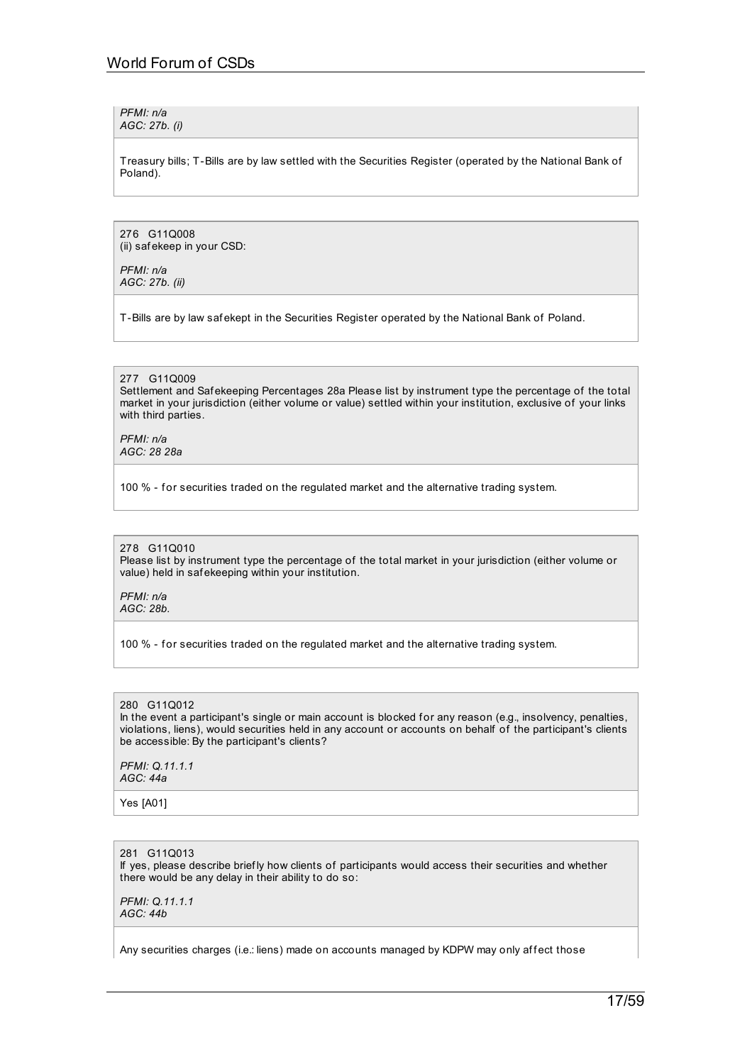*PFMI: n/a AGC: 27b. (i)*

Treasury bills; T-Bills are by law settled with the Securities Register (operated by the National Bank of Poland).

276 G11Q008 (ii) saf ekeep in your CSD:

*PFMI: n/a AGC: 27b. (ii)*

T-Bills are by law saf ekept in the Securities Register operated by the National Bank of Poland.

## 277 G11Q009

Settlement and Saf ekeeping Percentages 28a Please list by instrument type the percentage of the total market in your jurisdiction (either volume or value) settled within your institution, exclusive of your links with third parties.

*PFMI: n/a AGC: 28 28a*

100 % - for securities traded on the regulated market and the alternative trading system.

#### 278 G11Q010

Please list by instrument type the percentage of the total market in your jurisdiction (either volume or value) held in saf ekeeping within your institution.

*PFMI: n/a AGC: 28b.*

100 % - for securities traded on the regulated market and the alternative trading system.

## 280 G11Q012

In the event a participant's single or main account is blocked for any reason (e.g., insolvency, penalties, violations, liens), would securities held in any account or accounts on behalf of the participant's clients be accessible: By the participant's clients?

*PFMI: Q.11.1.1 AGC: 44a*

Yes [A01]

## 281 G11Q013

If yes, please describe brief ly how clients of participants would access their securities and whether there would be any delay in their ability to do so:

*PFMI: Q.11.1.1 AGC: 44b*

Any securities charges (i.e.: liens) made on accounts managed by KDPW may only affect those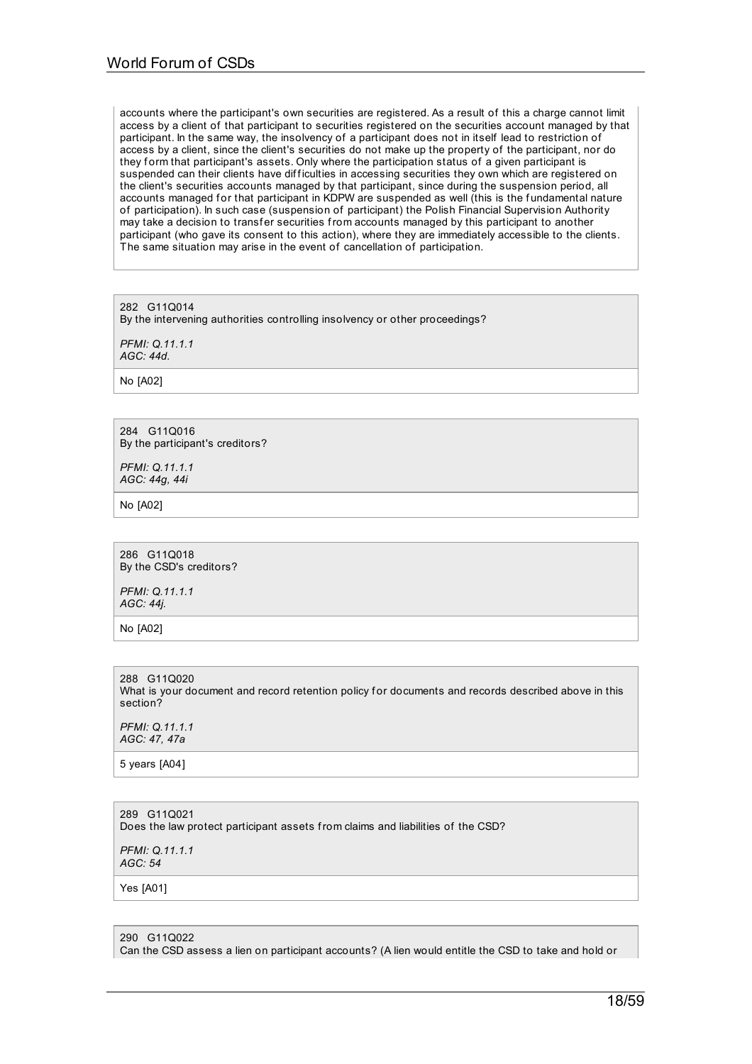accounts where the participant's own securities are registered. As a result of this a charge cannot limit access by a client of that participant to securities registered on the securities account managed by that participant. In the same way, the insolvency of a participant does not in itself lead to restriction of access by a client, since the client's securities do not make up the property of the participant, nor do they form that participant's assets. Only where the participation status of a given participant is suspended can their clients have difficulties in accessing securities they own which are registered on the client's securities accounts managed by that participant, since during the suspension period, all accounts managed for that participant in KDPW are suspended as well (this is the fundamental nature of participation). In such case (suspension of participant) the Polish Financial Supervision Authority may take a decision to transfer securities from accounts managed by this participant to another participant (who gave its consent to this action), where they are immediately accessible to the clients. The same situation may arise in the event of cancellation of participation.

282 G11Q014 By the intervening authorities controlling insolvency or other proceedings?

*PFMI: Q.11.1.1 AGC: 44d.*

No [A02]

284 G11Q016 By the participant's creditors?

*PFMI: Q.11.1.1 AGC: 44g, 44i*

No [A02]

286 G11Q018 By the CSD's creditors?

*PFMI: Q.11.1.1 AGC: 44j.*

No [A02]

288 G11Q020 What is your document and record retention policy for documents and records described above in this section?

*PFMI: Q.11.1.1 AGC: 47, 47a*

5 years [A04]

289 G11Q021 Does the law protect participant assets from claims and liabilities of the CSD?

*PFMI: Q.11.1.1 AGC: 54*

Yes [A01]

#### 290 G11Q022

Can the CSD assess a lien on participant accounts? (A lien would entitle the CSD to take and hold or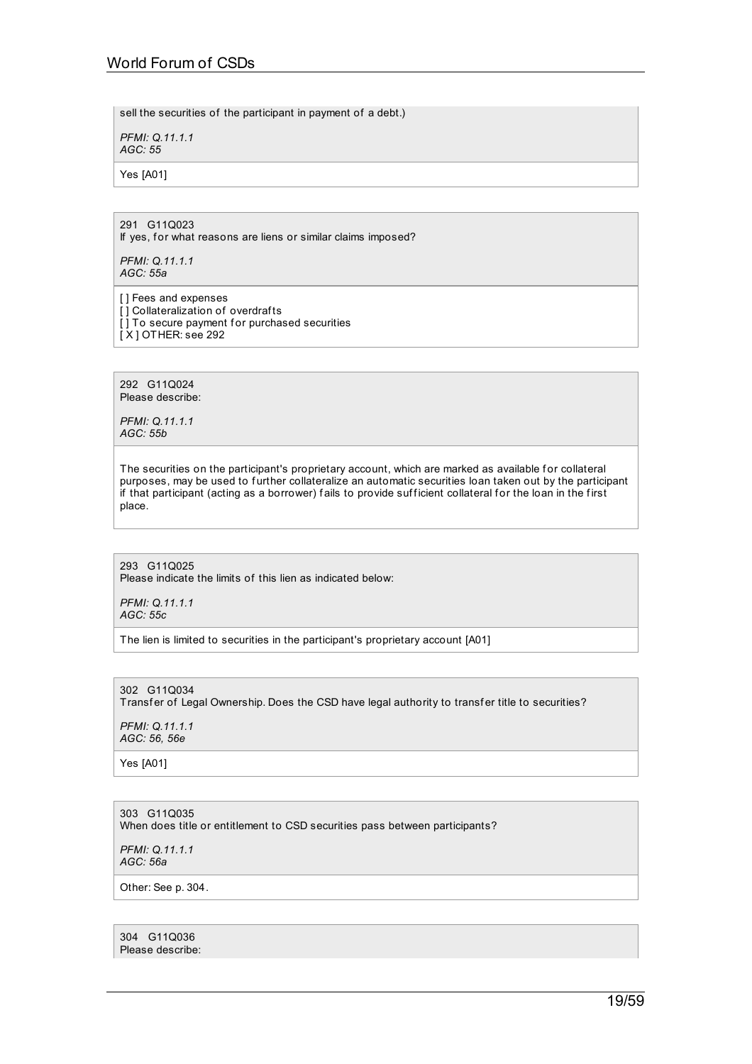sell the securities of the participant in payment of a debt.)

*PFMI: Q.11.1.1 AGC: 55*

Yes [A01]

## 291 G11Q023 If yes, for what reasons are liens or similar claims imposed?

*PFMI: Q.11.1.1 AGC: 55a*

[] Fees and expenses [] Collateralization of overdrafts [] To secure payment for purchased securities [ X ] OTHER: see 292

292 G11Q024 Please describe:

*PFMI: Q.11.1.1 AGC: 55b*

The securities on the participant's proprietary account, which are marked as available for collateral purposes, may be used to further collateralize an automatic securities loan taken out by the participant if that participant (acting as a borrower) fails to provide sufficient collateral for the loan in the first place.

293 G11Q025 Please indicate the limits of this lien as indicated below:

*PFMI: Q.11.1.1 AGC: 55c*

The lien is limited to securities in the participant's proprietary account [A01]

302 G11Q034 Transfer of Legal Ownership. Does the CSD have legal authority to transfer title to securities?

*PFMI: Q.11.1.1 AGC: 56, 56e*

Yes [A01]

303 G11Q035 When does title or entitlement to CSD securities pass between participants?

*PFMI: Q.11.1.1 AGC: 56a*

Other: See p. 304.

304 G11Q036 Please describe: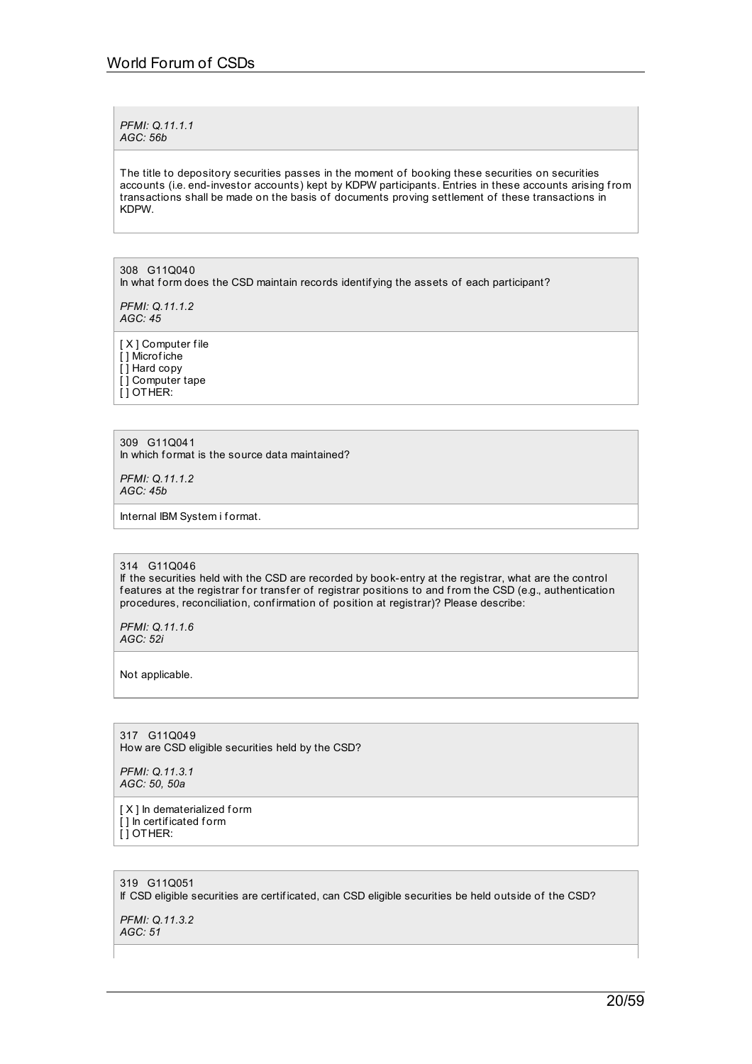*PFMI: Q.11.1.1 AGC: 56b*

The title to depository securities passes in the moment of booking these securities on securities accounts (i.e. end-investor accounts) kept by KDPW participants. Entries in these accounts arising from transactions shall be made on the basis of documents proving settlement of these transactions in KDPW.

308 G11Q040 In what form does the CSD maintain records identifying the assets of each participant?

*PFMI: Q.11.1.2 AGC: 45*

[ X ] Computer file [ ] Microf iche [ ] Hard copy [ ] Computer tape [ ] OTHER:

309 G11Q041 In which format is the source data maintained?

*PFMI: Q.11.1.2 AGC: 45b*

Internal IBM System i format.

314 G11Q046

If the securities held with the CSD are recorded by book-entry at the registrar, what are the control features at the registrar for transfer of registrar positions to and from the CSD (e.g., authentication procedures, reconciliation, confirmation of position at registrar)? Please describe:

*PFMI: Q.11.1.6 AGC: 52i*

Not applicable.

317 G11Q049 How are CSD eligible securities held by the CSD?

*PFMI: Q.11.3.1 AGC: 50, 50a*

[ X ] In dematerialized form [] In certificated form [ ] OTHER:

319 G11Q051 If CSD eligible securities are certif icated, can CSD eligible securities be held outside of the CSD?

*PFMI: Q.11.3.2 AGC: 51*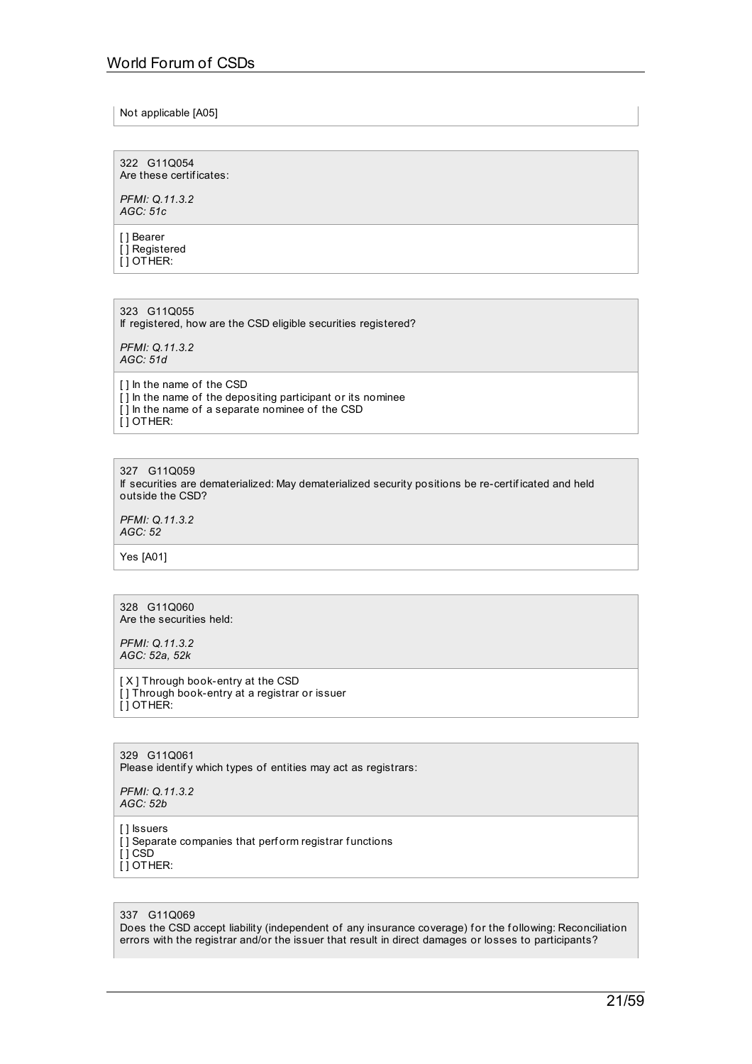Not applicable [A05]

322 G11Q054 Are these certif icates:

*PFMI: Q.11.3.2 AGC: 51c*

[] Bearer [ ] Registered [ ] OTHER:

323 G11Q055 If registered, how are the CSD eligible securities registered?

*PFMI: Q.11.3.2 AGC: 51d*

[ ] In the name of the CSD [ ] In the name of the depositing participant or its nominee [] In the name of a separate nominee of the CSD  $[$   $]$  OTHER:

327 G11Q059 If securities are dematerialized: May dematerialized security positions be re-certif icated and held outside the CSD?

*PFMI: Q.11.3.2 AGC: 52*

Yes [A01]

328 G11Q060 Are the securities held:

*PFMI: Q.11.3.2 AGC: 52a, 52k*

[ X ] Through book-entry at the CSD [ ] Through book-entry at a registrar or issuer  $\overline{ }$ [ ] OTHER:

329 G11Q061 Please identify which types of entities may act as registrars:

*PFMI: Q.11.3.2 AGC: 52b*

[] Issuers

 $\overline{[}$ ] Separate companies that perform registrar functions  $[$   $]$  CSD

 $\overline{ }$ [  $\overline{ }$ ] OTHER:

#### 337 G11Q069

Does the CSD accept liability (independent of any insurance coverage) for the following: Reconciliation errors with the registrar and/or the issuer that result in direct damages or losses to participants?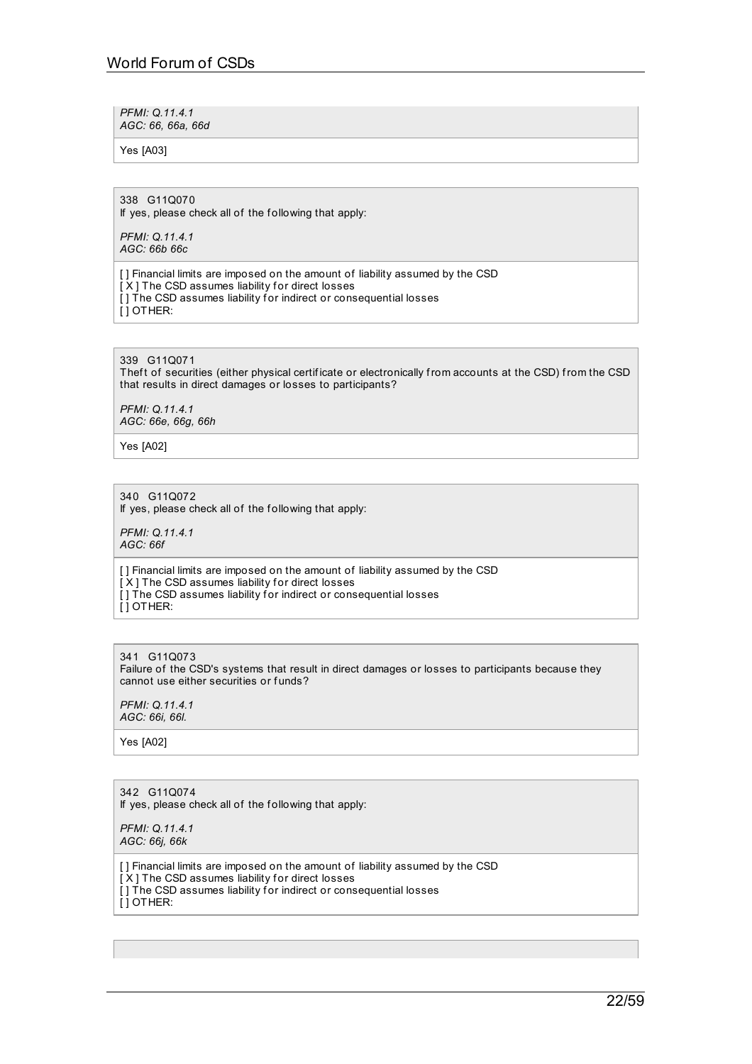*PFMI: Q.11.4.1 AGC: 66, 66a, 66d*

Yes [A03]

338 G11Q070 If yes, please check all of the following that apply:

*PFMI: Q.11.4.1 AGC: 66b 66c*

[ ] Financial limits are imposed on the amount of liability assumed by the CSD  $[X]$  The CSD assumes liability for direct losses [] The CSD assumes liability for indirect or consequential losses [ ] OTHER:

## 339 G11Q071

Theft of securities (either physical certificate or electronically from accounts at the CSD) from the CSD that results in direct damages or losses to participants?

*PFMI: Q.11.4.1 AGC: 66e, 66g, 66h*

Yes [A02]

# 340 G11Q072

If yes, please check all of the f ollowing that apply:

*PFMI: Q.11.4.1 AGC: 66f*

[ ] Financial limits are imposed on the amount of liability assumed by the CSD [X] The CSD assumes liability for direct losses [] The CSD assumes liability for indirect or consequential losses  $\overline{ }$ [ ] OTHER:

#### 341 G11Q073 Failure of the CSD's systems that result in direct damages or losses to participants because they cannot use either securities or funds?

*PFMI: Q.11.4.1 AGC: 66i, 66l.*

Yes [A02]

342 G11Q074 If yes, please check all of the f ollowing that apply:

*PFMI: Q.11.4.1 AGC: 66j, 66k*

[ ] Financial limits are imposed on the amount of liability assumed by the CSD [X] The CSD assumes liability for direct losses  $\overline{[}$  ] The CSD assumes liability for indirect or consequential losses [ ] OTHER: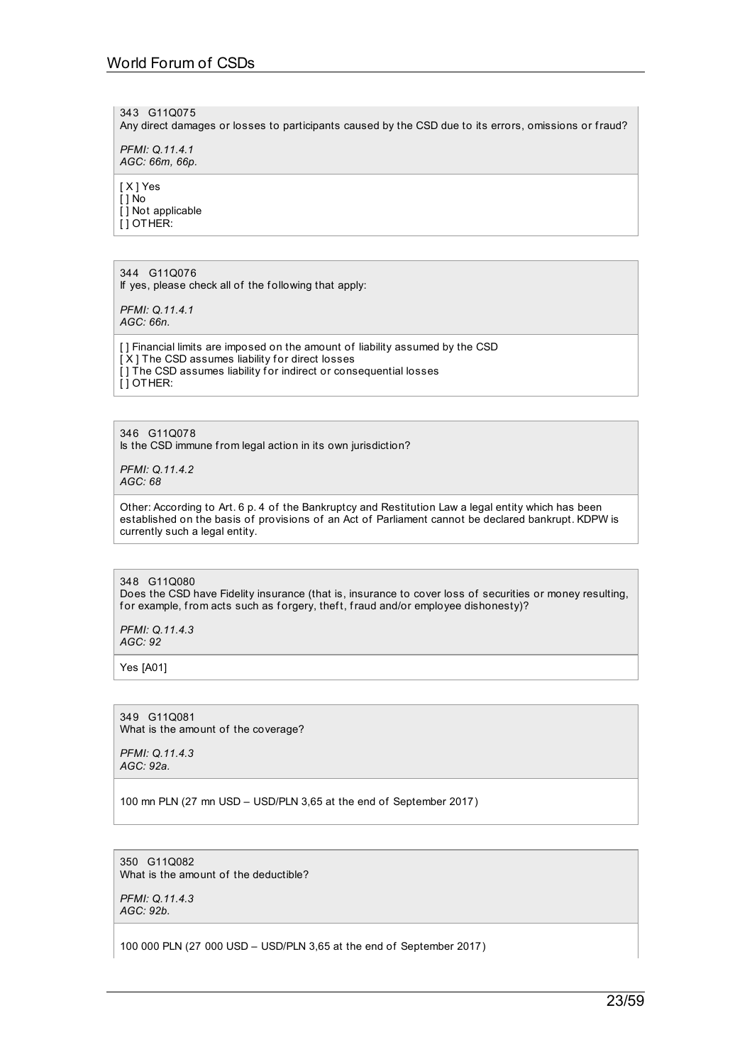343 G11Q075

Any direct damages or losses to participants caused by the CSD due to its errors, omissions or fraud?

*PFMI: Q.11.4.1 AGC: 66m, 66p.*

[ X ] Yes [ ] No [ ] Not applicable [ ] OTHER:

344 G11Q076 If yes, please check all of the following that apply:

*PFMI: Q.11.4.1 AGC: 66n.*

[] Financial limits are imposed on the amount of liability assumed by the CSD [X] The CSD assumes liability for direct losses [] The CSD assumes liability for indirect or consequential losses [ ] OTHER:

346 G11Q078

Is the CSD immune from legal action in its own jurisdiction?

*PFMI: Q.11.4.2 AGC: 68*

Other: According to Art. 6 p. 4 of the Bankruptcy and Restitution Law a legal entity which has been established on the basis of provisions of an Act of Parliament cannot be declared bankrupt. KDPW is currently such a legal entity.

348 G11Q080 Does the CSD have Fidelity insurance (that is, insurance to cover loss of securities or money resulting, for example, from acts such as forgery, theft, fraud and/or employee dishonesty)?

*PFMI: Q.11.4.3 AGC: 92*

Yes [A01]

349 G11Q081 What is the amount of the coverage?

*PFMI: Q.11.4.3 AGC: 92a.*

100 mn PLN (27 mn USD – USD/PLN 3,65 at the end of September 2017)

350 G11Q082 What is the amount of the deductible?

*PFMI: Q.11.4.3 AGC: 92b.*

100 000 PLN (27 000 USD – USD/PLN 3,65 at the end of September 2017)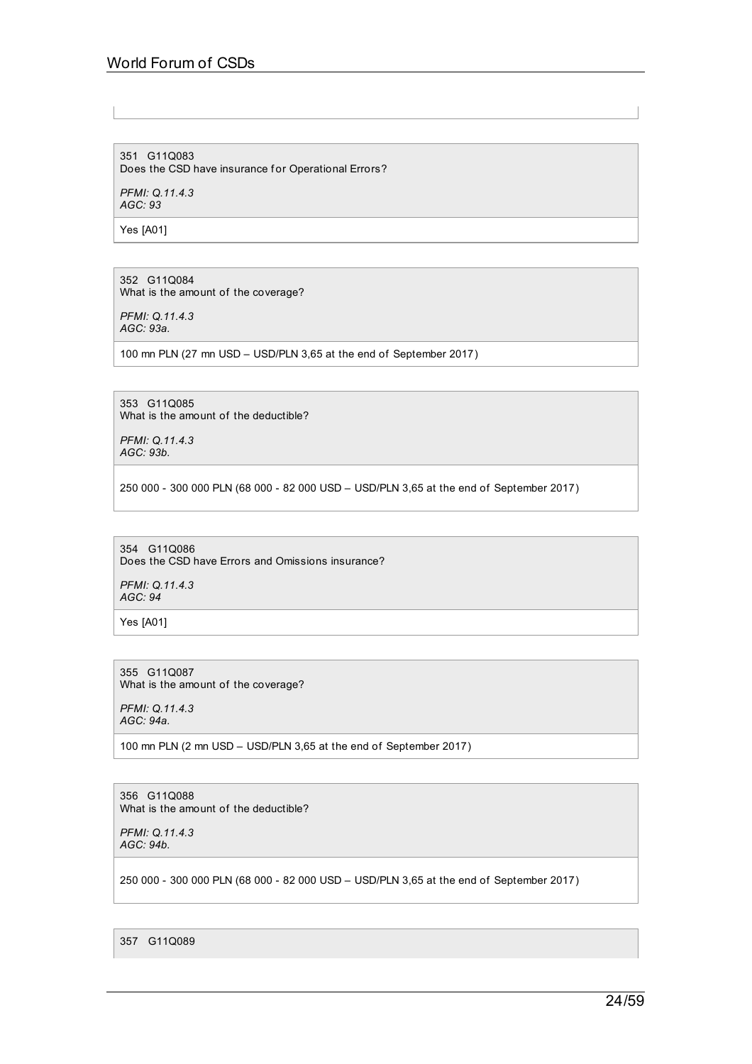# World Forum of CSDs

351 G11Q083 Does the CSD have insurance for Operational Errors?

*PFMI: Q.11.4.3 AGC: 93*

Yes [A01]

352 G11Q084 What is the amount of the coverage?

*PFMI: Q.11.4.3 AGC: 93a.*

100 mn PLN (27 mn USD – USD/PLN 3,65 at the end of September 2017)

353 G11Q085 What is the amount of the deductible?

*PFMI: Q.11.4.3 AGC: 93b.*

250 000 - 300 000 PLN (68 000 - 82 000 USD – USD/PLN 3,65 at the end of September 2017)

354 G11Q086 Does the CSD have Errors and Omissions insurance?

*PFMI: Q.11.4.3 AGC: 94*

Yes [A01]

355 G11Q087 What is the amount of the coverage?

*PFMI: Q.11.4.3 AGC: 94a.*

100 mn PLN (2 mn USD – USD/PLN 3,65 at the end of September 2017)

356 G11Q088 What is the amount of the deductible?

*PFMI: Q.11.4.3 AGC: 94b.*

250 000 - 300 000 PLN (68 000 - 82 000 USD – USD/PLN 3,65 at the end of September 2017)

357 G11Q089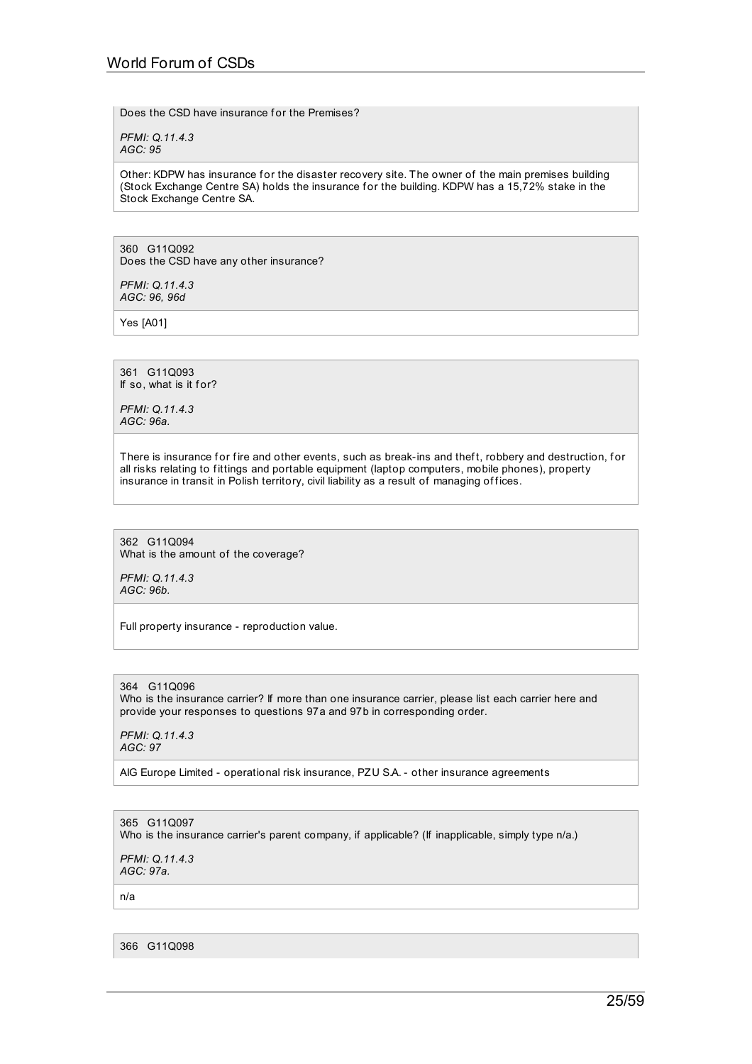Does the CSD have insurance for the Premises?

*PFMI: Q.11.4.3 AGC: 95*

Other: KDPW has insurance for the disaster recovery site. The owner of the main premises building (Stock Exchange Centre SA) holds the insurance for the building. KDPW has a 15,72% stake in the Stock Exchange Centre SA.

360 G11Q092 Does the CSD have any other insurance?

*PFMI: Q.11.4.3 AGC: 96, 96d*

Yes [A01]

361 G11Q093 If so, what is it for?

*PFMI: Q.11.4.3 AGC: 96a.*

There is insurance for fire and other events, such as break-ins and theft, robbery and destruction, for all risks relating to fittings and portable equipment (laptop computers, mobile phones), property insurance in transit in Polish territory, civil liability as a result of managing offices.

362 G11Q094 What is the amount of the coverage?

*PFMI: Q.11.4.3 AGC: 96b.*

Full property insurance - reproduction value.

364 G11Q096 Who is the insurance carrier? If more than one insurance carrier, please list each carrier here and provide your responses to questions 97a and 97b in corresponding order.

*PFMI: Q.11.4.3 AGC: 97*

AIG Europe Limited - operational risk insurance, PZU S.A. - other insurance agreements

365 G11Q097 Who is the insurance carrier's parent company, if applicable? (If inapplicable, simply type n/a.)

*PFMI: Q.11.4.3 AGC: 97a.*

n/a

366 G11Q098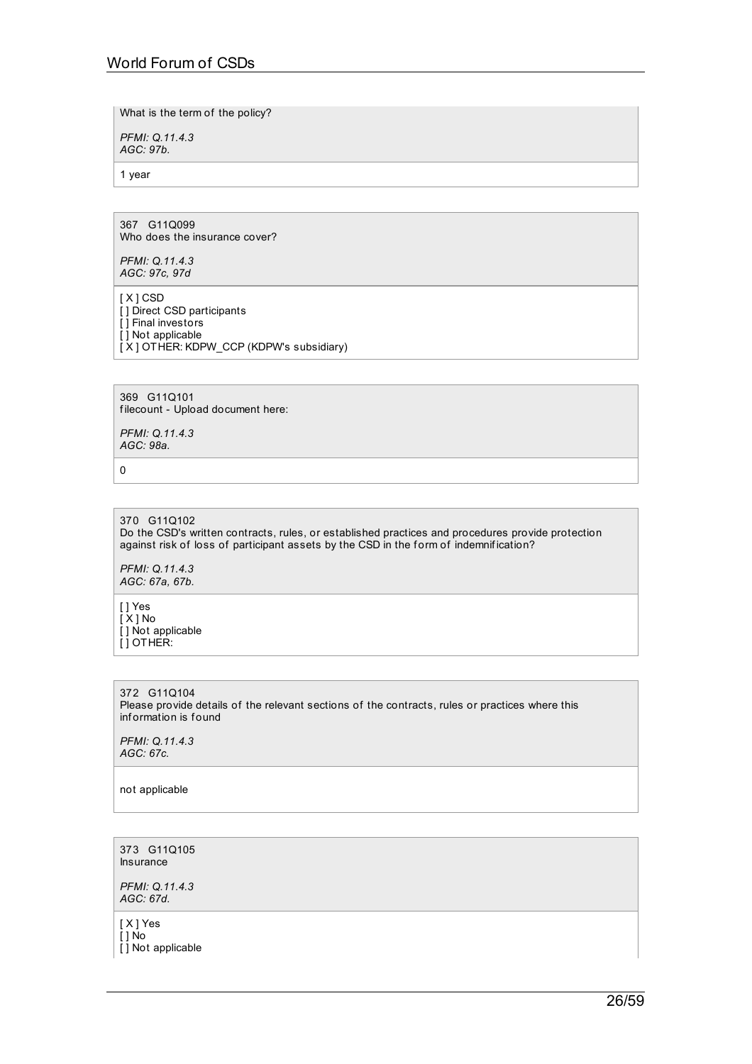What is the term of the policy?

*PFMI: Q.11.4.3 AGC: 97b.*

1 year

367 G11Q099 Who does the insurance cover?

*PFMI: Q.11.4.3 AGC: 97c, 97d*

[ X ] CSD [ ] Direct CSD participants [ ] Final investors [ ] Not applicable [ X ] OTHER: KDPW\_CCP (KDPW's subsidiary)

369 G11Q101 filecount - Upload document here:

*PFMI: Q.11.4.3 AGC: 98a.*

0

370 G11Q102 Do the CSD's written contracts, rules, or established practices and procedures provide protection against risk of loss of participant assets by the CSD in the form of indemnification?

*PFMI: Q.11.4.3 AGC: 67a, 67b.*

[ ] Yes [ X ] No [ ] Not applicable [ ] OTHER:

372 G11Q104 Please provide details of the relevant sections of the contracts, rules or practices where this inf ormation is f ound

*PFMI: Q.11.4.3 AGC: 67c.*

not applicable

373 G11Q105 Insurance

*PFMI: Q.11.4.3 AGC: 67d.*

[ X ] Yes [ ] No [ ] Not applicable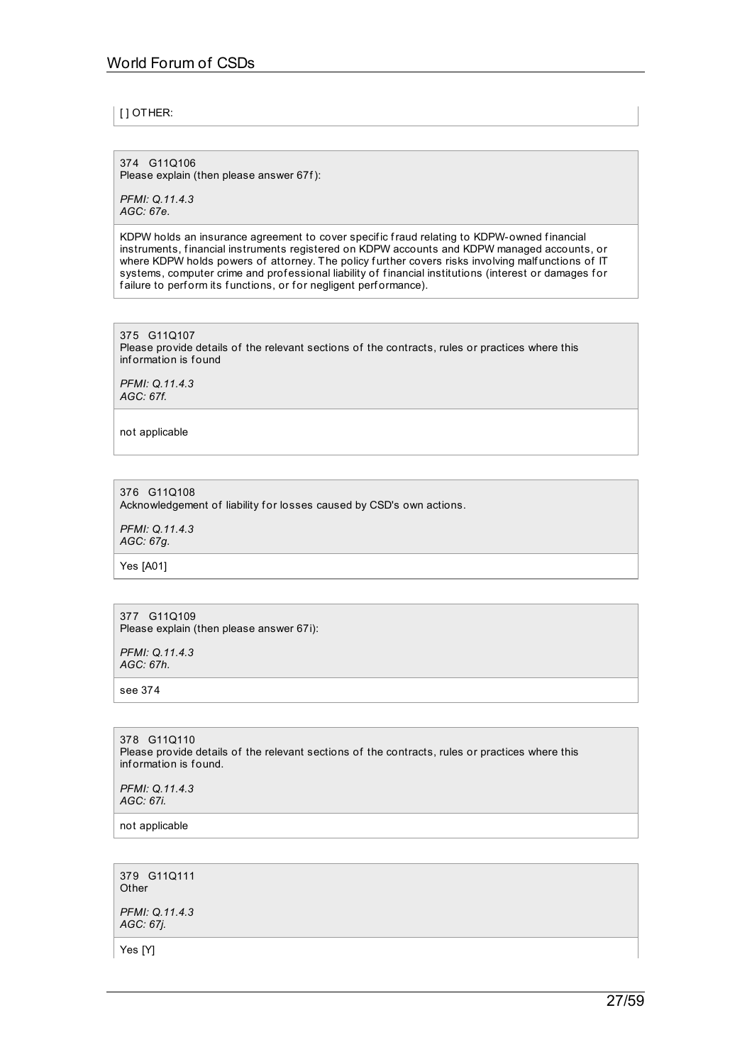## [ ] OTHER:

374 G11Q106 Please explain (then please answer 67f):

*PFMI: Q.11.4.3 AGC: 67e.*

KDPW holds an insurance agreement to cover specific fraud relating to KDPW-owned financial instruments, financial instruments registered on KDPW accounts and KDPW managed accounts, or where KDPW holds powers of attorney. The policy further covers risks involving malfunctions of IT systems, computer crime and professional liability of financial institutions (interest or damages for failure to perform its functions, or for negligent performance).

375 G11Q107 Please provide details of the relevant sections of the contracts, rules or practices where this information is found

*PFMI: Q.11.4.3 AGC: 67f.*

not applicable

376 G11Q108 Acknowledgement of liability for losses caused by CSD's own actions.

*PFMI: Q.11.4.3 AGC: 67g.*

Yes [A01]

377 G11Q109 Please explain (then please answer 67i):

*PFMI: Q.11.4.3 AGC: 67h.*

see 374

378 G11Q110 Please provide details of the relevant sections of the contracts, rules or practices where this information is found.

*PFMI: Q.11.4.3 AGC: 67i.*

not applicable

379 G11Q111 **Other** 

*PFMI: Q.11.4.3 AGC: 67j.*

Yes [Y]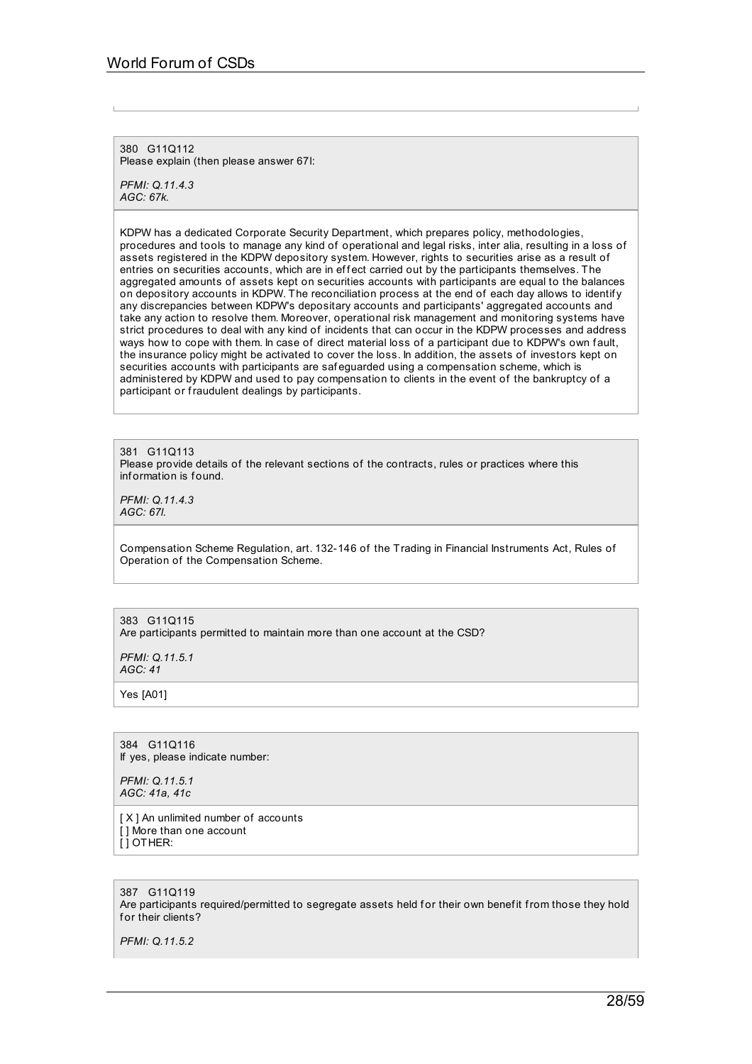380 G11Q112 Please explain (then please answer 67l:

*PFMI: Q.11.4.3 AGC: 67k.*

KDPW has a dedicated Corporate Security Department, which prepares policy, methodologies, procedures and tools to manage any kind of operational and legal risks, inter alia, resulting in a loss of assets registered in the KDPW depository system. However, rights to securities arise as a result of entries on securities accounts, which are in effect carried out by the participants themselves. The aggregated amounts of assets kept on securities accounts with participants are equal to the balances on depository accounts in KDPW. The reconciliation process at the end of each day allows to identify any discrepancies between KDPW's depositary accounts and participants' aggregated accounts and take any action to resolve them. Moreover, operational risk management and monitoring systems have strict procedures to deal with any kind of incidents that can occur in the KDPW processes and address ways how to cope with them. In case of direct material loss of a participant due to KDPW's own fault, the insurance policy might be activated to cover the loss. In addition, the assets of investors kept on securities accounts with participants are saf eguarded using a compensation scheme, which is administered by KDPW and used to pay compensation to clients in the event of the bankruptcy of a participant or fraudulent dealings by participants.

381 G11Q113 Please provide details of the relevant sections of the contracts, rules or practices where this information is found.

*PFMI: Q.11.4.3 AGC: 67l.*

Compensation Scheme Regulation, art. 132-146 of the Trading in Financial Instruments Act, Rules of Operation of the Compensation Scheme.

383 G11Q115 Are participants permitted to maintain more than one account at the CSD?

*PFMI: Q.11.5.1 AGC: 41*

Yes [A01]

384 G11Q116 If yes, please indicate number:

*PFMI: Q.11.5.1 AGC: 41a, 41c*

[ X ] An unlimited number of accounts [ ] More than one account  $\overline{ }$ [ ] OTHER:

387 G11Q119

Are participants required/permitted to segregate assets held for their own benefit from those they hold for their clients?

*PFMI: Q.11.5.2*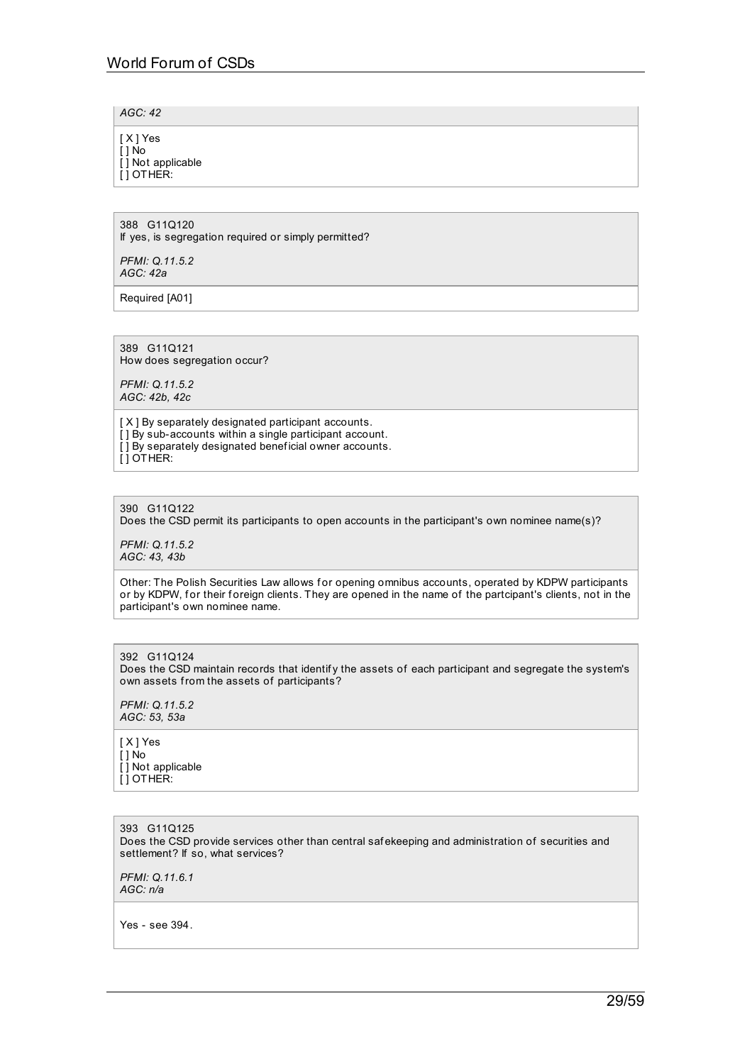*AGC: 42*

[ X ] Yes [ ] No [ ] Not applicable [ ] OTHER:

388 G11Q120 If yes, is segregation required or simply permitted?

*PFMI: Q.11.5.2 AGC: 42a*

Required [A01]

389 G11Q121 How does segregation occur?

*PFMI: Q.11.5.2 AGC: 42b, 42c*

[ $X$ ] By separately designated participant accounts. [ ] By sub-accounts within a single participant account. [] By separately designated beneficial owner accounts. [ ] OTHER:

390 G11Q122

Does the CSD permit its participants to open accounts in the participant's own nominee name(s)?

*PFMI: Q.11.5.2 AGC: 43, 43b*

Other: The Polish Securities Law allows for opening omnibus accounts, operated by KDPW participants or by KDPW, for their foreign clients. They are opened in the name of the partcipant's clients, not in the participant's own nominee name.

392 G11Q124 Does the CSD maintain records that identify the assets of each participant and segregate the system's own assets from the assets of participants?

*PFMI: Q.11.5.2 AGC: 53, 53a*

[ X ] Yes  $\overline{[}$   $\overline{]}$  No [ ] Not applicable [ ] OTHER:

393 G11Q125 Does the CSD provide services other than central saf ekeeping and administration of securities and settlement? If so, what services?

*PFMI: Q.11.6.1 AGC: n/a*

Yes - see 394.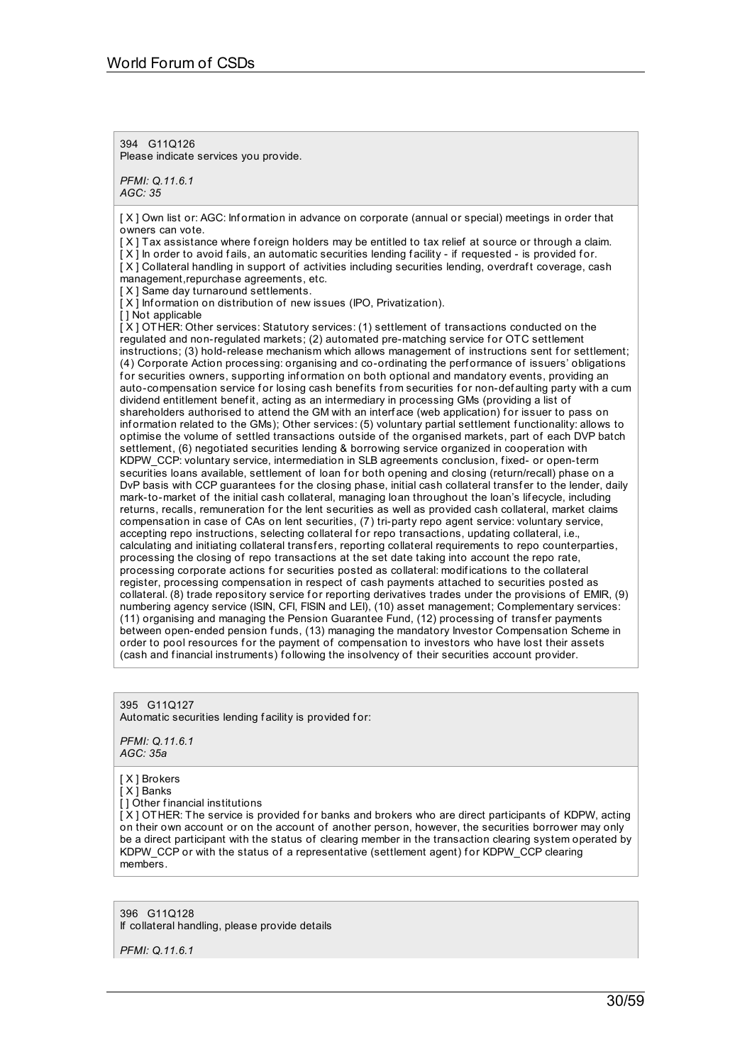394 G11Q126 Please indicate services you provide.

*PFMI: Q.11.6.1 AGC: 35*

[X] Own list or: AGC: Information in advance on corporate (annual or special) meetings in order that owners can vote.

[X] Tax assistance where foreign holders may be entitled to tax relief at source or through a claim.

[X] In order to avoid fails, an automatic securities lending facility - if requested - is provided for.

[X] Collateral handling in support of activities including securities lending, overdraft coverage, cash management,repurchase agreements, etc.

[ $X$ ] Same day turnaround settlements.

 $[X]$  Information on distribution of new issues (IPO, Privatization).

[ ] Not applicable

[ X ] OTHER: Other services: Statutory services: (1) settlement of transactions conducted on the regulated and non-regulated markets; (2) automated pre-matching service for OTC settlement instructions; (3) hold-release mechanism which allows management of instructions sent for settlement; (4) Corporate Action processing: organising and co-ordinating the perf ormance of issuers' obligations for securities owners, supporting information on both optional and mandatory events, providing an auto-compensation service for losing cash benefits from securities for non-defaulting party with a cum dividend entitlement benefit, acting as an intermediary in processing GMs (providing a list of shareholders authorised to attend the GM with an interface (web application) for issuer to pass on inf ormation related to the GMs); Other services: (5) voluntary partial settlement f unctionality: allows to optimise the volume of settled transactions outside of the organised markets, part of each DVP batch settlement, (6) negotiated securities lending & borrowing service organized in cooperation with KDPW\_CCP: voluntary service, intermediation in SLB agreements conclusion, fixed- or open-term securities loans available, settlement of loan for both opening and closing (return/recall) phase on a DvP basis with CCP guarantees for the closing phase, initial cash collateral transfer to the lender, daily mark-to-market of the initial cash collateral, managing loan throughout the loan's lif ecycle, including returns, recalls, remuneration for the lent securities as well as provided cash collateral, market claims compensation in case of CAs on lent securities, (7) tri-party repo agent service: voluntary service, accepting repo instructions, selecting collateral for repo transactions, updating collateral, i.e., calculating and initiating collateral transfers, reporting collateral requirements to repo counterparties, processing the closing of repo transactions at the set date taking into account the repo rate, processing corporate actions for securities posted as collateral: modifications to the collateral register, processing compensation in respect of cash payments attached to securities posted as collateral. (8) trade repository service for reporting derivatives trades under the provisions of EMIR. (9) numbering agency service (ISIN, CFI, FISIN and LEI), (10) asset management; Complementary services: (11) organising and managing the Pension Guarantee Fund, (12) processing of transfer payments between open-ended pension f unds, (13) managing the mandatory Investor Compensation Scheme in order to pool resources for the payment of compensation to investors who have lost their assets (cash and financial instruments) following the insolvency of their securities account provider.

395 G11Q127 Automatic securities lending facility is provided for:

*PFMI: Q.11.6.1 AGC: 35a*

[ X ] Brokers

[ X ] Banks

[ ] Other f inancial institutions

[X] OTHER: The service is provided for banks and brokers who are direct participants of KDPW, acting on their own account or on the account of another person, however, the securities borrower may only be a direct participant with the status of clearing member in the transaction clearing system operated by KDPW\_CCP or with the status of a representative (settlement agent) for KDPW\_CCP clearing members.

396 G11Q128 If collateral handling, please provide details

*PFMI: Q.11.6.1*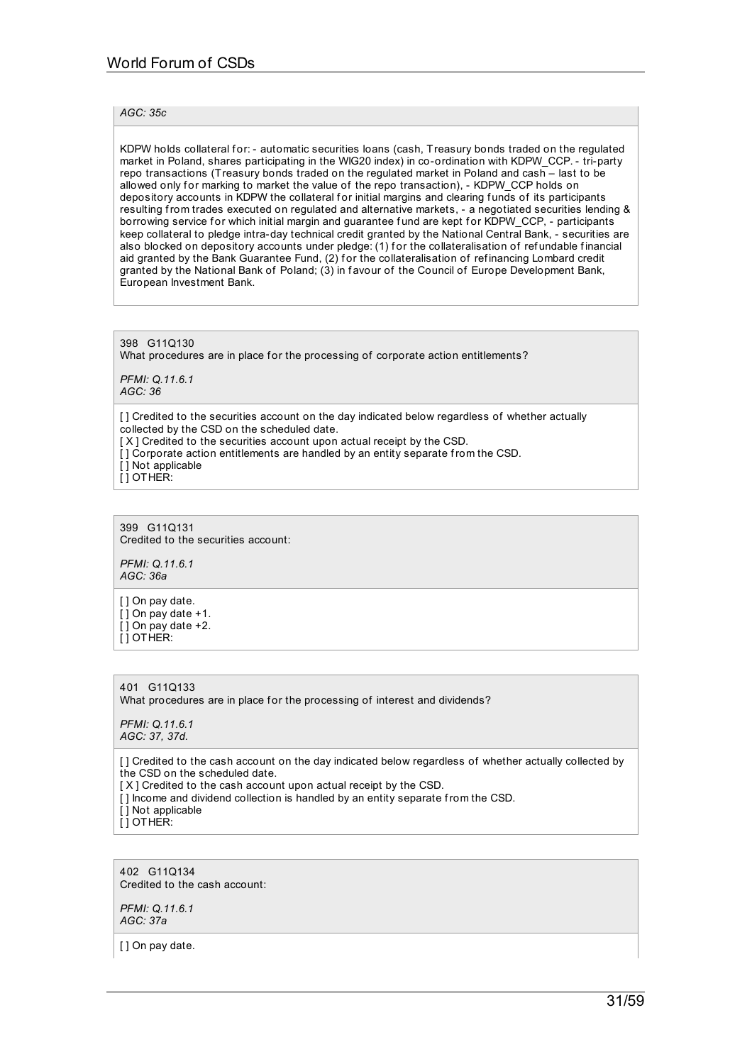## *AGC: 35c*

KDPW holds collateral for: - automatic securities loans (cash, Treasury bonds traded on the regulated market in Poland, shares participating in the WIG20 index) in co-ordination with KDPW\_CCP. - tri-party repo transactions (Treasury bonds traded on the regulated market in Poland and cash – last to be allowed only for marking to market the value of the repo transaction), - KDPW\_CCP holds on depository accounts in KDPW the collateral for initial margins and clearing funds of its participants resulting from trades executed on regulated and alternative markets, - a negotiated securities lending & borrowing service for which initial margin and guarantee fund are kept for KDPW\_CCP, - participants keep collateral to pledge intra-day technical credit granted by the National Central Bank, - securities are also blocked on depository accounts under pledge: (1) for the collateralisation of refundable financial aid granted by the Bank Guarantee Fund, (2) for the collateralisation of refinancing Lombard credit granted by the National Bank of Poland; (3) in favour of the Council of Europe Development Bank, European Investment Bank.

398 G11Q130 What procedures are in place for the processing of corporate action entitlements? *PFMI: Q.11.6.1 AGC: 36*

[] Credited to the securities account on the day indicated below regardless of whether actually collected by the CSD on the scheduled date. [X] Credited to the securities account upon actual receipt by the CSD. [] Corporate action entitlements are handled by an entity separate from the CSD.  $\overline{[}$  ] Not applicable [ ] OTHER:

399 G11Q131 Credited to the securities account:

*PFMI: Q.11.6.1 AGC: 36a*

[ ] On pay date.  $\overline{[}$   $\overline{]}$  On pay date +1. [ ] On pay date +2. [ ] OTHER:

401 G11Q133 What procedures are in place for the processing of interest and dividends?

*PFMI: Q.11.6.1 AGC: 37, 37d.*

[ ] Credited to the cash account on the day indicated below regardless of whether actually collected by the CSD on the scheduled date. [X] Credited to the cash account upon actual receipt by the CSD.

- [] Income and dividend collection is handled by an entity separate from the CSD.
- [ ] Not applicable

[ ] OTHER:

402 G11Q134 Credited to the cash account:

*PFMI: Q.11.6.1 AGC: 37a*

[ ] On pay date.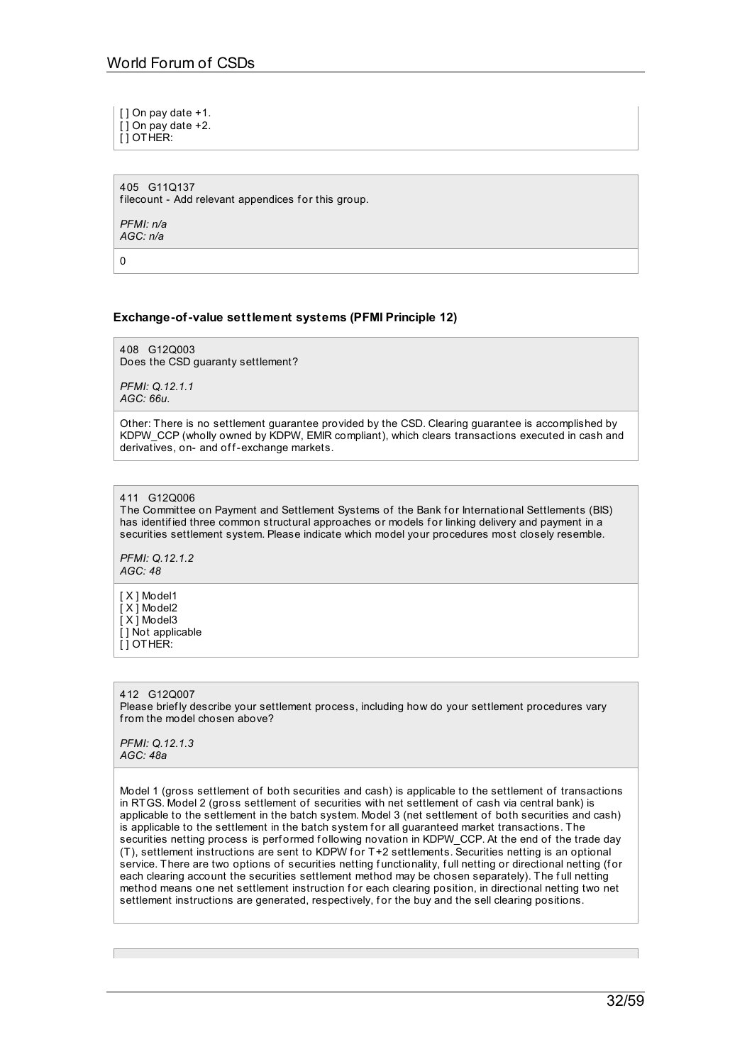[ ] On pay date +1.  $\overline{[}$   $\overline{]}$  On pay date +2. [ ] OTHER:

405 G11Q137 filecount - Add relevant appendices for this group.

*PFMI: n/a AGC: n/a*

 $\Omega$ 

## **Exchange-of-value settlement systems (PFMI Principle 12)**

408 G12Q003 Does the CSD guaranty settlement?

*PFMI: Q.12.1.1 AGC: 66u.*

Other: There is no settlement guarantee provided by the CSD. Clearing guarantee is accomplished by KDPW\_CCP (wholly owned by KDPW, EMIR compliant), which clears transactions executed in cash and derivatives, on- and off-exchange markets.

411 G12Q006

The Committee on Payment and Settlement Systems of the Bank for International Settlements (BIS) has identified three common structural approaches or models for linking delivery and payment in a securities settlement system. Please indicate which model your procedures most closely resemble.

*PFMI: Q.12.1.2 AGC: 48*

[ X ] Model1 [ X ] Model2  $\overline{[} \times \overline{]}$  Model3 [ ] Not applicable [ ] OTHER:

412 G12Q007 Please briefly describe your settlement process, including how do your settlement procedures vary from the model chosen above?

*PFMI: Q.12.1.3 AGC: 48a*

Model 1 (gross settlement of both securities and cash) is applicable to the settlement of transactions in RTGS. Model 2 (gross settlement of securities with net settlement of cash via central bank) is applicable to the settlement in the batch system. Model 3 (net settlement of both securities and cash) is applicable to the settlement in the batch system for all guaranteed market transactions. The securities netting process is performed following novation in KDPW\_CCP. At the end of the trade day (T), settlement instructions are sent to KDPW f or T+2 settlements. Securities netting is an optional service. There are two options of securities netting functionality, full netting or directional netting (for each clearing account the securities settlement method may be chosen separately). The full netting method means one net settlement instruction for each clearing position, in directional netting two net settlement instructions are generated, respectively, for the buy and the sell clearing positions.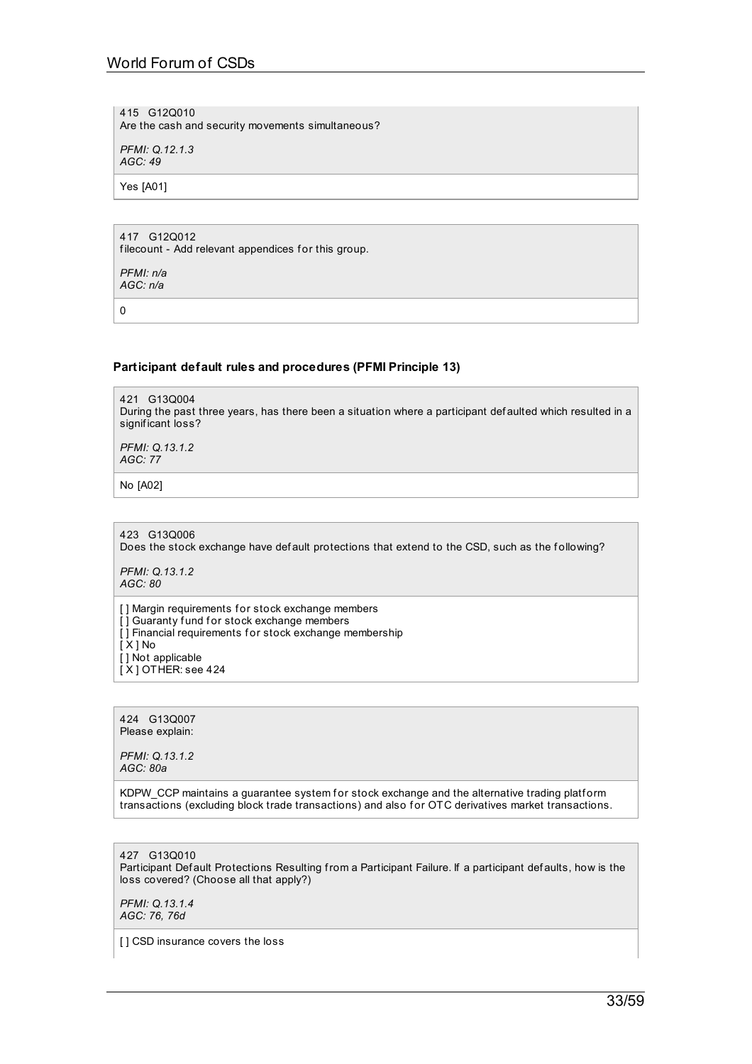415 G12Q010 Are the cash and security movements simultaneous?

*PFMI: Q.12.1.3 AGC: 49*

Yes [A01]

417 G12Q012 filecount - Add relevant appendices for this group.

*PFMI: n/a AGC: n/a*

0

## **Participant default rules and procedures (PFMI Principle 13)**

421 G13Q004 During the past three years, has there been a situation where a participant def aulted which resulted in a significant loss?

*PFMI: Q.13.1.2 AGC: 77*

No [A02]

423 G13Q006 Does the stock exchange have def ault protections that extend to the CSD, such as the following?

*PFMI: Q.13.1.2 AGC: 80*

[] Margin requirements for stock exchange members  $\overline{1}$  Guaranty fund for stock exchange members  $\overline{[}$  ] Financial requirements for stock exchange membership [ X ] No [] Not applicable  $[X]$  OTHER: see 424

424 G13Q007 Please explain:

*PFMI: Q.13.1.2 AGC: 80a*

KDPW\_CCP maintains a guarantee system for stock exchange and the alternative trading platform transactions (excluding block trade transactions) and also for OTC derivatives market transactions.

427 G13Q010 Participant Def ault Protections Resulting from a Participant Failure. If a participant def aults, how is the loss covered? (Choose all that apply?)

*PFMI: Q.13.1.4 AGC: 76, 76d*

[] CSD insurance covers the loss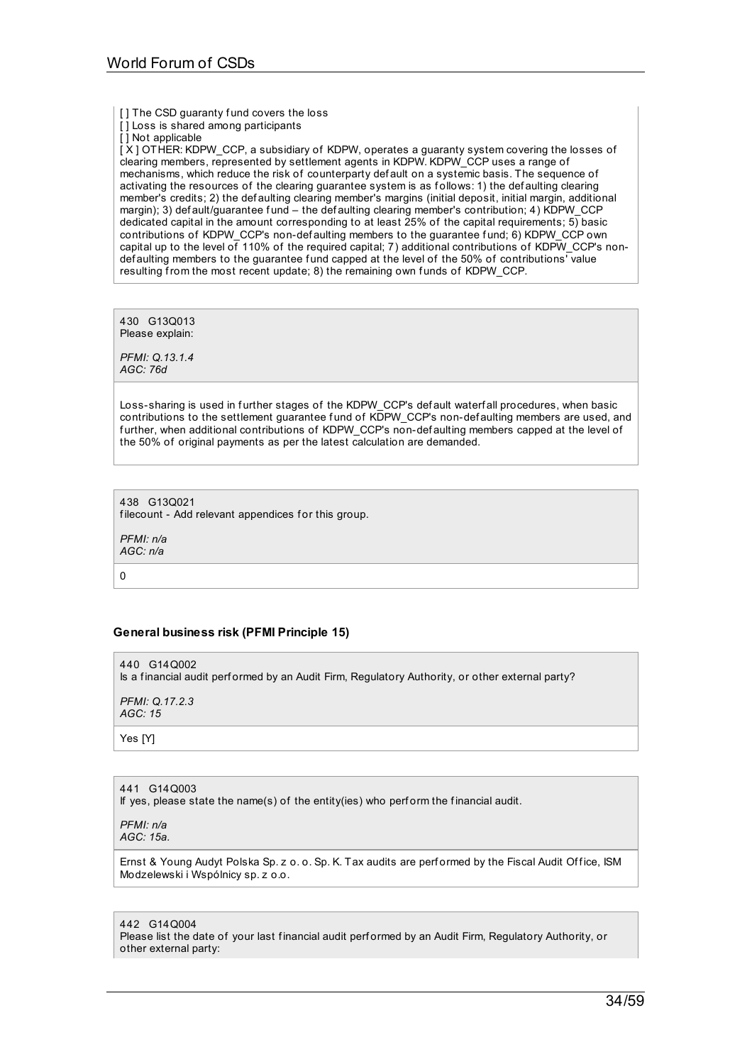[ ] The CSD guaranty fund covers the loss

[ ] Loss is shared among participants

[] Not applicable

[X] OTHER: KDPW\_CCP, a subsidiary of KDPW, operates a guaranty system covering the losses of clearing members, represented by settlement agents in KDPW. KDPW\_CCP uses a range of mechanisms, which reduce the risk of counterparty def ault on a systemic basis. The sequence of activating the resources of the clearing guarantee system is as f ollows: 1) the def aulting clearing member's credits; 2) the def aulting clearing member's margins (initial deposit, initial margin, additional margin); 3) def ault/guarantee f und – the def aulting clearing member's contribution; 4) KDPW\_CCP dedicated capital in the amount corresponding to at least 25% of the capital requirements; 5) basic contributions of KDPW\_CCP's non-def aulting members to the guarantee f und; 6) KDPW\_CCP own capital up to the level of 110% of the required capital; 7) additional contributions of KDPW\_CCP's nondef aulting members to the guarantee f und capped at the level of the 50% of contributions' value resulting from the most recent update; 8) the remaining own f unds of KDPW\_CCP.

430 G13Q013 Please explain:

*PFMI: Q.13.1.4 AGC: 76d*

Loss-sharing is used in further stages of the KDPW\_CCP's def ault waterf all procedures, when basic contributions to the settlement guarantee fund of KDPW\_CCP's non-def aulting members are used, and further, when additional contributions of KDPW\_CCP's non-def aulting members capped at the level of the 50% of original payments as per the latest calculation are demanded.

438 G13Q021 filecount - Add relevant appendices for this group.

*PFMI: n/a AGC: n/a*

 $\Omega$ 

# **General business risk (PFMI Principle 15)**

440 G140002 Is a f inancial audit perf ormed by an Audit Firm, Regulatory Authority, or other external party? *PFMI: Q.17.2.3*

*AGC: 15*

Yes [Y]

441 G14Q003

If yes, please state the name(s) of the entity(ies) who perform the financial audit.

*PFMI: n/a AGC: 15a.*

Ernst & Young Audyt Polska Sp. z o. o. Sp. K. Tax audits are performed by the Fiscal Audit Office, ISM Modzelewski i Wspólnicy sp. z o.o.

442 G14Q004

Please list the date of your last financial audit performed by an Audit Firm, Regulatory Authority, or other external party: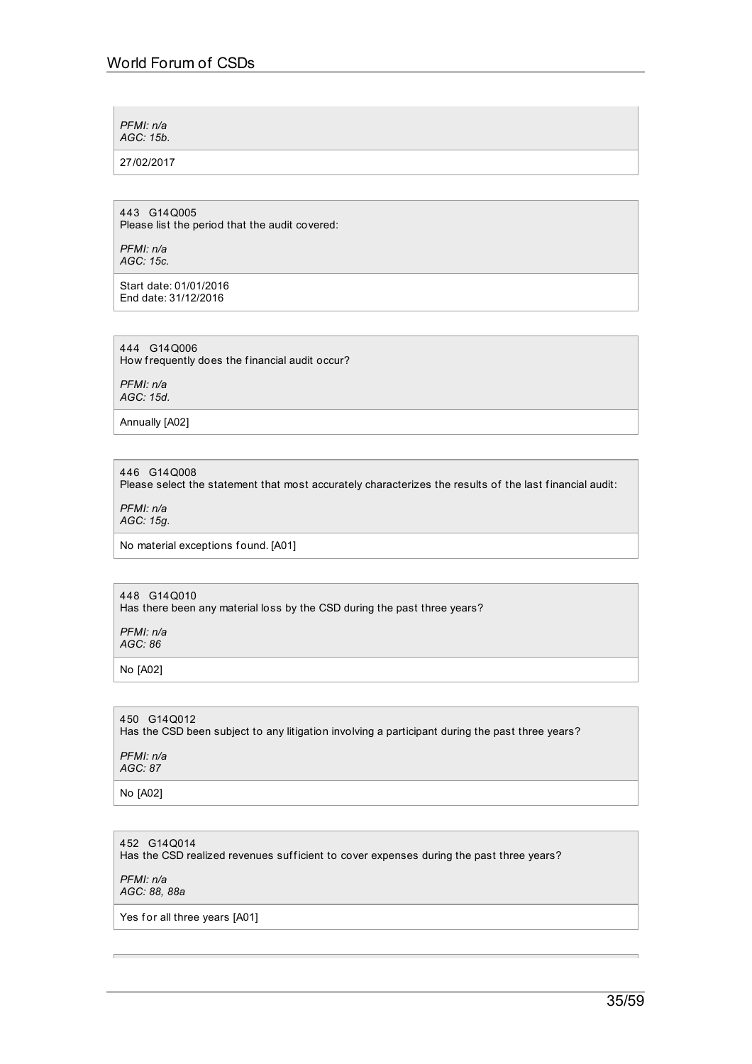*PFMI: n/a AGC: 15b.*

27/02/2017

443 G14Q005 Please list the period that the audit covered:

*PFMI: n/a AGC: 15c.*

Start date: 01/01/2016 End date: 31/12/2016

444 G14Q006 How frequently does the financial audit occur?

*PFMI: n/a AGC: 15d.*

Annually [A02]

446 G14Q008 Please select the statement that most accurately characterizes the results of the last financial audit:

*PFMI: n/a AGC: 15g.*

No material exceptions found. [A01]

448 G14Q010 Has there been any material loss by the CSD during the past three years?

*PFMI: n/a AGC: 86*

No [A02]

450 G14Q012

Has the CSD been subject to any litigation involving a participant during the past three years?

*PFMI: n/a AGC: 87*

No [A02]

452 G14Q014

Has the CSD realized revenues sufficient to cover expenses during the past three years?

*PFMI: n/a*

*AGC: 88, 88a*

Yes for all three years [A01]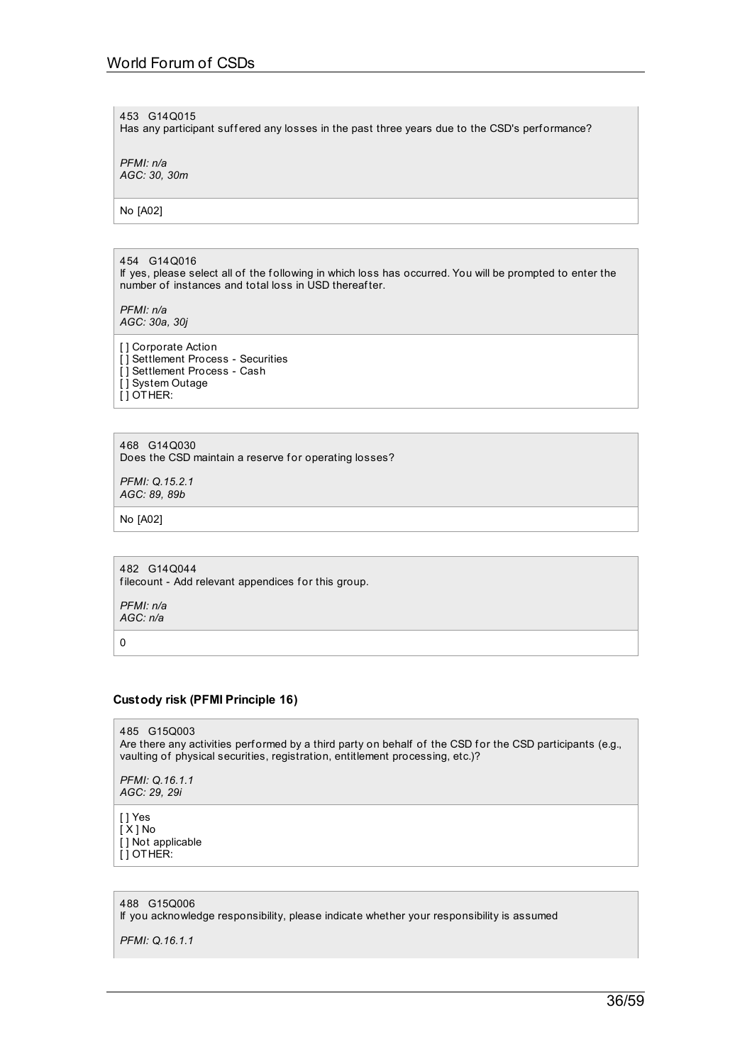453 G14Q015

Has any participant suffered any losses in the past three years due to the CSD's performance?

*PFMI: n/a AGC: 30, 30m*

No [A02]

#### 454 G14Q016

If yes, please select all of the f ollowing in which loss has occurred. You will be prompted to enter the number of instances and total loss in USD thereafter.

*PFMI: n/a AGC: 30a, 30j*

[] Corporate Action [ ] Settlement Process - Securities [] Settlement Process - Cash [ ] System Outage [ ] OTHER:

468 G14Q030 Does the CSD maintain a reserve for operating losses?

*PFMI: Q.15.2.1 AGC: 89, 89b*

No [A02]

482 G14Q044 filecount - Add relevant appendices for this group.

*PFMI: n/a AGC: n/a*

0

## **Custody risk (PFMI Principle 16)**

485 G15Q003 Are there any activities performed by a third party on behalf of the CSD for the CSD participants (e.g., vaulting of physical securities, registration, entitlement processing, etc.)?

*PFMI: Q.16.1.1 AGC: 29, 29i*

[ ] Yes [ X ] No [ ] Not applicable [ ] OTHER:

488 G15Q006

If you acknowledge responsibility, please indicate whether your responsibility is assumed

*PFMI: Q.16.1.1*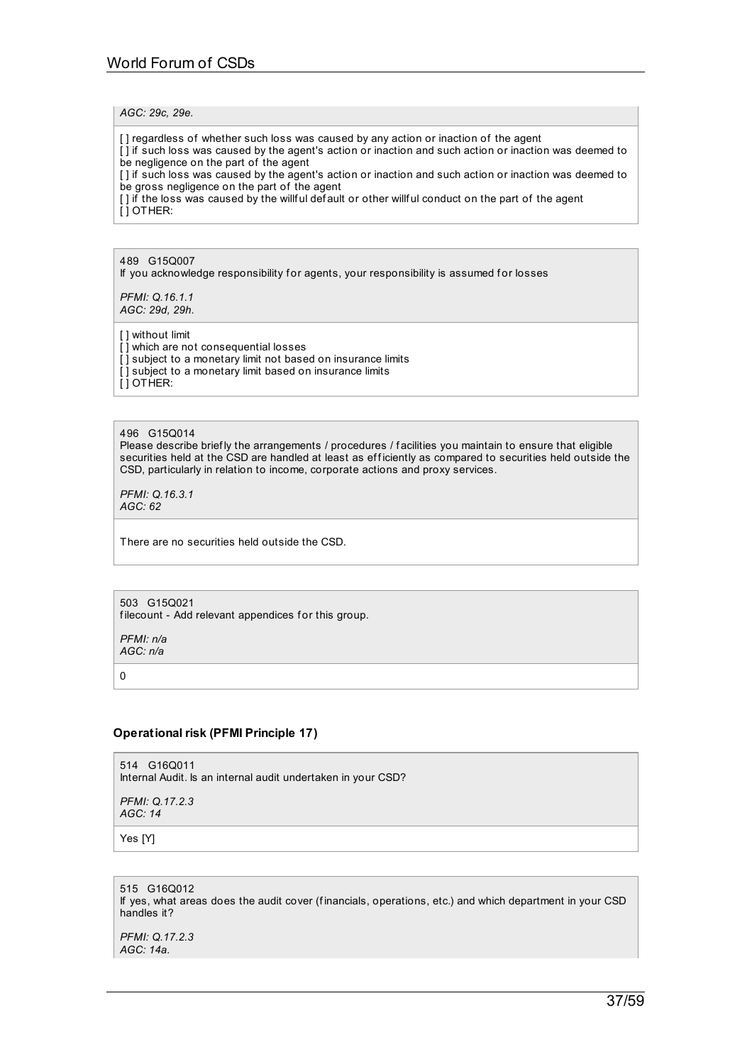#### *AGC: 29c, 29e.*

[ ] regardless of whether such loss was caused by any action or inaction of the agent

[ ] if such loss was caused by the agent's action or inaction and such action or inaction was deemed to be negligence on the part of the agent

[ ] if such loss was caused by the agent's action or inaction and such action or inaction was deemed to be gross negligence on the part of the agent

[ ] if the loss was caused by the willful default or other willful conduct on the part of the agent [ ] OTHER:

#### 489 G15Q007

If you acknowledge responsibility for agents, your responsibility is assumed for losses

*PFMI: Q.16.1.1 AGC: 29d, 29h.*

## [ ] without limit

[] which are not consequential losses [] subject to a monetary limit not based on insurance limits [] subject to a monetary limit based on insurance limits  $\overline{ }$ [ ] OTHER:

#### 496 G15Q014

Please describe briefly the arrangements / procedures / facilities you maintain to ensure that eligible securities held at the CSD are handled at least as efficiently as compared to securities held outside the CSD, particularly in relation to income, corporate actions and proxy services.

*PFMI: Q.16.3.1 AGC: 62*

There are no securities held outside the CSD.

#### 503 G15Q021 filecount - Add relevant appendices for this group.

*PFMI: n/a AGC: n/a*

0

## **Operational risk (PFMI Principle 17)**

514 G16Q011 Internal Audit. Is an internal audit undertaken in your CSD?

*PFMI: Q.17.2.3 AGC: 14*

Yes [Y]

515 G16Q012 If yes, what areas does the audit cover (f inancials, operations, etc.) and which department in your CSD handles it?

*PFMI: Q.17.2.3 AGC: 14a.*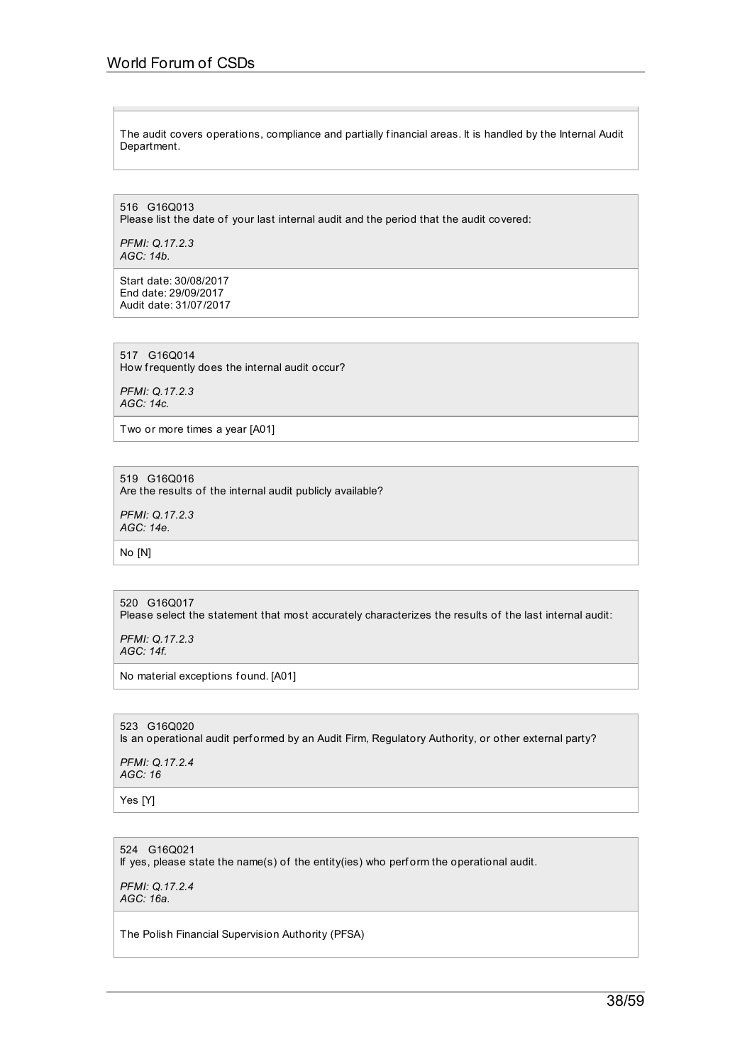The audit covers operations, compliance and partially financial areas. It is handled by the Internal Audit Department.

516 G16Q013

Please list the date of your last internal audit and the period that the audit covered:

*PFMI: Q.17.2.3 AGC: 14b.*

Start date: 30/08/2017 End date: 29/09/2017 Audit date: 31/07/2017

517 G16Q014 How frequently does the internal audit occur?

*PFMI: Q.17.2.3 AGC: 14c.*

Two or more times a year [A01]

519 G16Q016 Are the results of the internal audit publicly available?

*PFMI: Q.17.2.3 AGC: 14e.*

No [N]

## 520 G16Q017

Please select the statement that most accurately characterizes the results of the last internal audit:

*PFMI: Q.17.2.3 AGC: 14f.*

No material exceptions found. [A01]

523 G16Q020 Is an operational audit performed by an Audit Firm, Regulatory Authority, or other external party?

*PFMI: Q.17.2.4 AGC: 16*

Yes [Y]

524 G16Q021 If yes, please state the name(s) of the entity(ies) who perf orm the operational audit.

*PFMI: Q.17.2.4 AGC: 16a.*

The Polish Financial Supervision Authority (PFSA)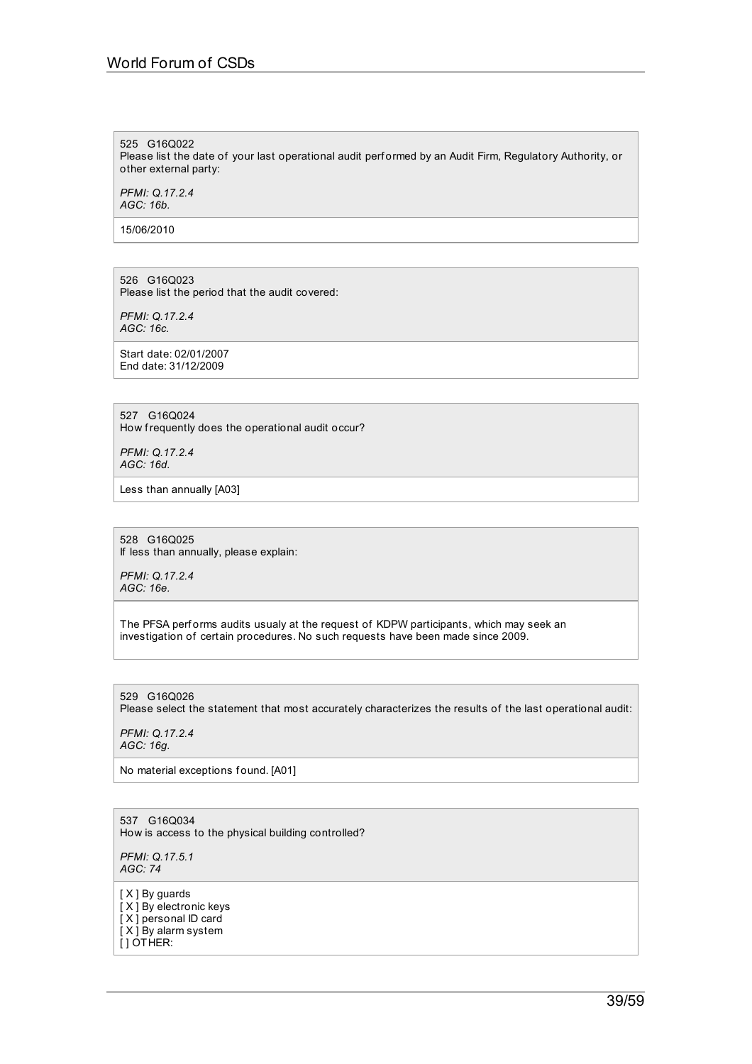525 G16Q022

Please list the date of your last operational audit performed by an Audit Firm, Regulatory Authority, or other external party:

*PFMI: Q.17.2.4 AGC: 16b.*

15/06/2010

526 G16Q023 Please list the period that the audit covered:

*PFMI: Q.17.2.4 AGC: 16c.*

Start date: 02/01/2007 End date: 31/12/2009

527 G16Q024 How frequently does the operational audit occur?

*PFMI: Q.17.2.4 AGC: 16d.*

Less than annually [A03]

528 G16Q025 If less than annually, please explain:

*PFMI: Q.17.2.4 AGC: 16e.*

The PFSA performs audits usualy at the request of KDPW participants, which may seek an investigation of certain procedures. No such requests have been made since 2009.

529 G16Q026 Please select the statement that most accurately characterizes the results of the last operational audit:

*PFMI: Q.17.2.4 AGC: 16g.*

No material exceptions found. [A01]

537 G16Q034 How is access to the physical building controlled?

*PFMI: Q.17.5.1 AGC: 74*

[ X ] By guards [ X ] By electronic keys [ X ] personal ID card [ X ] By alarm system [ ] OTHER: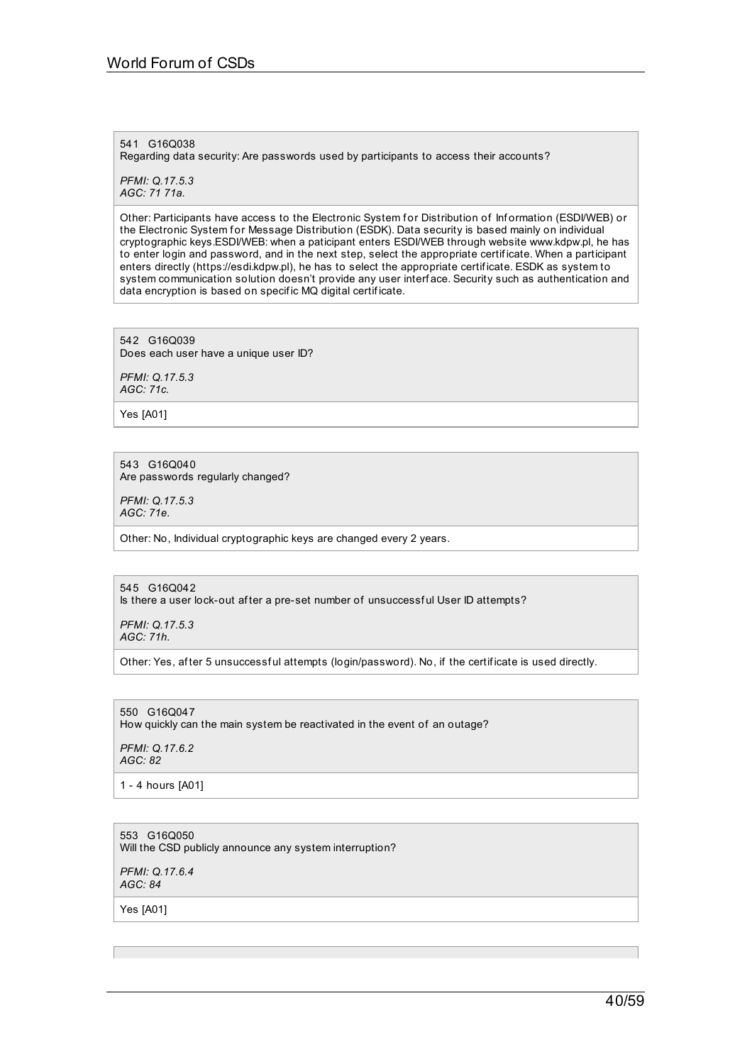541 G16Q038 Regarding data security: Are passwords used by participants to access their accounts?

*PFMI: Q.17.5.3 AGC: 71 71a.*

Other: Participants have access to the Electronic System for Distribution of Information (ESDI/WEB) or the Electronic System for Message Distribution (ESDK). Data security is based mainly on individual cryptographic keys.ESDI/WEB: when a paticipant enters ESDI/WEB through website www.kdpw.pl, he has to enter login and password, and in the next step, select the appropriate certif icate. When a participant enters directly (https://esdi.kdpw.pl), he has to select the appropriate certif icate. ESDK as system to system communication solution doesn't provide any user interf ace. Security such as authentication and data encryption is based on specif ic MQ digital certif icate.

542 G16Q039 Does each user have a unique user ID?

*PFMI: Q.17.5.3 AGC: 71c.*

Yes [A01]

543 G16Q040 Are passwords regularly changed?

*PFMI: Q.17.5.3 AGC: 71e.*

Other: No, Individual cryptographic keys are changed every 2 years.

545 G16Q042 Is there a user lock-out af ter a pre-set number of unsuccessf ul User ID attempts?

*PFMI: Q.17.5.3 AGC: 71h.*

Other: Yes, af ter 5 unsuccessf ul attempts (login/password). No, if the certif icate is used directly.

550 G16Q047 How quickly can the main system be reactivated in the event of an outage?

*PFMI: Q.17.6.2 AGC: 82*

1 - 4 hours [A01]

553 G16Q050 Will the CSD publicly announce any system interruption?

*PFMI: Q.17.6.4 AGC: 84*

Yes [A01]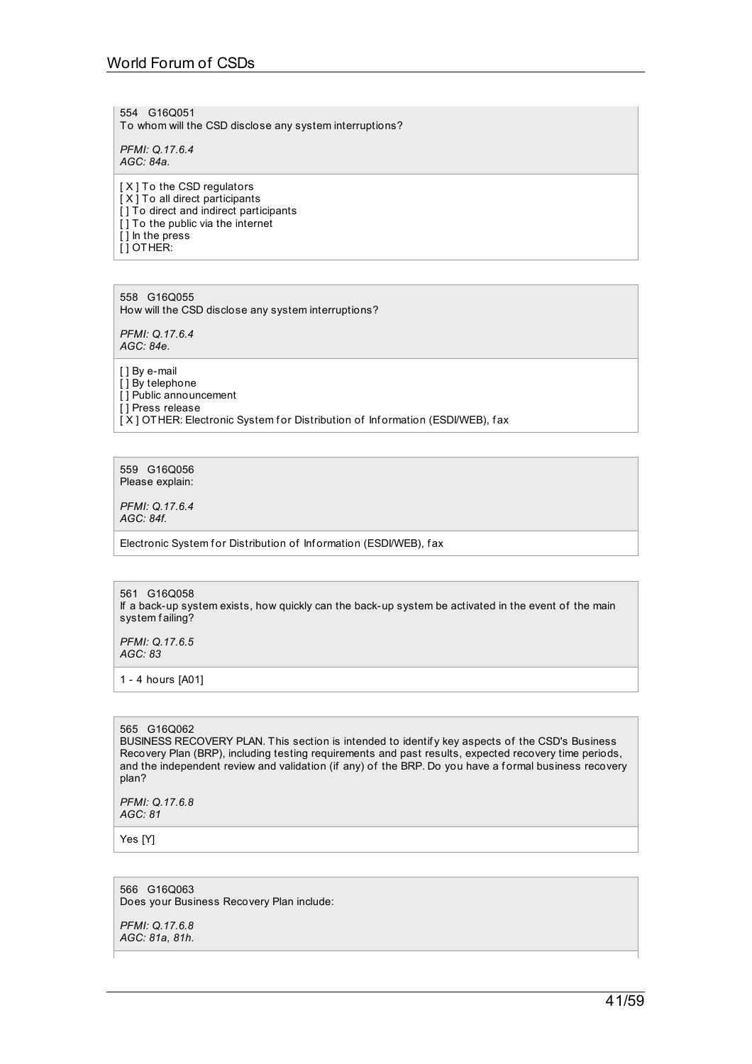# World Forum of CSDs

554 G16Q051 To whom will the CSD disclose any system interruptions?

*PFMI: Q.17.6.4 AGC: 84a.*

[ X ] To the CSD regulators [ X ] To all direct participants [ ] To direct and indirect participants [ ] To the public via the internet [ ] In the press [ ] OTHER:

558 G16Q055 How will the CSD disclose any system interruptions?

*PFMI: Q.17.6.4 AGC: 84e.*

[ ] By e-mail [ ] By telephone [ ] Public announcement [ ] Press release [X] OTHER: Electronic System for Distribution of Information (ESDI/WEB), fax

559 G16Q056 Please explain:

*PFMI: Q.17.6.4 AGC: 84f.*

Electronic System for Distribution of Information (ESDI/WEB), fax

561 G16Q058 If a back-up system exists, how quickly can the back-up system be activated in the event of the main system failing?

*PFMI: Q.17.6.5 AGC: 83*

1 - 4 hours [A01]

#### 565 G16Q062

BUSINESS RECOVERY PLAN. This section is intended to identif y key aspects of the CSD's Business Recovery Plan (BRP), including testing requirements and past results, expected recovery time periods, and the independent review and validation (if any) of the BRP. Do you have a f ormal business recovery plan?

*PFMI: Q.17.6.8 AGC: 81*

Yes [Y]

566 G16Q063 Does your Business Recovery Plan include:

*PFMI: Q.17.6.8 AGC: 81a, 81h.*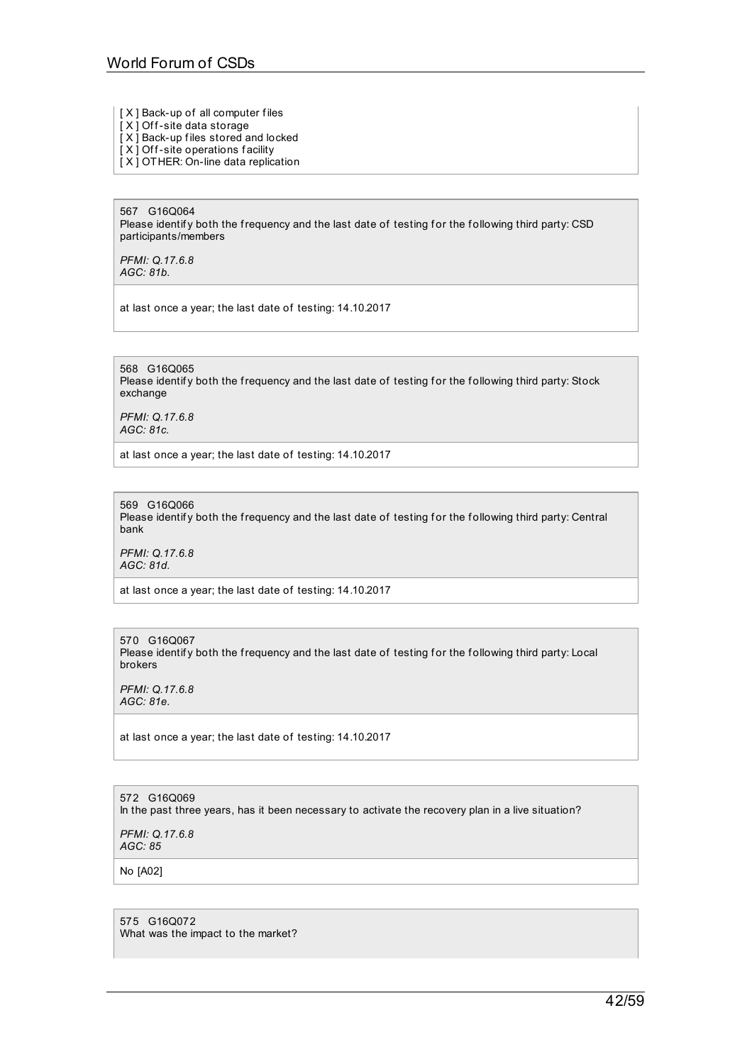- [ X ] Back-up of all computer files
- $[X]$  Off-site data storage
- [ X ] Back-up f iles stored and locked
- [X] Off-site operations facility
- [ X ] OTHER: On-line data replication

567 G16Q064 Please identify both the frequency and the last date of testing for the following third party: CSD participants/members

*PFMI: Q.17.6.8 AGC: 81b.*

at last once a year; the last date of testing: 14.10.2017

568 G16Q065 Please identify both the frequency and the last date of testing for the following third party: Stock exchange

*PFMI: Q.17.6.8 AGC: 81c.*

at last once a year; the last date of testing: 14.10.2017

569 G16Q066 Please identify both the frequency and the last date of testing for the following third party: Central bank

*PFMI: Q.17.6.8 AGC: 81d.*

at last once a year; the last date of testing: 14.10.2017

570 G16Q067 Please identify both the frequency and the last date of testing for the following third party: Local brokers

*PFMI: Q.17.6.8 AGC: 81e.*

at last once a year; the last date of testing: 14.10.2017

572 G16Q069

In the past three years, has it been necessary to activate the recovery plan in a live situation?

*PFMI: Q.17.6.8 AGC: 85*

No [A02]

575 G16Q072 What was the impact to the market?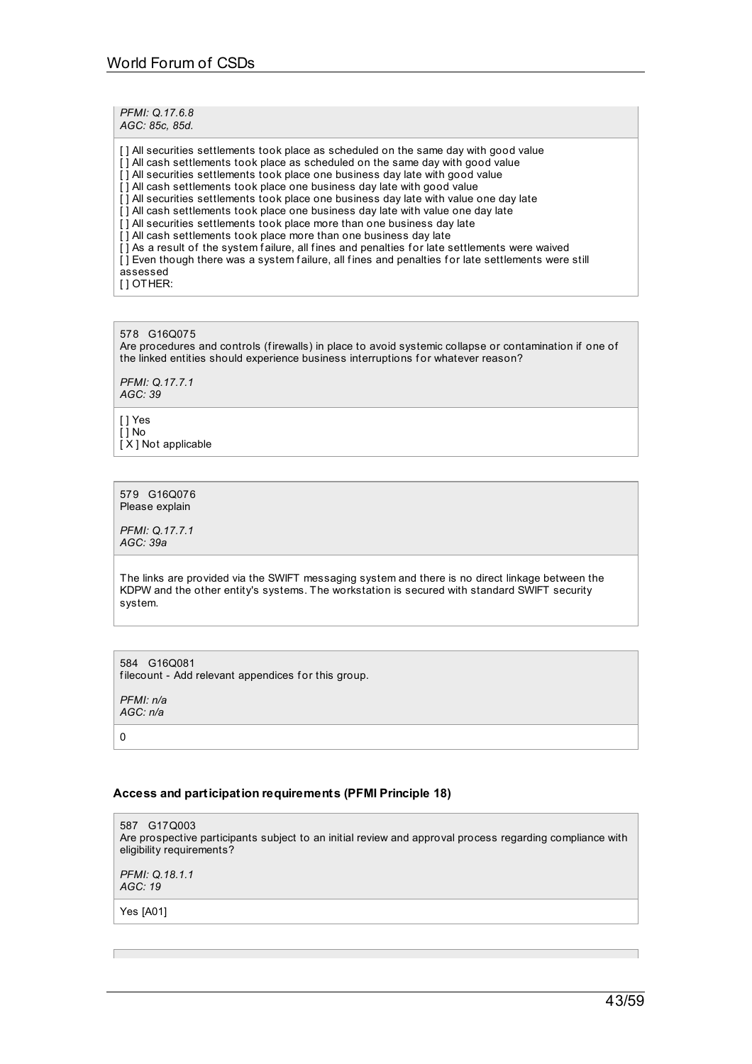| PFMI: Q.17.6.8<br>AGC: 85c, 85d.                                                                                                                                                                                                                                                                                                                                                                                                                                                                                                                                                                                                                                                                                                                                                                                                                                                                       |
|--------------------------------------------------------------------------------------------------------------------------------------------------------------------------------------------------------------------------------------------------------------------------------------------------------------------------------------------------------------------------------------------------------------------------------------------------------------------------------------------------------------------------------------------------------------------------------------------------------------------------------------------------------------------------------------------------------------------------------------------------------------------------------------------------------------------------------------------------------------------------------------------------------|
| [] All securities settlements took place as scheduled on the same day with good value<br>[] All cash settlements took place as scheduled on the same day with good value<br>[] All securities settlements took place one business day late with good value<br>[] All cash settlements took place one business day late with good value<br>[] All securities settlements took place one business day late with value one day late<br>[] All cash settlements took place one business day late with value one day late<br>[] All securities settlements took place more than one business day late<br>[] All cash settlements took place more than one business day late<br>[] As a result of the system failure, all fines and penalties for late settlements were waived<br>[] Even though there was a system failure, all fines and penalties for late settlements were still<br>assessed<br>[10THER: |

578 G16Q075 Are procedures and controls (firewalls) in place to avoid systemic collapse or contamination if one of the linked entities should experience business interruptions for whatever reason?

*PFMI: Q.17.7.1 AGC: 39*

[ ] Yes  $[\,\overline{]}$  No [X] Not applicable

579 G16Q076 Please explain

*PFMI: Q.17.7.1 AGC: 39a*

The links are provided via the SWIFT messaging system and there is no direct linkage between the KDPW and the other entity's systems. The workstation is secured with standard SWIFT security system.

584 G16Q081 filecount - Add relevant appendices for this group.

*PFMI: n/a AGC: n/a*

0

## **Access and participation requirements (PFMI Principle 18)**

587 G17Q003 Are prospective participants subject to an initial review and approval process regarding compliance with eligibility requirements?

*PFMI: Q.18.1.1 AGC: 19*

Yes [A01]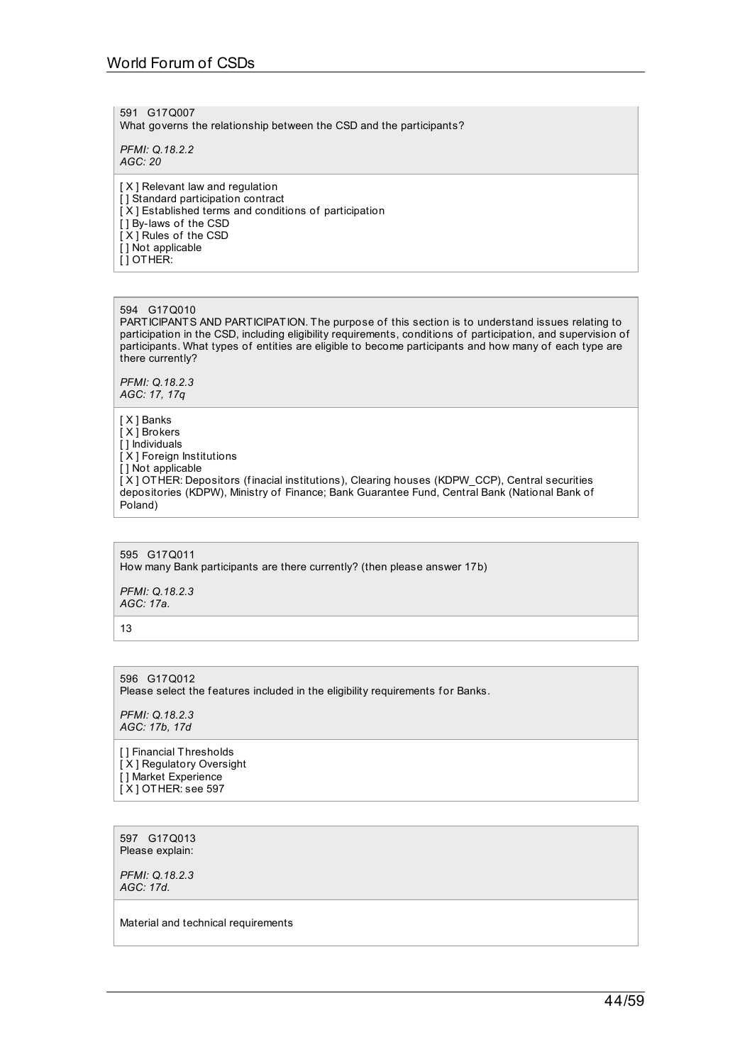591 G17Q007 What governs the relationship between the CSD and the participants?

*PFMI: Q.18.2.2 AGC: 20*

[ X ] Relevant law and regulation [] Standard participation contract [ X ] Established terms and conditions of participation [ ] By-laws of the CSD [ X ] Rules of the CSD [] Not applicable  $\overline{ }$ [ ] OTHER:

#### 594 G17Q010

PARTICIPANTS AND PARTICIPATION. The purpose of this section is to understand issues relating to participation in the CSD, including eligibility requirements, conditions of participation, and supervision of participants. What types of entities are eligible to become participants and how many of each type are there currently?

*PFMI: Q.18.2.3 AGC: 17, 17q*

[ X ] Banks [ X ] Brokers [ ] Individuals [ X ] Foreign Institutions [ ] Not applicable [ X ] OTHER: Depositors (f inacial institutions), Clearing houses (KDPW\_CCP), Central securities depositories (KDPW), Ministry of Finance; Bank Guarantee Fund, Central Bank (National Bank of Poland)

595 G17Q011 How many Bank participants are there currently? (then please answer 17b)

*PFMI: Q.18.2.3 AGC: 17a.*

13

596 G17Q012 Please select the features included in the eligibility requirements for Banks.

*PFMI: Q.18.2.3 AGC: 17b, 17d*

[] Financial Thresholds [ X ] Regulatory Oversight [ ] Market Experience [ X ] OTHER: see 597

597 G17Q013 Please explain:

*PFMI: Q.18.2.3 AGC: 17d.*

Material and technical requirements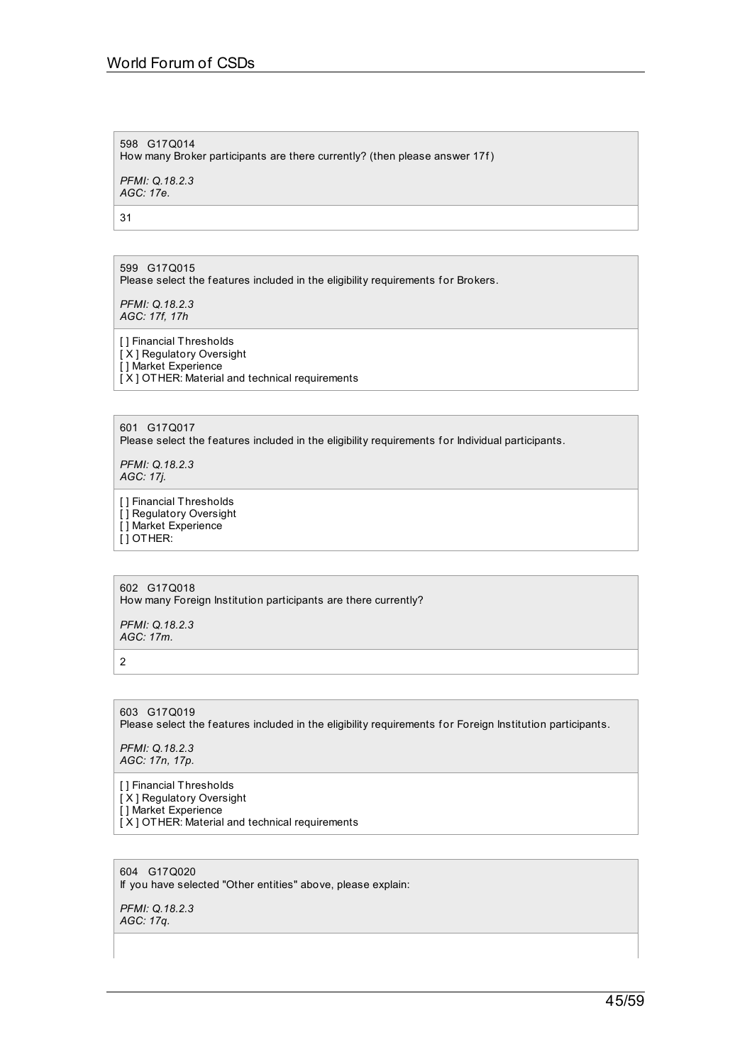# 598 G17Q014 How many Broker participants are there currently? (then please answer 17f)

*PFMI: Q.18.2.3 AGC: 17e.*

31

599 G17Q015 Please select the features included in the eligibility requirements for Brokers.

*PFMI: Q.18.2.3 AGC: 17f, 17h*

[ ] Financial Thresholds [ X ] Regulatory Oversight [ ] Market Experience [ X ] OTHER: Material and technical requirements

601 G17Q017

Please select the features included in the eligibility requirements for Individual participants.

*PFMI: Q.18.2.3 AGC: 17j.*

[ ] Financial Thresholds [] Regulatory Oversight [ ] Market Experience [ ] OTHER:

602 G17Q018 How many Foreign Institution participants are there currently?

*PFMI: Q.18.2.3 AGC: 17m.*

2

603 G17Q019 Please select the features included in the eligibility requirements for Foreign Institution participants.

*PFMI: Q.18.2.3 AGC: 17n, 17p.*

[] Financial Thresholds [ X ] Regulatory Oversight [ ] Market Experience [ X ] OTHER: Material and technical requirements

604 G17Q020 If you have selected "Other entities" above, please explain:

*PFMI: Q.18.2.3 AGC: 17q.*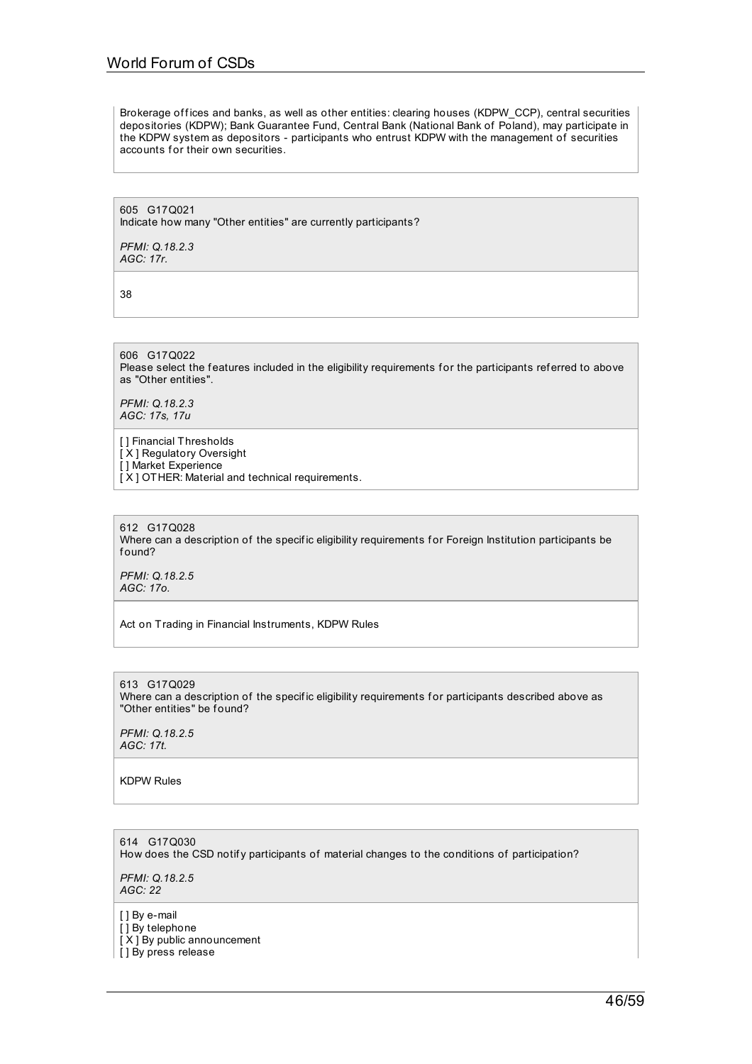Brokerage offices and banks, as well as other entities: clearing houses (KDPW\_CCP), central securities depositories (KDPW); Bank Guarantee Fund, Central Bank (National Bank of Poland), may participate in the KDPW system as depositors - participants who entrust KDPW with the management of securities accounts for their own securities.

605 G17Q021 Indicate how many "Other entities" are currently participants?

*PFMI: Q.18.2.3 AGC: 17r.*

38

606 G17Q022 Please select the features included in the eligibility requirements for the participants referred to above as "Other entities".

*PFMI: Q.18.2.3 AGC: 17s, 17u*

[ ] Financial Thresholds [ X ] Regulatory Oversight [ ] Market Experience [X] OTHER: Material and technical requirements.

612 G17Q028 Where can a description of the specific eligibility requirements for Foreign Institution participants be f ound?

*PFMI: Q.18.2.5 AGC: 17o.*

Act on Trading in Financial Instruments, KDPW Rules

613 G17Q029 Where can a description of the specific eligibility requirements for participants described above as "Other entities" be found?

*PFMI: Q.18.2.5 AGC: 17t.*

KDPW Rules

614 G17Q030 How does the CSD notify participants of material changes to the conditions of participation?

*PFMI: Q.18.2.5 AGC: 22*

[ ] By e-mail

[ ] By telephone

[ $X$ ] By public announcement

[] By press release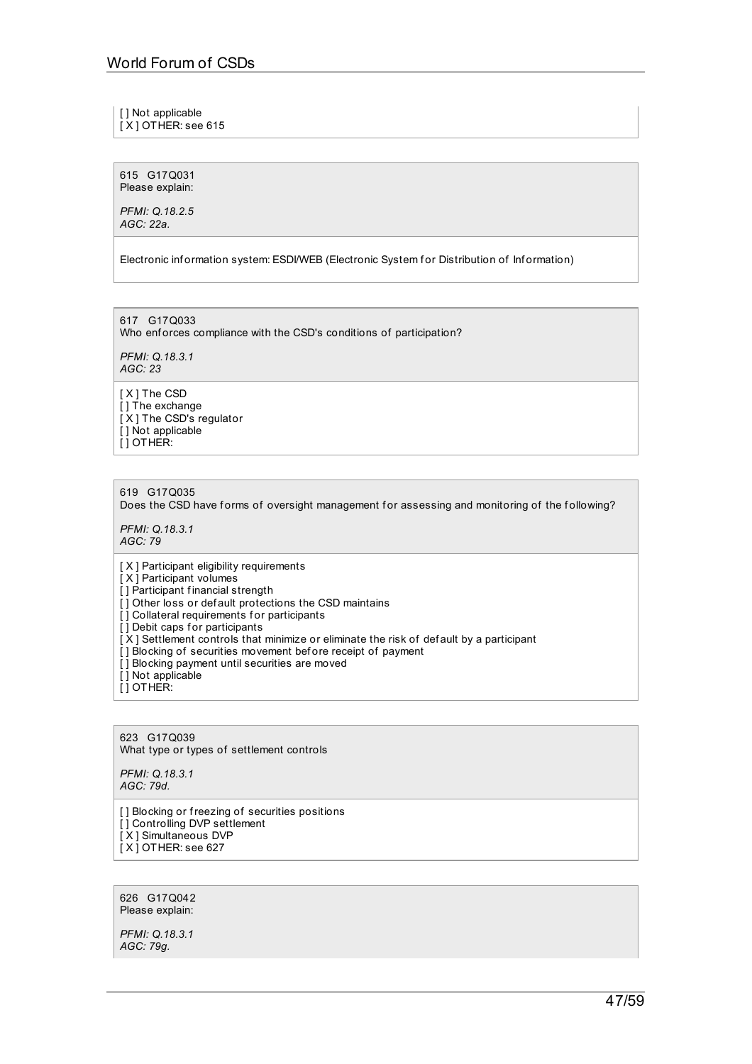[ ] Not applicable

 $[X]$  OT HER: see 615

615 G17Q031 Please explain:

*PFMI: Q.18.2.5 AGC: 22a.*

Electronic information system: ESDI/WEB (Electronic System for Distribution of Information)

617 G17Q033 Who enforces compliance with the CSD's conditions of participation?

*PFMI: Q.18.3.1 AGC: 23*

[ X ] The CSD [] The exchange [X] The CSD's regulator [] Not applicable [ ] OTHER:

619 G17Q035 Does the CSD have forms of oversight management for assessing and monitoring of the following?

*PFMI: Q.18.3.1 AGC: 79*

[ X ] Participant eligibility requirements

[ X ] Participant volumes

[ ] Participant financial strength

[] Other loss or default protections the CSD maintains

[] Collateral requirements for participants

[] Debit caps for participants

[X] Settlement controls that minimize or eliminate the risk of default by a participant

- [] Blocking of securities movement before receipt of payment
- $\overline{[}$ ] Blocking payment until securities are moved
- [ ] Not applicable
- [ ] OTHER:

623 G17Q039 What type or types of settlement controls

*PFMI: Q.18.3.1 AGC: 79d.*

[] Blocking or freezing of securities positions [ ] Controlling DVP settlement [ X ] Simultaneous DVP [X] OTHER: see 627

626 G17Q042 Please explain:

*PFMI: Q.18.3.1 AGC: 79g.*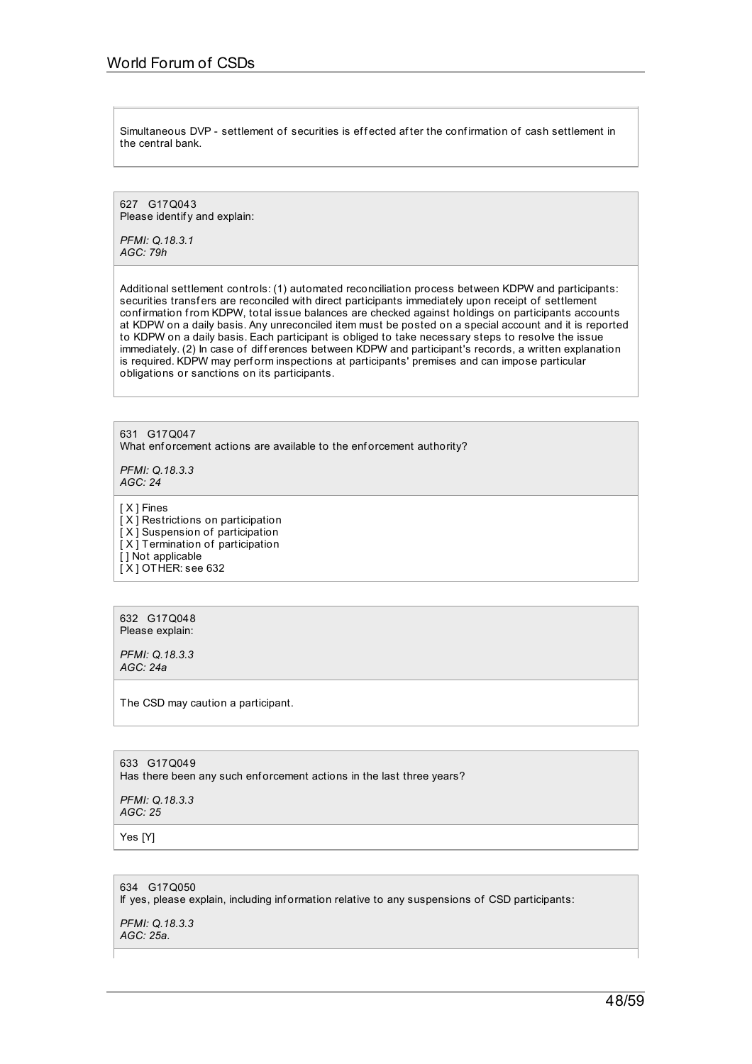Simultaneous DVP - settlement of securities is effected after the confirmation of cash settlement in the central bank.

627 G17Q043 Please identif v and explain:

*PFMI: Q.18.3.1 AGC: 79h*

Additional settlement controls: (1) automated reconciliation process between KDPW and participants: securities transfers are reconciled with direct participants immediately upon receipt of settlement conf irmation from KDPW, total issue balances are checked against holdings on participants accounts at KDPW on a daily basis. Any unreconciled item must be posted on a special account and it is reported to KDPW on a daily basis. Each participant is obliged to take necessary steps to resolve the issue immediately. (2) In case of differences between KDPW and participant's records, a written explanation is required. KDPW may perform inspections at participants' premises and can impose particular obligations or sanctions on its participants.

631 G17Q047 What enforcement actions are available to the enforcement authority?

*PFMI: Q.18.3.3 AGC: 24*

[ X ] Fines

[ X ] Restrictions on participation [ X ] Suspension of participation [ X ] Termination of participation [] Not applicable  $[X]$  OTHER: see 632

632 G17Q048 Please explain:

*PFMI: Q.18.3.3 AGC: 24a*

The CSD may caution a participant.

633 G17Q049 Has there been any such enforcement actions in the last three years?

*PFMI: Q.18.3.3 AGC: 25*

Yes [Y]

634 G17Q050 If yes, please explain, including information relative to any suspensions of CSD participants:

*PFMI: Q.18.3.3 AGC: 25a.*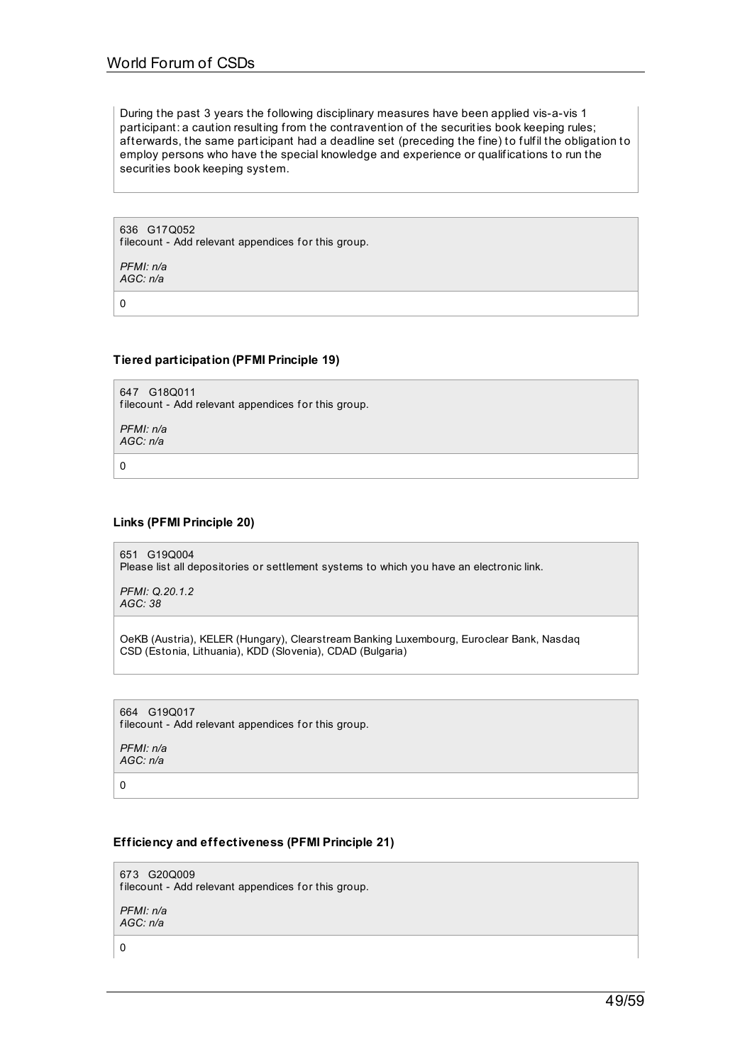During the past 3 years the following disciplinary measures have been applied vis-a-vis 1 participant: a caution resulting from the contravention of the securities book keeping rules; afterwards, the same participant had a deadline set (preceding the fine) to fulfil the obligation to employ persons who have the special knowledge and experience or qualifications to run the securities book keeping system.

636 G17Q052 filecount - Add relevant appendices for this group.

*PFMI: n/a AGC: n/a*

0

## **Tiered participation (PFMI Principle 19)**

647 G18Q011 filecount - Add relevant appendices for this group.

*PFMI: n/a AGC: n/a*

 $\Omega$ 

**Links (PFMI Principle 20)**

651 G19Q004 Please list all depositories or settlement systems to which you have an electronic link.

*PFMI: Q.20.1.2 AGC: 38*

OeKB (Austria), KELER (Hungary), Clearstream Banking Luxembourg, Euroclear Bank, Nasdaq CSD (Estonia, Lithuania), KDD (Slovenia), CDAD (Bulgaria)

664 G19Q017 filecount - Add relevant appendices for this group.

*PFMI: n/a AGC: n/a*

0

## **Efficiency and effectiveness (PFMI Principle 21)**

673 G20Q009 filecount - Add relevant appendices for this group. *PFMI: n/a AGC: n/a*

0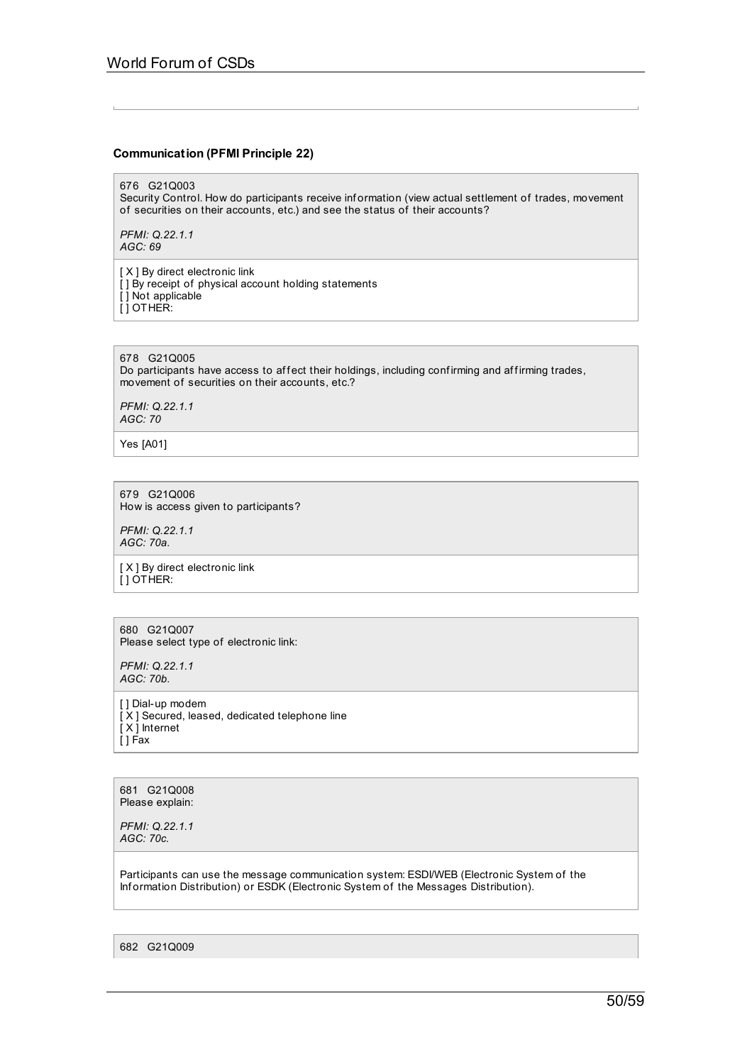## **Communication (PFMI Principle 22)**

676 G21Q003

Security Control. How do participants receive information (view actual settlement of trades, movement of securities on their accounts, etc.) and see the status of their accounts?

*PFMI: Q.22.1.1 AGC: 69*

[ X ] By direct electronic link [] By receipt of physical account holding statements [ ] Not applicable [ ] OTHER:

## 678 G21Q005

Do participants have access to affect their holdings, including confirming and affirming trades, movement of securities on their accounts, etc.?

*PFMI: Q.22.1.1 AGC: 70*

Yes [A01]

679 G21Q006 How is access given to participants?

*PFMI: Q.22.1.1 AGC: 70a.*

[ X ] By direct electronic link [ ] OTHER:

680 G21Q007 Please select type of electronic link:

*PFMI: Q.22.1.1 AGC: 70b.*

[ ] Dial-up modem [ X ] Secured, leased, dedicated telephone line [ X ] Internet  $[$  ] Fax

681 G21Q008 Please explain:

*PFMI: Q.22.1.1 AGC: 70c.*

Participants can use the message communication system: ESDI/WEB (Electronic System of the Inf ormation Distribution) or ESDK (Electronic System of the Messages Distribution).

682 G21Q009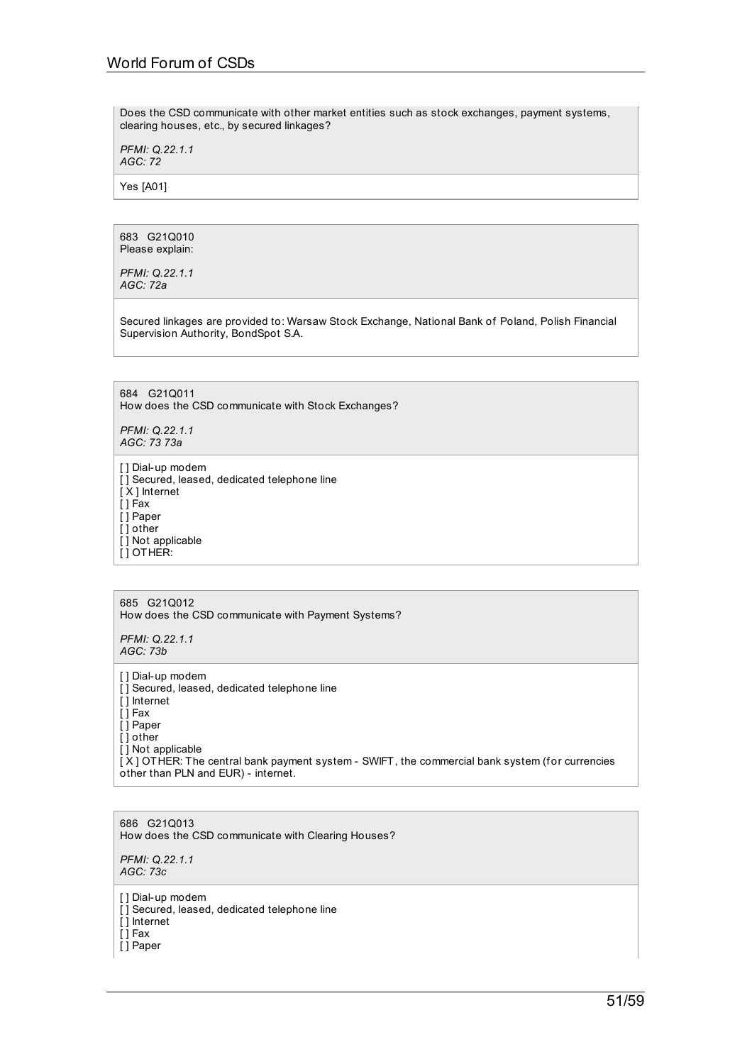Does the CSD communicate with other market entities such as stock exchanges, payment systems, clearing houses, etc., by secured linkages?

*PFMI: Q.22.1.1 AGC: 72*

Yes [A01]

683 G21Q010 Please explain:

*PFMI: Q.22.1.1 AGC: 72a*

Secured linkages are provided to: Warsaw Stock Exchange, National Bank of Poland, Polish Financial Supervision Authority, BondSpot S.A.

684 G21Q011 How does the CSD communicate with Stock Exchanges?

*PFMI: Q.22.1.1 AGC: 73 73a*

[ ] Dial-up modem  $[$ ] Secured, leased, dedicated telephone line [ X ] Internet  $[ ]$  Fax [ ] Paper [ ] other [ ] Not applicable [ ] OTHER:

685 G21Q012 How does the CSD communicate with Payment Systems?

*PFMI: Q.22.1.1 AGC: 73b*

[ ] Dial-up modem [ ] Secured, leased, dedicated telephone line [ ] Internet  $\overline{ }$   $\overline{ }$   $\overline{ }$  Fax [ ] Paper [ ] other [ ] Not applicable [X] OTHER: The central bank payment system - SWIFT, the commercial bank system (for currencies other than PLN and EUR) - internet.

686 G21Q013 How does the CSD communicate with Clearing Houses?

*PFMI: Q.22.1.1 AGC: 73c*

[ ] Dial-up modem

[] Secured, leased, dedicated telephone line

[ ] Internet

[ ] Fax

[ ] Paper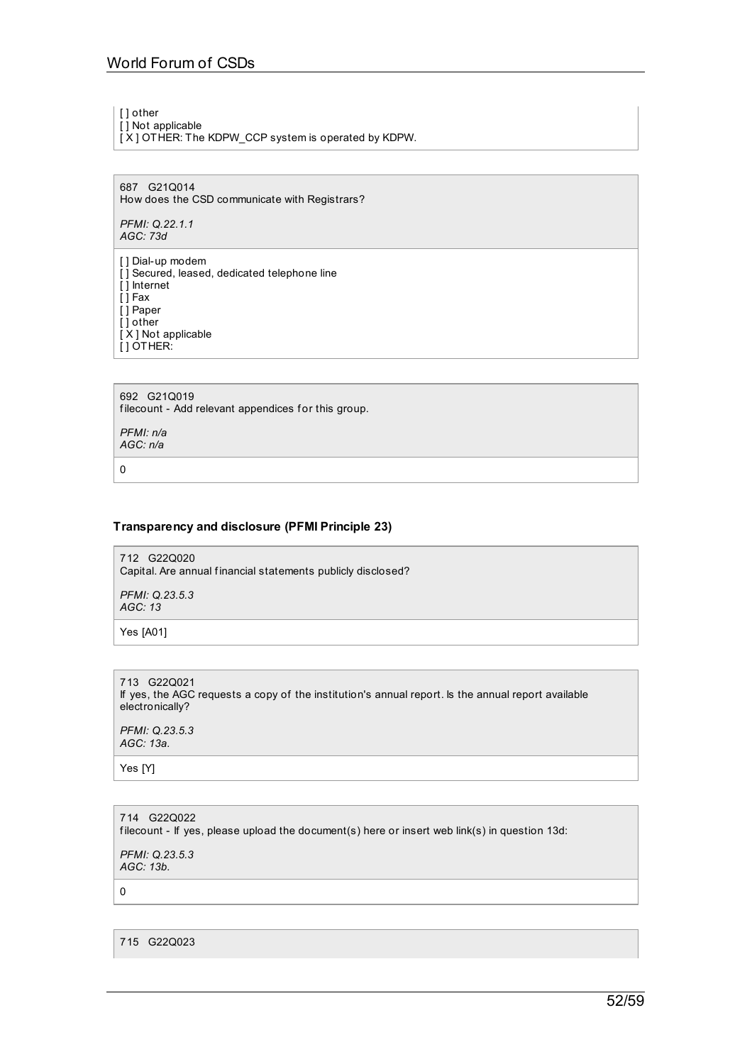[ ] other

 $\overline{[}$ ] Not applicable [X] OTHER: The KDPW\_CCP system is operated by KDPW.

687 G21Q014 How does the CSD communicate with Registrars?

*PFMI: Q.22.1.1 AGC: 73d*

[ ] Dial-up modem [] Secured, leased, dedicated telephone line [ ] Internet  $\overline{[}$   $\overline{]}$  Fax [ ] Paper [ ] other [ X ] Not applicable [ ] OTHER:

692 G21Q019 filecount - Add relevant appendices for this group.

*PFMI: n/a AGC: n/a*

0

# **Transparency and disclosure (PFMI Principle 23)**

712 G22Q020 Capital. Are annual f inancial statements publicly disclosed?

*PFMI: Q.23.5.3 AGC: 13*

Yes [A01]

713 G22Q021 If yes, the AGC requests a copy of the institution's annual report. Is the annual report available electronically?

*PFMI: Q.23.5.3 AGC: 13a.*

Yes [Y]

714 G22Q022 filecount - If yes, please upload the document(s) here or insert web link(s) in question 13d:

*PFMI: Q.23.5.3 AGC: 13b.*

 $\Omega$ 

715 G22Q023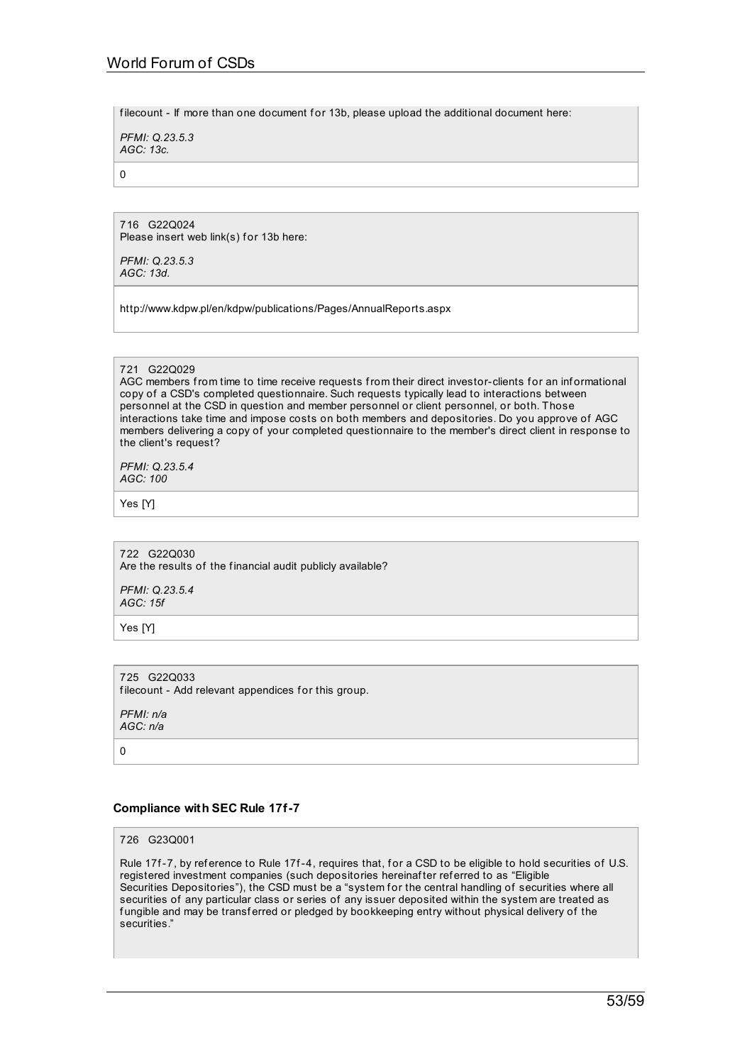filecount - If more than one document for 13b, please upload the additional document here:

*PFMI: Q.23.5.3 AGC: 13c.*

0

716 G22Q024 Please insert web link(s) for 13b here:

*PFMI: Q.23.5.3 AGC: 13d.*

http://www.kdpw.pl/en/kdpw/publications/Pages/AnnualReports.aspx

## 721 G22Q029

AGC members from time to time receive requests from their direct investor-clients for an informational copy of a CSD's completed questionnaire. Such requests typically lead to interactions between personnel at the CSD in question and member personnel or client personnel, or both. Those interactions take time and impose costs on both members and depositories. Do you approve of AGC members delivering a copy of your completed questionnaire to the member's direct client in response to the client's request?

*PFMI: Q.23.5.4 AGC: 100*

Yes [Y]

722 G22Q030 Are the results of the financial audit publicly available?

*PFMI: Q.23.5.4 AGC: 15f*

Yes [Y]

## 725 G22Q033

filecount - Add relevant appendices for this group.

*PFMI: n/a AGC: n/a*

 $\Omega$ 

## **Compliance with SEC Rule 17f-7**

726 G23Q001

Rule 17f-7, by reference to Rule 17f-4, requires that, for a CSD to be eligible to hold securities of U.S. registered investment companies (such depositories hereinaf ter ref erred to as "Eligible Securities Depositories"), the CSD must be a "system for the central handling of securities where all securities of any particular class or series of any issuer deposited within the system are treated as fungible and may be transferred or pledged by bookkeeping entry without physical delivery of the securities."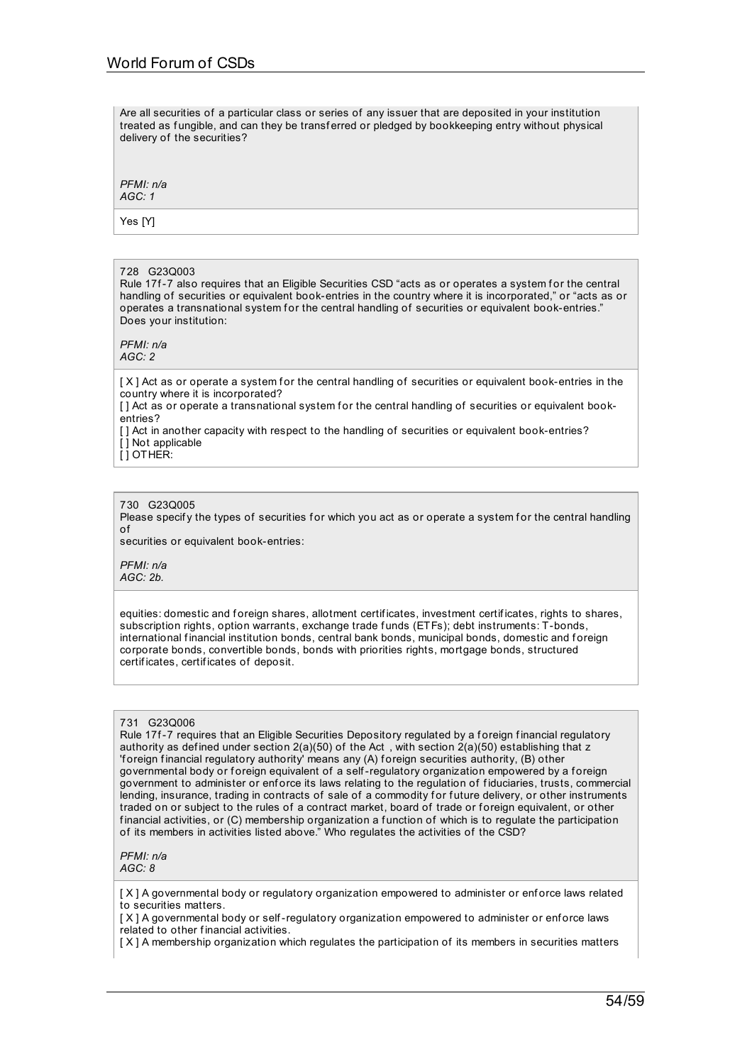Are all securities of a particular class or series of any issuer that are deposited in your institution treated as fungible, and can they be transferred or pledged by bookkeeping entry without physical delivery of the securities?

*PFMI: n/a AGC: 1*

Yes [Y]

## 728 G23Q003

Rule 17f-7 also requires that an Eligible Securities CSD "acts as or operates a system for the central handling of securities or equivalent book-entries in the country where it is incorporated," or "acts as or operates a transnational system for the central handling of securities or equivalent book-entries." Does your institution:

*PFMI: n/a AGC: 2*

[X] Act as or operate a system for the central handling of securities or equivalent book-entries in the country where it is incorporated?

[] Act as or operate a transnational system for the central handling of securities or equivalent bookentries?

[ ] Act in another capacity with respect to the handling of securities or equivalent book-entries?

[ ] Not applicable  $\overline{I}$  ] OTHER:

#### 730 G23Q005

Please specify the types of securities for which you act as or operate a system for the central handling of

securities or equivalent book-entries:

*PFMI: n/a AGC: 2b.*

equities: domestic and foreign shares, allotment certificates, investment certificates, rights to shares, subscription rights, option warrants, exchange trade funds (ETFs); debt instruments: T-bonds, international financial institution bonds, central bank bonds, municipal bonds, domestic and foreign corporate bonds, convertible bonds, bonds with priorities rights, mortgage bonds, structured certif icates, certif icates of deposit.

## 731 G23Q006

Rule 17f-7 requires that an Eligible Securities Depository regulated by a foreign financial regulatory authority as defined under section  $2(a)(50)$  of the Act, with section  $2(a)(50)$  establishing that z 'f oreign f inancial regulatory authority' means any (A) f oreign securities authority, (B) other governmental body or foreign equivalent of a self-regulatory organization empowered by a foreign government to administer or enf orce its laws relating to the regulation of f iduciaries, trusts, commercial lending, insurance, trading in contracts of sale of a commodity for future delivery, or other instruments traded on or subject to the rules of a contract market, board of trade or foreign equivalent, or other financial activities, or (C) membership organization a function of which is to regulate the participation of its members in activities listed above." Who regulates the activities of the CSD?

*PFMI: n/a AGC: 8*

[X] A governmental body or regulatory organization empowered to administer or enforce laws related to securities matters.

[X] A governmental body or self-regulatory organization empowered to administer or enforce laws related to other f inancial activities.

[ X ] A membership organization which regulates the participation of its members in securities matters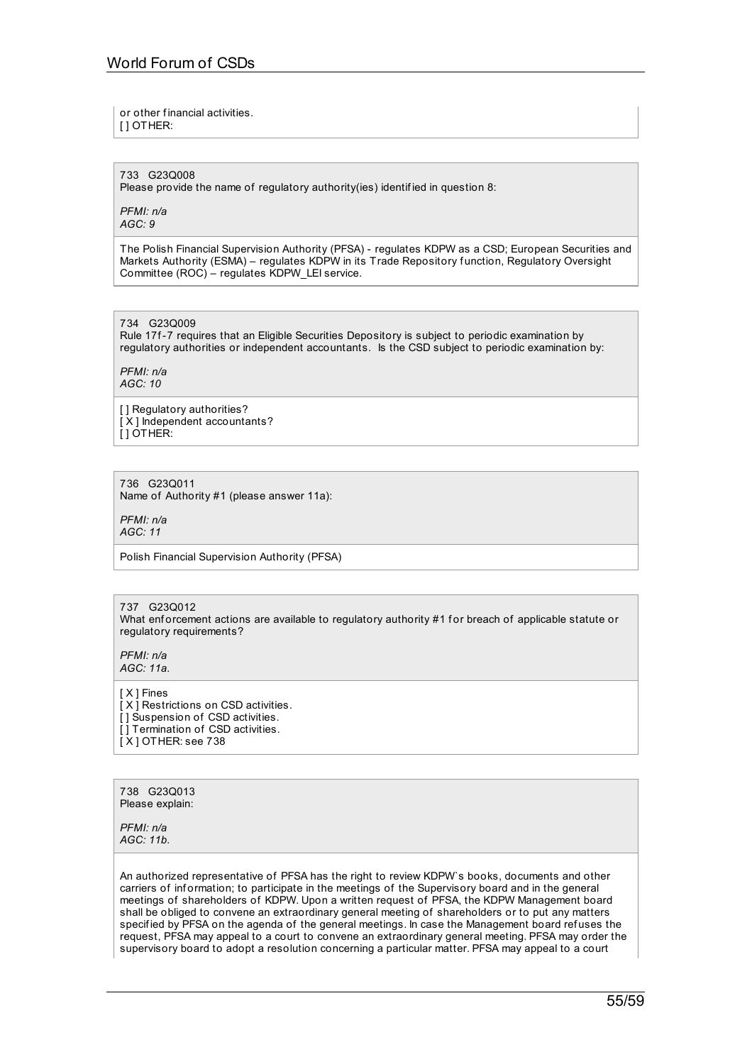or other f inancial activities.

[ ] OTHER:

733 G23Q008 Please provide the name of regulatory authority(ies) identif ied in question 8:

*PFMI: n/a AGC: 9*

The Polish Financial Supervision Authority (PFSA) - regulates KDPW as a CSD; European Securities and Markets Authority (ESMA) – regulates KDPW in its Trade Repository function, Regulatory Oversight Committee (ROC) – regulates KDPW\_LEI service.

734 G23Q009

Rule 17f-7 requires that an Eligible Securities Depository is subject to periodic examination by regulatory authorities or independent accountants. Is the CSD subject to periodic examination by:

*PFMI: n/a AGC: 10*

[ ] Regulatory authorities? [ X ] Independent accountants?  $[$ ] OTHER:

736 G23Q011 Name of Authority #1 (please answer 11a):

*PFMI: n/a AGC: 11*

Polish Financial Supervision Authority (PFSA)

## 737 G23Q012

What enforcement actions are available to regulatory authority #1 for breach of applicable statute or regulatory requirements?

*PFMI: n/a AGC: 11a.*

[ X ] Fines [ X ] Restrictions on CSD activities. [] Suspension of CSD activities. [] Termination of CSD activities. [ X ] OTHER: see 738

738 G23Q013 Please explain:

*PFMI: n/a AGC: 11b.*

An authorized representative of PFSA has the right to review KDPW`s books, documents and other carriers of information; to participate in the meetings of the Supervisory board and in the general meetings of shareholders of KDPW. Upon a written request of PFSA, the KDPW Management board shall be obliged to convene an extraordinary general meeting of shareholders or to put any matters specif ied by PFSA on the agenda of the general meetings. In case the Management board ref uses the request, PFSA may appeal to a court to convene an extraordinary general meeting. PFSA may order the supervisory board to adopt a resolution concerning a particular matter. PFSA may appeal to a court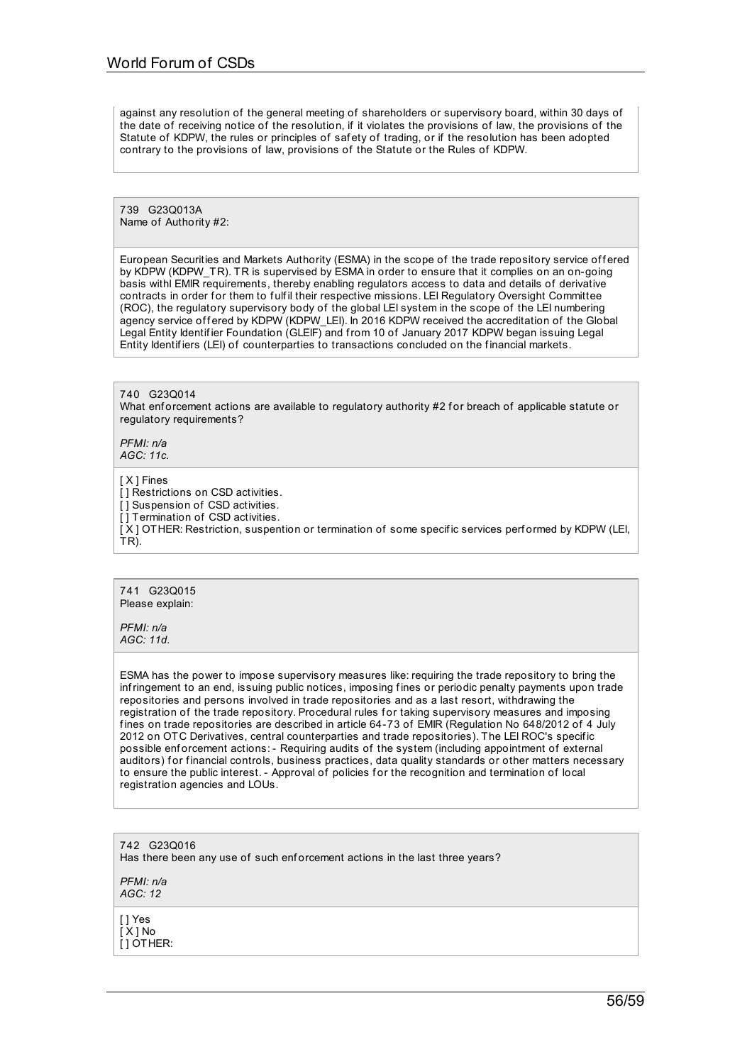against any resolution of the general meeting of shareholders or supervisory board, within 30 days of the date of receiving notice of the resolution, if it violates the provisions of law, the provisions of the Statute of KDPW, the rules or principles of safety of trading, or if the resolution has been adopted contrary to the provisions of law, provisions of the Statute or the Rules of KDPW.

739 G23Q013A Name of Authority #2:

European Securities and Markets Authority (ESMA) in the scope of the trade repository service offered by KDPW (KDPW TR). TR is supervised by ESMA in order to ensure that it complies on an on-going basis withl EMIR requirements, thereby enabling regulators access to data and details of derivative contracts in order for them to fulfil their respective missions. LEI Regulatory Oversight Committee (ROC), the regulatory supervisory body of the global LEI system in the scope of the LEI numbering agency service offered by KDPW (KDPW\_LEI). In 2016 KDPW received the accreditation of the Global Legal Entity Identif ier Foundation (GLEIF) and from 10 of January 2017 KDPW began issuing Legal Entity Identifiers (LEI) of counterparties to transactions concluded on the financial markets.

740 G23Q014 What enforcement actions are available to regulatory authority #2 for breach of applicable statute or regulatory requirements?

*PFMI: n/a AGC: 11c.*

[ X ] Fines

[] Restrictions on CSD activities.

[] Suspension of CSD activities.

[] Termination of CSD activities.

[X ] OTHER: Restriction, suspention or termination of some specific services performed by KDPW (LEI, TR).

741 G23Q015 Please explain:

*PFMI: n/a AGC: 11d.*

ESMA has the power to impose supervisory measures like: requiring the trade repository to bring the infringement to an end, issuing public notices, imposing fines or periodic penalty payments upon trade repositories and persons involved in trade repositories and as a last resort, withdrawing the registration of the trade repository. Procedural rules for taking supervisory measures and imposing fines on trade repositories are described in article 64-73 of EMIR (Regulation No 648/2012 of 4 July 2012 on OTC Derivatives, central counterparties and trade repositories). The LEI ROC's specif ic possible enf orcement actions: - Requiring audits of the system (including appointment of external auditors) for financial controls, business practices, data quality standards or other matters necessary to ensure the public interest. - Approval of policies for the recognition and termination of local registration agencies and LOUs.

742 G23Q016 Has there been any use of such enforcement actions in the last three years?

*PFMI: n/a AGC: 12*

[ ] Yes [ X ] No [ ] OTHER: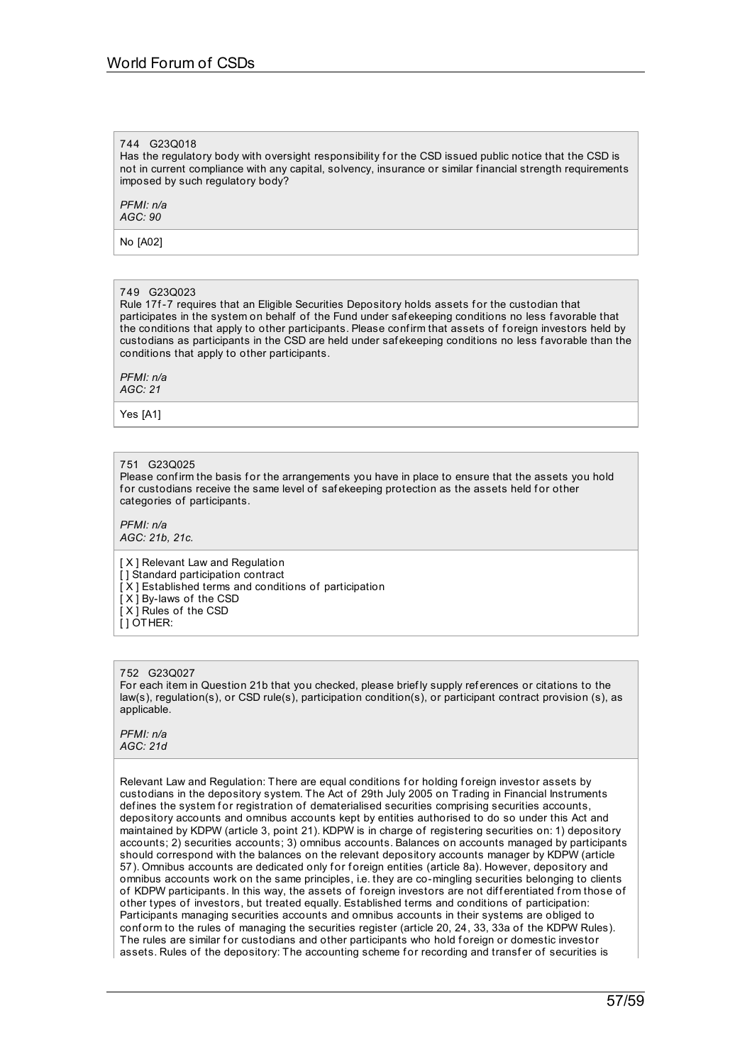## 744 G23Q018

Has the regulatory body with oversight responsibility for the CSD issued public notice that the CSD is not in current compliance with any capital, solvency, insurance or similar f inancial strength requirements imposed by such regulatory body?

*PFMI: n/a AGC: 90*

No [A02]

#### 749 G23Q023

Rule 17f-7 requires that an Eligible Securities Depository holds assets for the custodian that participates in the system on behalf of the Fund under saf ekeeping conditions no less f avorable that the conditions that apply to other participants. Please conf irm that assets of f oreign investors held by custodians as participants in the CSD are held under saf ekeeping conditions no less f avorable than the conditions that apply to other participants.

#### *PFMI: n/a AGC: 21*

Yes [A1]

#### 751 G23Q025

Please confirm the basis for the arrangements you have in place to ensure that the assets you hold for custodians receive the same level of safekeeping protection as the assets held for other categories of participants.

*PFMI: n/a AGC: 21b, 21c.*

[ X ] Relevant Law and Regulation [] Standard participation contract  $[X]$  Established terms and conditions of participation

[ X ] By-laws of the CSD

[ X ] Rules of the CSD

[ ] OTHER:

#### 752 G23Q027

For each item in Question 21b that you checked, please brief ly supply references or citations to the law(s), regulation(s), or CSD rule(s), participation condition(s), or participant contract provision (s), as applicable.

#### *PFMI: n/a AGC: 21d*

Relevant Law and Regulation: There are equal conditions for holding foreign investor assets by custodians in the depository system. The Act of 29th July 2005 on Trading in Financial Instruments defines the system for registration of dematerialised securities comprising securities accounts, depository accounts and omnibus accounts kept by entities authorised to do so under this Act and maintained by KDPW (article 3, point 21). KDPW is in charge of registering securities on: 1) depository accounts; 2) securities accounts; 3) omnibus accounts. Balances on accounts managed by participants should correspond with the balances on the relevant depository accounts manager by KDPW (article 57). Omnibus accounts are dedicated only for foreign entities (article 8a). However, depository and omnibus accounts work on the same principles, i.e. they are co-mingling securities belonging to clients of KDPW participants. In this way, the assets of foreign investors are not differentiated from those of other types of investors, but treated equally. Established terms and conditions of participation: Participants managing securities accounts and omnibus accounts in their systems are obliged to conform to the rules of managing the securities register (article 20, 24, 33, 33a of the KDPW Rules). The rules are similar for custodians and other participants who hold foreign or domestic investor assets. Rules of the depository: The accounting scheme for recording and transfer of securities is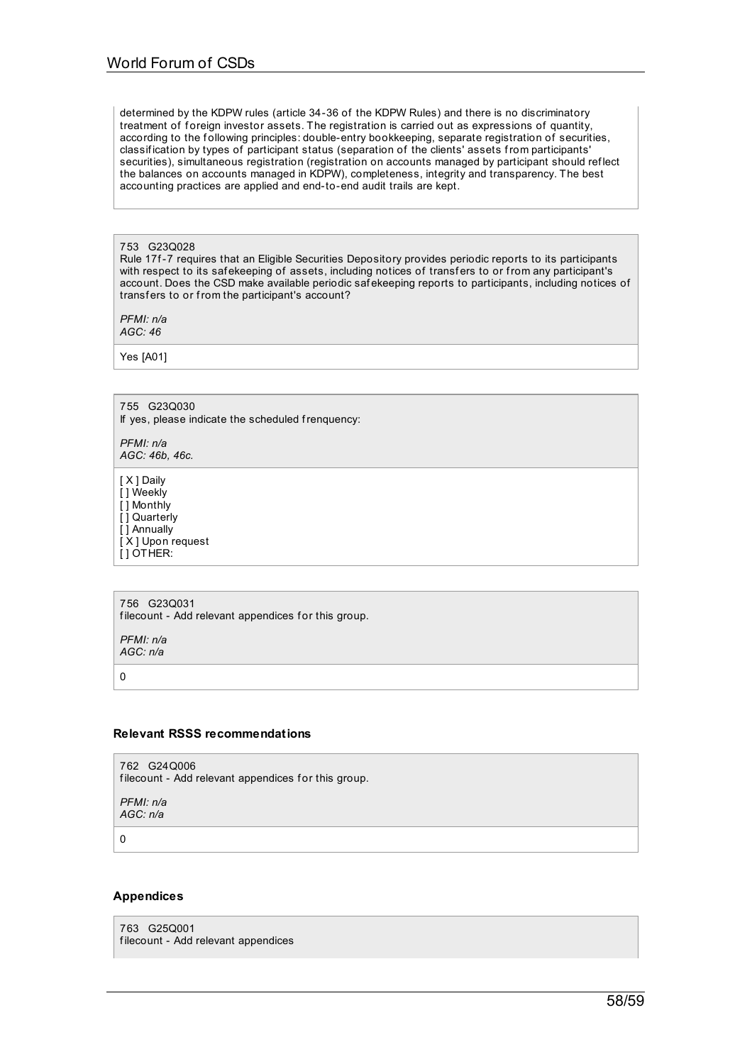determined by the KDPW rules (article 34-36 of the KDPW Rules) and there is no discriminatory treatment of foreign investor assets. The registration is carried out as expressions of quantity, according to the following principles: double-entry bookkeeping, separate registration of securities, classif ication by types of participant status (separation of the clients' assets from participants' securities), simultaneous registration (registration on accounts managed by participant should reflect the balances on accounts managed in KDPW), completeness, integrity and transparency. The best accounting practices are applied and end-to-end audit trails are kept.

## 753 G23Q028

Rule 17f-7 requires that an Eligible Securities Depository provides periodic reports to its participants with respect to its safekeeping of assets, including notices of transfers to or from any participant's account. Does the CSD make available periodic saf ekeeping reports to participants, including notices of transfers to or from the participant's account?

*PFMI: n/a AGC: 46*

Yes [A01]

755 G23Q030 If yes, please indicate the scheduled frenquency: *PFMI: n/a AGC: 46b, 46c.*

[ X ] Daily [ ] Weekly [ ] Monthly [ ] Quarterly [ ] Annually [ X ] Upon request  $\overline{ }$ [ ] OTHER:

756 G23Q031 filecount - Add relevant appendices for this group.

*PFMI: n/a AGC: n/a*

0

## **Relevant RSSS recommendations**

762 G24Q006 filecount - Add relevant appendices for this group.

*PFMI: n/a AGC: n/a*

0

## **Appendices**

763 G25Q001 filecount - Add relevant appendices